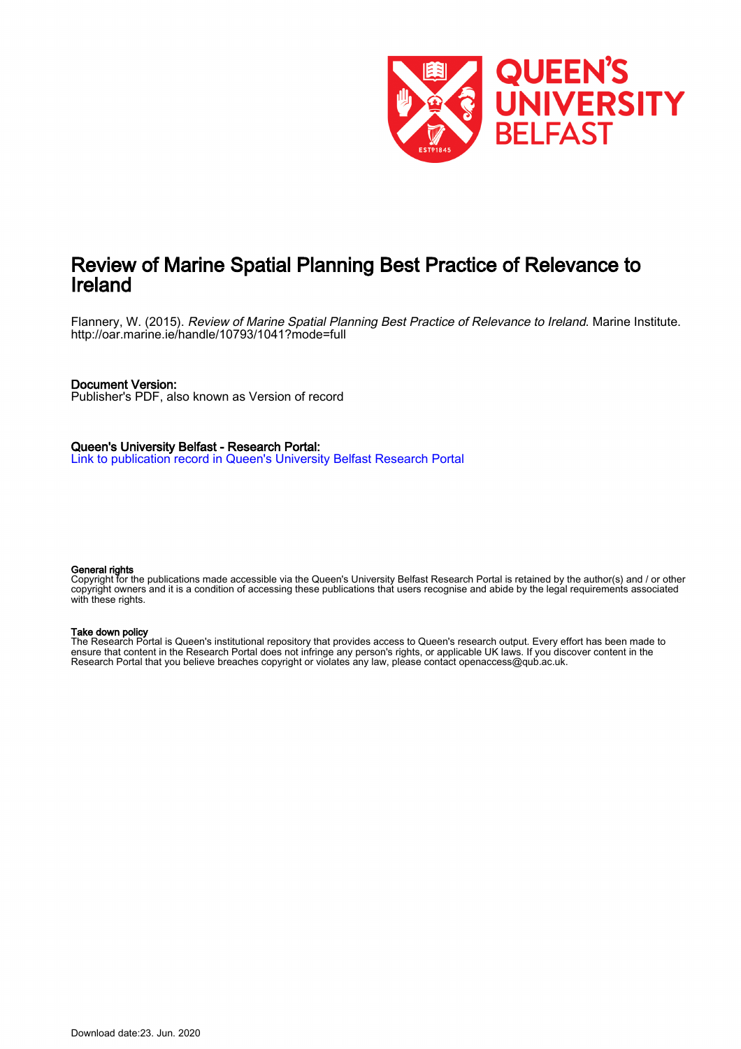

# Review of Marine Spatial Planning Best Practice of Relevance to Ireland

Flannery, W. (2015). Review of Marine Spatial Planning Best Practice of Relevance to Ireland. Marine Institute. <http://oar.marine.ie/handle/10793/1041?mode=full>

#### Document Version:

Publisher's PDF, also known as Version of record

Queen's University Belfast - Research Portal: [Link to publication record in Queen's University Belfast Research Portal](https://pure.qub.ac.uk/en/publications/review-of-marine-spatial-planning-best-practice-of-relevance-to-ireland(923d8b6a-6742-4f5c-83d5-2b707157004c).html)

#### General rights

Copyright for the publications made accessible via the Queen's University Belfast Research Portal is retained by the author(s) and / or other copyright owners and it is a condition of accessing these publications that users recognise and abide by the legal requirements associated with these rights.

#### Take down policy

The Research Portal is Queen's institutional repository that provides access to Queen's research output. Every effort has been made to ensure that content in the Research Portal does not infringe any person's rights, or applicable UK laws. If you discover content in the Research Portal that you believe breaches copyright or violates any law, please contact openaccess@qub.ac.uk.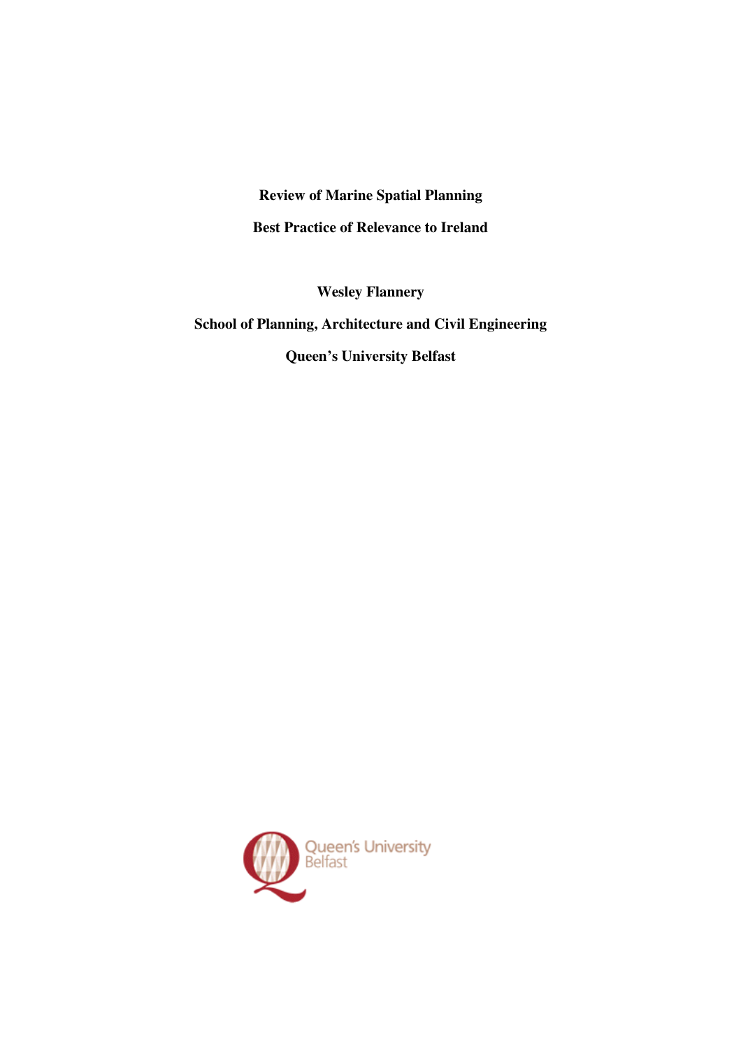## **Review of Marine Spatial Planning**

**Best Practice of Relevance to Ireland** 

**Wesley Flannery** 

# **School of Planning, Architecture and Civil Engineering**

**Queen's University Belfast** 

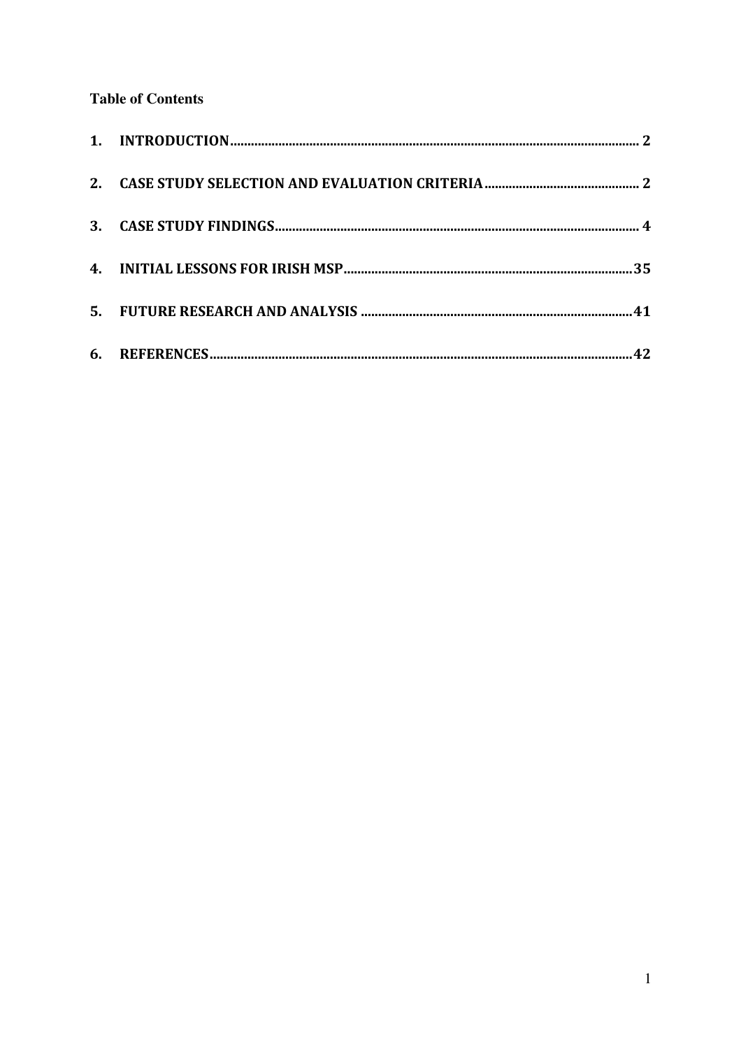# **Table of Contents**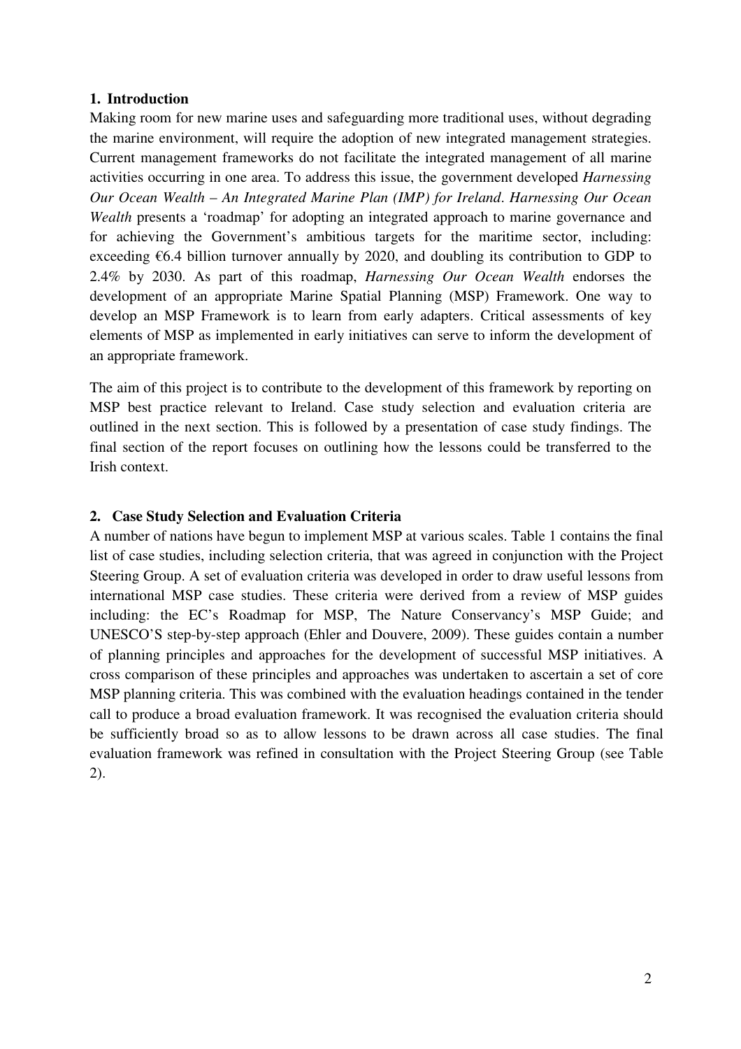## **1. Introduction**

Making room for new marine uses and safeguarding more traditional uses, without degrading the marine environment, will require the adoption of new integrated management strategies. Current management frameworks do not facilitate the integrated management of all marine activities occurring in one area. To address this issue, the government developed *Harnessing Our Ocean Wealth* – *An Integrated Marine Plan (IMP) for Ireland*. *Harnessing Our Ocean Wealth* presents a 'roadmap' for adopting an integrated approach to marine governance and for achieving the Government's ambitious targets for the maritime sector, including: exceeding  $€6.4$  billion turnover annually by 2020, and doubling its contribution to GDP to 2.4% by 2030. As part of this roadmap, *Harnessing Our Ocean Wealth* endorses the development of an appropriate Marine Spatial Planning (MSP) Framework. One way to develop an MSP Framework is to learn from early adapters. Critical assessments of key elements of MSP as implemented in early initiatives can serve to inform the development of an appropriate framework.

The aim of this project is to contribute to the development of this framework by reporting on MSP best practice relevant to Ireland. Case study selection and evaluation criteria are outlined in the next section. This is followed by a presentation of case study findings. The final section of the report focuses on outlining how the lessons could be transferred to the Irish context.

## **2. Case Study Selection and Evaluation Criteria**

A number of nations have begun to implement MSP at various scales. Table 1 contains the final list of case studies, including selection criteria, that was agreed in conjunction with the Project Steering Group. A set of evaluation criteria was developed in order to draw useful lessons from international MSP case studies. These criteria were derived from a review of MSP guides including: the EC's Roadmap for MSP, The Nature Conservancy's MSP Guide; and UNESCO'S step-by-step approach (Ehler and Douvere, 2009). These guides contain a number of planning principles and approaches for the development of successful MSP initiatives. A cross comparison of these principles and approaches was undertaken to ascertain a set of core MSP planning criteria. This was combined with the evaluation headings contained in the tender call to produce a broad evaluation framework. It was recognised the evaluation criteria should be sufficiently broad so as to allow lessons to be drawn across all case studies. The final evaluation framework was refined in consultation with the Project Steering Group (see Table 2).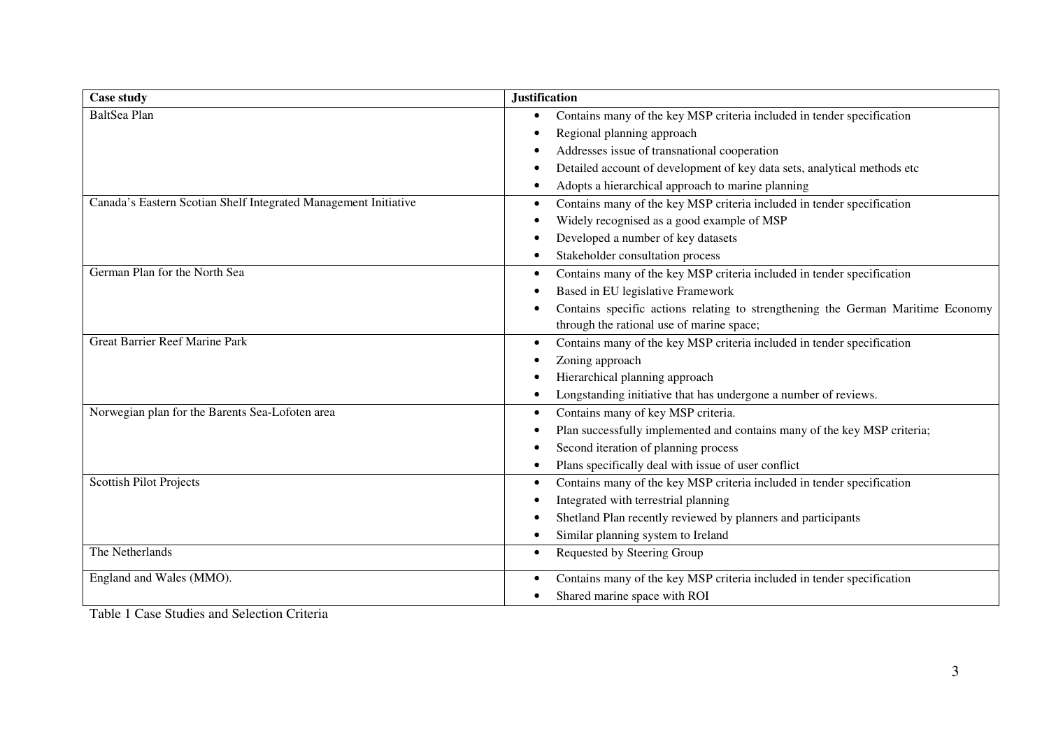| <b>Case study</b>                                               | <b>Justification</b>                                                                |
|-----------------------------------------------------------------|-------------------------------------------------------------------------------------|
| BaltSea Plan                                                    | Contains many of the key MSP criteria included in tender specification<br>$\bullet$ |
|                                                                 | Regional planning approach<br>٠                                                     |
|                                                                 | Addresses issue of transnational cooperation                                        |
|                                                                 | Detailed account of development of key data sets, analytical methods etc            |
|                                                                 | Adopts a hierarchical approach to marine planning<br>$\bullet$                      |
| Canada's Eastern Scotian Shelf Integrated Management Initiative | Contains many of the key MSP criteria included in tender specification              |
|                                                                 | Widely recognised as a good example of MSP                                          |
|                                                                 | Developed a number of key datasets                                                  |
|                                                                 | Stakeholder consultation process                                                    |
| German Plan for the North Sea                                   | Contains many of the key MSP criteria included in tender specification<br>$\bullet$ |
|                                                                 | Based in EU legislative Framework                                                   |
|                                                                 | Contains specific actions relating to strengthening the German Maritime Economy     |
|                                                                 | through the rational use of marine space;                                           |
| <b>Great Barrier Reef Marine Park</b>                           | Contains many of the key MSP criteria included in tender specification              |
|                                                                 | Zoning approach                                                                     |
|                                                                 | Hierarchical planning approach                                                      |
|                                                                 | Longstanding initiative that has undergone a number of reviews.                     |
| Norwegian plan for the Barents Sea-Lofoten area                 | Contains many of key MSP criteria.<br>$\bullet$                                     |
|                                                                 | Plan successfully implemented and contains many of the key MSP criteria;            |
|                                                                 | Second iteration of planning process                                                |
|                                                                 | Plans specifically deal with issue of user conflict                                 |
| Scottish Pilot Projects                                         | Contains many of the key MSP criteria included in tender specification<br>$\bullet$ |
|                                                                 | Integrated with terrestrial planning                                                |
|                                                                 | Shetland Plan recently reviewed by planners and participants                        |
|                                                                 | Similar planning system to Ireland                                                  |
| The Netherlands                                                 | Requested by Steering Group                                                         |
| England and Wales (MMO).                                        | Contains many of the key MSP criteria included in tender specification              |
|                                                                 | Shared marine space with ROI                                                        |

Table 1 Case Studies and Selection Criteria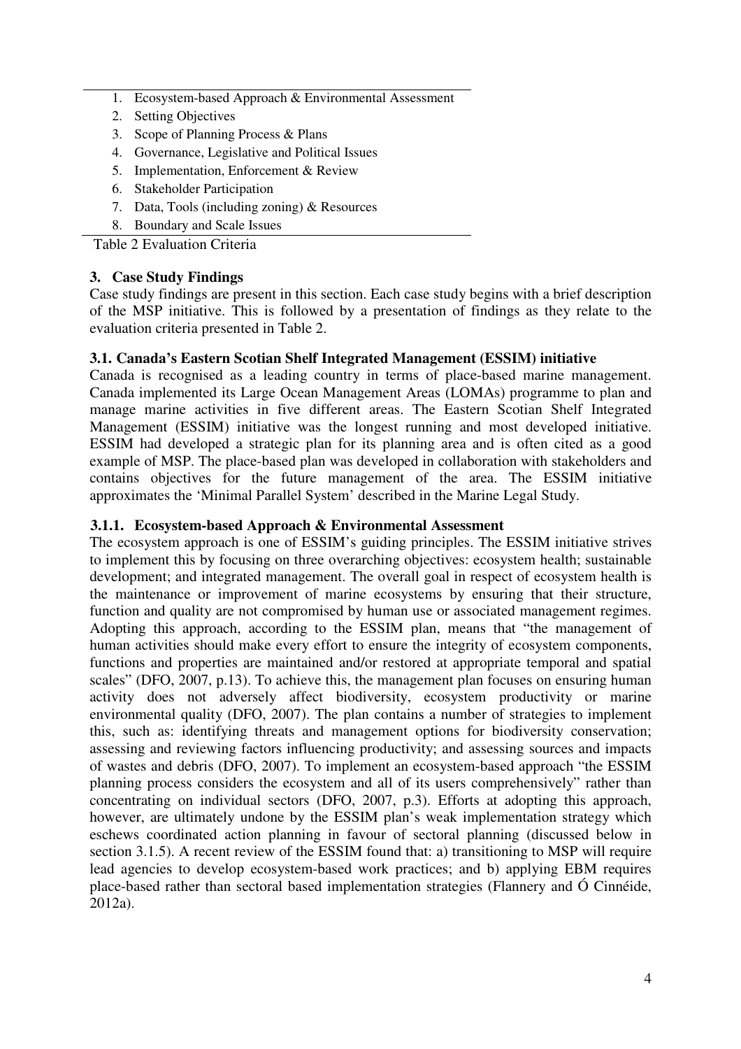- 1. Ecosystem-based Approach & Environmental Assessment
- 2. Setting Objectives
- 3. Scope of Planning Process & Plans
- 4. Governance, Legislative and Political Issues
- 5. Implementation, Enforcement & Review
- 6. Stakeholder Participation
- 7. Data, Tools (including zoning) & Resources
- 8. Boundary and Scale Issues

Table 2 Evaluation Criteria

## **3. Case Study Findings**

Case study findings are present in this section. Each case study begins with a brief description of the MSP initiative. This is followed by a presentation of findings as they relate to the evaluation criteria presented in Table 2.

#### **3.1. Canada's Eastern Scotian Shelf Integrated Management (ESSIM) initiative**

Canada is recognised as a leading country in terms of place-based marine management. Canada implemented its Large Ocean Management Areas (LOMAs) programme to plan and manage marine activities in five different areas. The Eastern Scotian Shelf Integrated Management (ESSIM) initiative was the longest running and most developed initiative. ESSIM had developed a strategic plan for its planning area and is often cited as a good example of MSP. The place-based plan was developed in collaboration with stakeholders and contains objectives for the future management of the area. The ESSIM initiative approximates the 'Minimal Parallel System' described in the Marine Legal Study.

#### **3.1.1. Ecosystem-based Approach & Environmental Assessment**

The ecosystem approach is one of ESSIM's guiding principles. The ESSIM initiative strives to implement this by focusing on three overarching objectives: ecosystem health; sustainable development; and integrated management. The overall goal in respect of ecosystem health is the maintenance or improvement of marine ecosystems by ensuring that their structure, function and quality are not compromised by human use or associated management regimes. Adopting this approach, according to the ESSIM plan, means that "the management of human activities should make every effort to ensure the integrity of ecosystem components, functions and properties are maintained and/or restored at appropriate temporal and spatial scales" (DFO, 2007, p.13). To achieve this, the management plan focuses on ensuring human activity does not adversely affect biodiversity, ecosystem productivity or marine environmental quality (DFO, 2007). The plan contains a number of strategies to implement this, such as: identifying threats and management options for biodiversity conservation; assessing and reviewing factors influencing productivity; and assessing sources and impacts of wastes and debris (DFO, 2007). To implement an ecosystem-based approach "the ESSIM planning process considers the ecosystem and all of its users comprehensively" rather than concentrating on individual sectors (DFO, 2007, p.3). Efforts at adopting this approach, however, are ultimately undone by the ESSIM plan's weak implementation strategy which eschews coordinated action planning in favour of sectoral planning (discussed below in section 3.1.5). A recent review of the ESSIM found that: a) transitioning to MSP will require lead agencies to develop ecosystem-based work practices; and b) applying EBM requires place-based rather than sectoral based implementation strategies (Flannery and Ó Cinnéide, 2012a).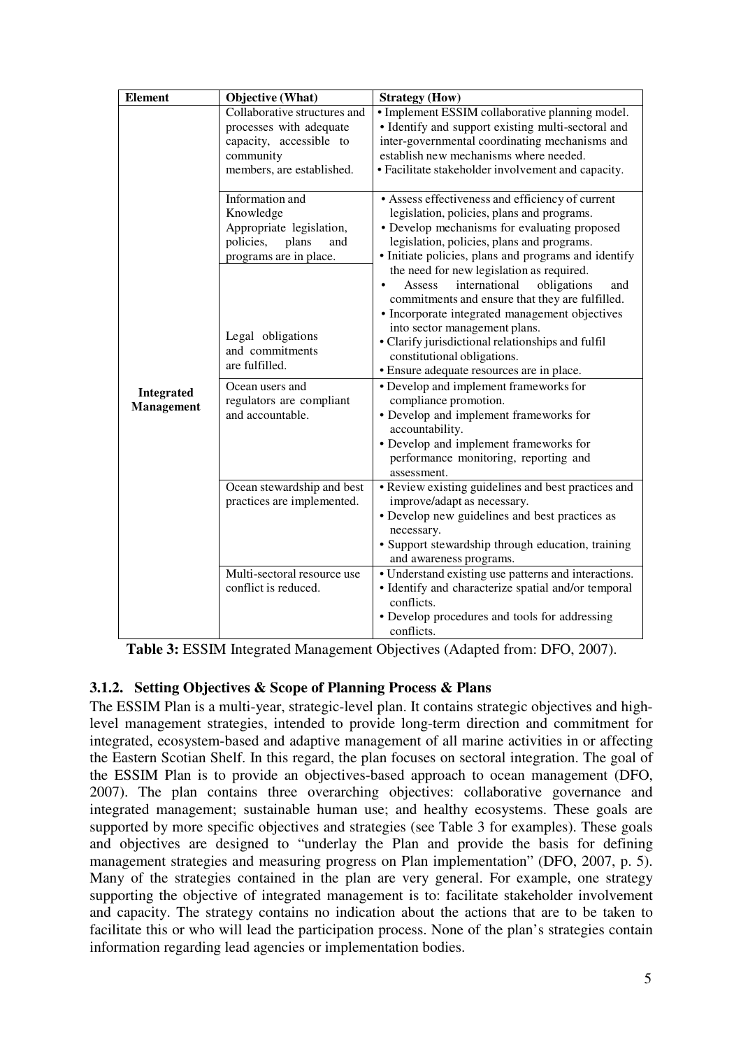| <b>Element</b> | Objective (What)             | <b>Strategy</b> (How)                                                              |
|----------------|------------------------------|------------------------------------------------------------------------------------|
|                | Collaborative structures and | • Implement ESSIM collaborative planning model.                                    |
|                | processes with adequate      | • Identify and support existing multi-sectoral and                                 |
|                | capacity, accessible to      | inter-governmental coordinating mechanisms and                                     |
|                | community                    | establish new mechanisms where needed.                                             |
|                | members, are established.    | · Facilitate stakeholder involvement and capacity.                                 |
|                | Information and              | • Assess effectiveness and efficiency of current                                   |
|                | Knowledge                    | legislation, policies, plans and programs.                                         |
|                | Appropriate legislation,     | • Develop mechanisms for evaluating proposed                                       |
|                | policies,<br>plans<br>and    | legislation, policies, plans and programs.                                         |
|                | programs are in place.       | · Initiate policies, plans and programs and identify                               |
|                |                              | the need for new legislation as required.                                          |
|                |                              | international<br>obligations<br>Assess<br>and                                      |
|                |                              | commitments and ensure that they are fulfilled.                                    |
|                |                              | • Incorporate integrated management objectives                                     |
|                | Legal obligations            | into sector management plans.<br>• Clarify jurisdictional relationships and fulfil |
|                | and commitments              | constitutional obligations.                                                        |
|                | are fulfilled.               | • Ensure adequate resources are in place.                                          |
|                | Ocean users and              | • Develop and implement frameworks for                                             |
| Integrated     | regulators are compliant     | compliance promotion.                                                              |
| Management     | and accountable.             | • Develop and implement frameworks for                                             |
|                |                              | accountability.                                                                    |
|                |                              | • Develop and implement frameworks for                                             |
|                |                              | performance monitoring, reporting and                                              |
|                |                              | assessment.                                                                        |
|                | Ocean stewardship and best   | • Review existing guidelines and best practices and                                |
|                | practices are implemented.   | improve/adapt as necessary.                                                        |
|                |                              | • Develop new guidelines and best practices as                                     |
|                |                              | necessary.                                                                         |
|                |                              | • Support stewardship through education, training                                  |
|                |                              | and awareness programs.                                                            |
|                | Multi-sectoral resource use  | • Understand existing use patterns and interactions.                               |
|                | conflict is reduced.         | · Identify and characterize spatial and/or temporal                                |
|                |                              | conflicts.                                                                         |
|                |                              | • Develop procedures and tools for addressing                                      |
|                |                              | conflicts.                                                                         |

**Table 3:** ESSIM Integrated Management Objectives (Adapted from: DFO, 2007).

## **3.1.2. Setting Objectives & Scope of Planning Process & Plans**

The ESSIM Plan is a multi-year, strategic-level plan. It contains strategic objectives and highlevel management strategies, intended to provide long-term direction and commitment for integrated, ecosystem-based and adaptive management of all marine activities in or affecting the Eastern Scotian Shelf. In this regard, the plan focuses on sectoral integration. The goal of the ESSIM Plan is to provide an objectives-based approach to ocean management (DFO, 2007). The plan contains three overarching objectives: collaborative governance and integrated management; sustainable human use; and healthy ecosystems. These goals are supported by more specific objectives and strategies (see Table 3 for examples). These goals and objectives are designed to "underlay the Plan and provide the basis for defining management strategies and measuring progress on Plan implementation" (DFO, 2007, p. 5). Many of the strategies contained in the plan are very general. For example, one strategy supporting the objective of integrated management is to: facilitate stakeholder involvement and capacity. The strategy contains no indication about the actions that are to be taken to facilitate this or who will lead the participation process. None of the plan's strategies contain information regarding lead agencies or implementation bodies.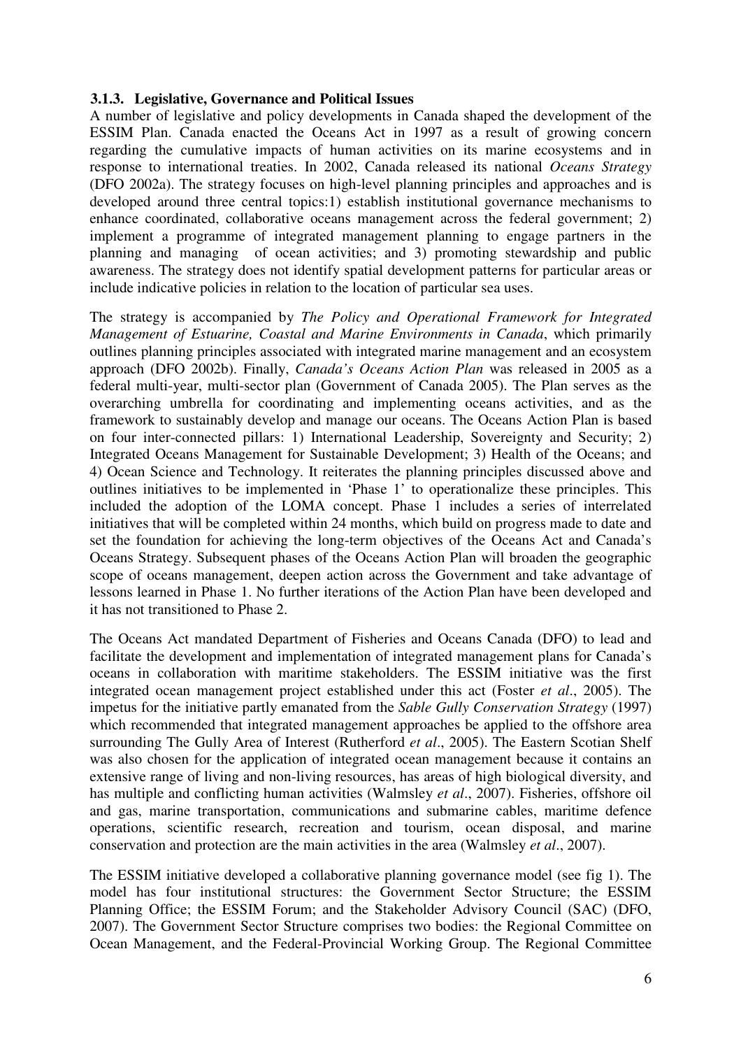#### **3.1.3. Legislative, Governance and Political Issues**

A number of legislative and policy developments in Canada shaped the development of the ESSIM Plan. Canada enacted the Oceans Act in 1997 as a result of growing concern regarding the cumulative impacts of human activities on its marine ecosystems and in response to international treaties. In 2002, Canada released its national *Oceans Strategy* (DFO 2002a). The strategy focuses on high-level planning principles and approaches and is developed around three central topics:1) establish institutional governance mechanisms to enhance coordinated, collaborative oceans management across the federal government; 2) implement a programme of integrated management planning to engage partners in the planning and managing of ocean activities; and 3) promoting stewardship and public awareness. The strategy does not identify spatial development patterns for particular areas or include indicative policies in relation to the location of particular sea uses.

The strategy is accompanied by *The Policy and Operational Framework for Integrated Management of Estuarine, Coastal and Marine Environments in Canada*, which primarily outlines planning principles associated with integrated marine management and an ecosystem approach (DFO 2002b). Finally, *Canada's Oceans Action Plan* was released in 2005 as a federal multi-year, multi-sector plan (Government of Canada 2005). The Plan serves as the overarching umbrella for coordinating and implementing oceans activities, and as the framework to sustainably develop and manage our oceans. The Oceans Action Plan is based on four inter-connected pillars: 1) International Leadership, Sovereignty and Security; 2) Integrated Oceans Management for Sustainable Development; 3) Health of the Oceans; and 4) Ocean Science and Technology. It reiterates the planning principles discussed above and outlines initiatives to be implemented in 'Phase 1' to operationalize these principles. This included the adoption of the LOMA concept. Phase 1 includes a series of interrelated initiatives that will be completed within 24 months, which build on progress made to date and set the foundation for achieving the long-term objectives of the Oceans Act and Canada's Oceans Strategy. Subsequent phases of the Oceans Action Plan will broaden the geographic scope of oceans management, deepen action across the Government and take advantage of lessons learned in Phase 1. No further iterations of the Action Plan have been developed and it has not transitioned to Phase 2.

The Oceans Act mandated Department of Fisheries and Oceans Canada (DFO) to lead and facilitate the development and implementation of integrated management plans for Canada's oceans in collaboration with maritime stakeholders. The ESSIM initiative was the first integrated ocean management project established under this act (Foster *et al*., 2005). The impetus for the initiative partly emanated from the *Sable Gully Conservation Strategy* (1997) which recommended that integrated management approaches be applied to the offshore area surrounding The Gully Area of Interest (Rutherford *et al*., 2005). The Eastern Scotian Shelf was also chosen for the application of integrated ocean management because it contains an extensive range of living and non-living resources, has areas of high biological diversity, and has multiple and conflicting human activities (Walmsley *et al*., 2007). Fisheries, offshore oil and gas, marine transportation, communications and submarine cables, maritime defence operations, scientific research, recreation and tourism, ocean disposal, and marine conservation and protection are the main activities in the area (Walmsley *et al*., 2007).

The ESSIM initiative developed a collaborative planning governance model (see fig 1). The model has four institutional structures: the Government Sector Structure; the ESSIM Planning Office; the ESSIM Forum; and the Stakeholder Advisory Council (SAC) (DFO, 2007). The Government Sector Structure comprises two bodies: the Regional Committee on Ocean Management, and the Federal-Provincial Working Group. The Regional Committee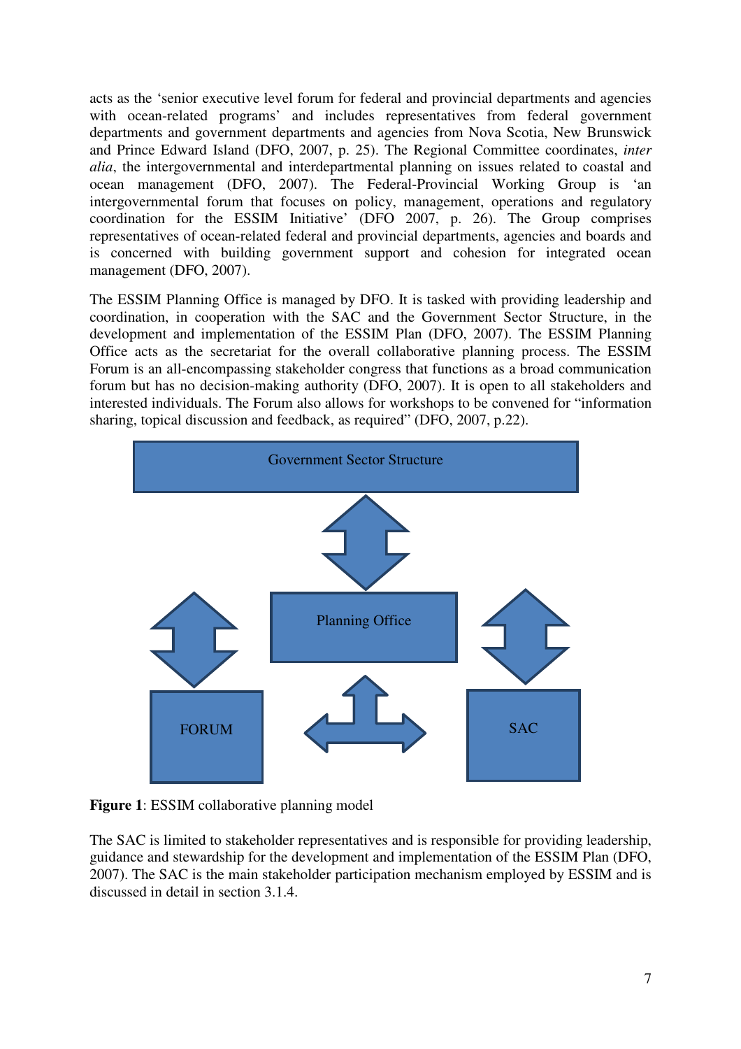acts as the 'senior executive level forum for federal and provincial departments and agencies with ocean-related programs' and includes representatives from federal government departments and government departments and agencies from Nova Scotia, New Brunswick and Prince Edward Island (DFO, 2007, p. 25). The Regional Committee coordinates, *inter alia*, the intergovernmental and interdepartmental planning on issues related to coastal and ocean management (DFO, 2007). The Federal-Provincial Working Group is 'an intergovernmental forum that focuses on policy, management, operations and regulatory coordination for the ESSIM Initiative' (DFO 2007, p. 26). The Group comprises representatives of ocean-related federal and provincial departments, agencies and boards and is concerned with building government support and cohesion for integrated ocean management (DFO, 2007).

The ESSIM Planning Office is managed by DFO. It is tasked with providing leadership and coordination, in cooperation with the SAC and the Government Sector Structure, in the development and implementation of the ESSIM Plan (DFO, 2007). The ESSIM Planning Office acts as the secretariat for the overall collaborative planning process. The ESSIM Forum is an all-encompassing stakeholder congress that functions as a broad communication forum but has no decision-making authority (DFO, 2007). It is open to all stakeholders and interested individuals. The Forum also allows for workshops to be convened for "information sharing, topical discussion and feedback, as required" (DFO, 2007, p.22).



**Figure 1**: ESSIM collaborative planning model

The SAC is limited to stakeholder representatives and is responsible for providing leadership, guidance and stewardship for the development and implementation of the ESSIM Plan (DFO, 2007). The SAC is the main stakeholder participation mechanism employed by ESSIM and is discussed in detail in section 3.1.4.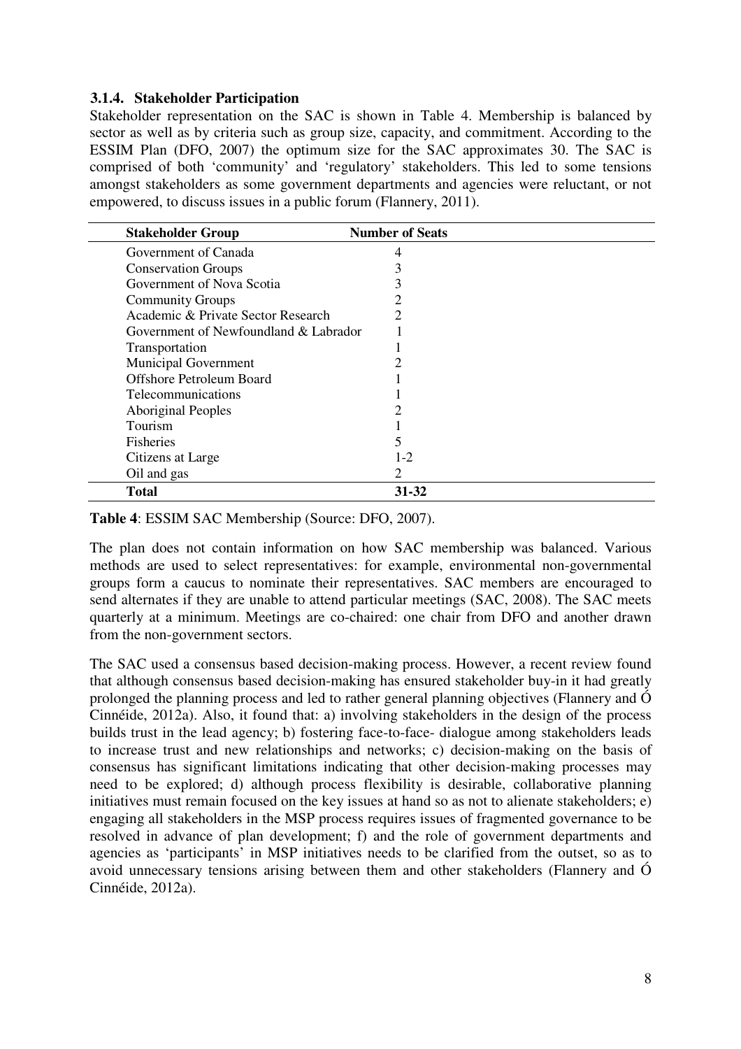#### **3.1.4. Stakeholder Participation**

Stakeholder representation on the SAC is shown in Table 4. Membership is balanced by sector as well as by criteria such as group size, capacity, and commitment. According to the ESSIM Plan (DFO, 2007) the optimum size for the SAC approximates 30. The SAC is comprised of both 'community' and 'regulatory' stakeholders. This led to some tensions amongst stakeholders as some government departments and agencies were reluctant, or not empowered, to discuss issues in a public forum (Flannery, 2011).

| <b>Stakeholder Group</b>              | <b>Number of Seats</b> |  |
|---------------------------------------|------------------------|--|
| Government of Canada                  | 4                      |  |
| <b>Conservation Groups</b>            |                        |  |
| Government of Nova Scotia             |                        |  |
| <b>Community Groups</b>               |                        |  |
| Academic & Private Sector Research    | 2                      |  |
| Government of Newfoundland & Labrador |                        |  |
| Transportation                        |                        |  |
| <b>Municipal Government</b>           |                        |  |
| <b>Offshore Petroleum Board</b>       |                        |  |
| <b>Telecommunications</b>             |                        |  |
| <b>Aboriginal Peoples</b>             |                        |  |
| Tourism                               |                        |  |
| <b>Fisheries</b>                      | 5                      |  |
| Citizens at Large                     | $1-2$                  |  |
| Oil and gas                           | 2                      |  |
| <b>Total</b>                          | 31-32                  |  |

**Table 4**: ESSIM SAC Membership (Source: DFO, 2007).

The plan does not contain information on how SAC membership was balanced. Various methods are used to select representatives: for example, environmental non-governmental groups form a caucus to nominate their representatives. SAC members are encouraged to send alternates if they are unable to attend particular meetings (SAC, 2008). The SAC meets quarterly at a minimum. Meetings are co-chaired: one chair from DFO and another drawn from the non-government sectors.

The SAC used a consensus based decision-making process. However, a recent review found that although consensus based decision-making has ensured stakeholder buy-in it had greatly prolonged the planning process and led to rather general planning objectives (Flannery and Ó Cinnéide, 2012a). Also, it found that: a) involving stakeholders in the design of the process builds trust in the lead agency; b) fostering face-to-face- dialogue among stakeholders leads to increase trust and new relationships and networks; c) decision-making on the basis of consensus has significant limitations indicating that other decision-making processes may need to be explored; d) although process flexibility is desirable, collaborative planning initiatives must remain focused on the key issues at hand so as not to alienate stakeholders; e) engaging all stakeholders in the MSP process requires issues of fragmented governance to be resolved in advance of plan development; f) and the role of government departments and agencies as 'participants' in MSP initiatives needs to be clarified from the outset, so as to avoid unnecessary tensions arising between them and other stakeholders (Flannery and Ó Cinnéide, 2012a).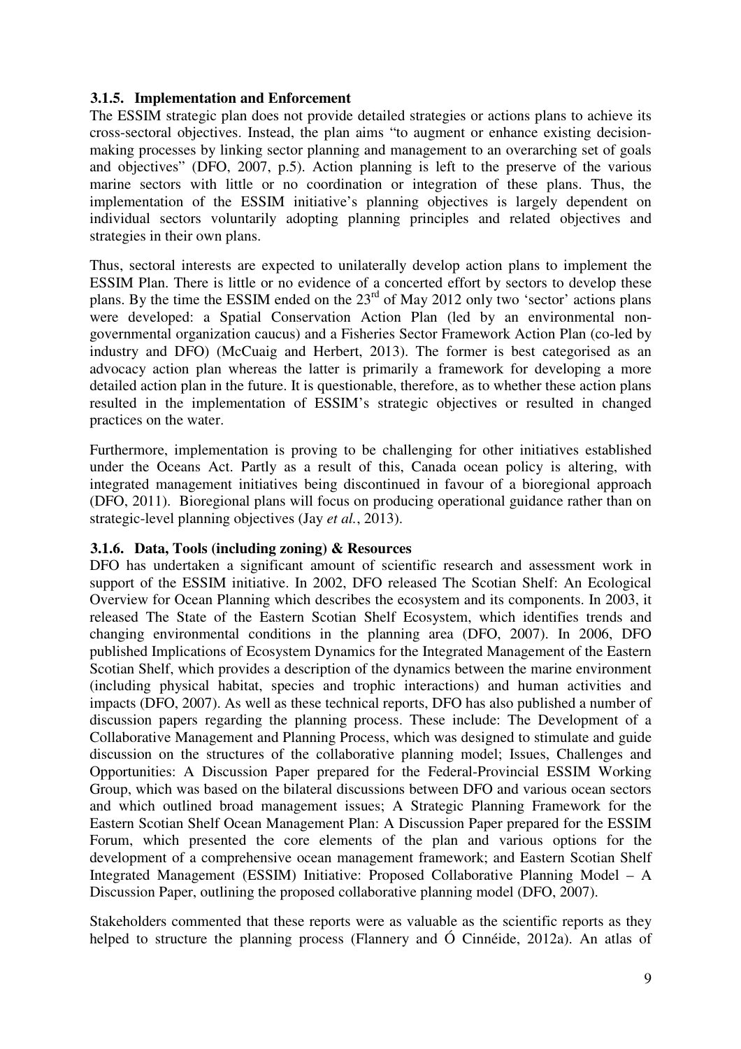#### **3.1.5. Implementation and Enforcement**

The ESSIM strategic plan does not provide detailed strategies or actions plans to achieve its cross-sectoral objectives. Instead, the plan aims "to augment or enhance existing decisionmaking processes by linking sector planning and management to an overarching set of goals and objectives" (DFO, 2007, p.5). Action planning is left to the preserve of the various marine sectors with little or no coordination or integration of these plans. Thus, the implementation of the ESSIM initiative's planning objectives is largely dependent on individual sectors voluntarily adopting planning principles and related objectives and strategies in their own plans.

Thus, sectoral interests are expected to unilaterally develop action plans to implement the ESSIM Plan. There is little or no evidence of a concerted effort by sectors to develop these plans. By the time the ESSIM ended on the  $23<sup>rd</sup>$  of May 2012 only two 'sector' actions plans were developed: a Spatial Conservation Action Plan (led by an environmental nongovernmental organization caucus) and a Fisheries Sector Framework Action Plan (co-led by industry and DFO) (McCuaig and Herbert, 2013). The former is best categorised as an advocacy action plan whereas the latter is primarily a framework for developing a more detailed action plan in the future. It is questionable, therefore, as to whether these action plans resulted in the implementation of ESSIM's strategic objectives or resulted in changed practices on the water.

Furthermore, implementation is proving to be challenging for other initiatives established under the Oceans Act. Partly as a result of this, Canada ocean policy is altering, with integrated management initiatives being discontinued in favour of a bioregional approach (DFO, 2011). Bioregional plans will focus on producing operational guidance rather than on strategic-level planning objectives (Jay *et al.*, 2013).

## **3.1.6. Data, Tools (including zoning) & Resources**

DFO has undertaken a significant amount of scientific research and assessment work in support of the ESSIM initiative. In 2002, DFO released The Scotian Shelf: An Ecological Overview for Ocean Planning which describes the ecosystem and its components. In 2003, it released The State of the Eastern Scotian Shelf Ecosystem, which identifies trends and changing environmental conditions in the planning area (DFO, 2007). In 2006, DFO published Implications of Ecosystem Dynamics for the Integrated Management of the Eastern Scotian Shelf, which provides a description of the dynamics between the marine environment (including physical habitat, species and trophic interactions) and human activities and impacts (DFO, 2007). As well as these technical reports, DFO has also published a number of discussion papers regarding the planning process. These include: The Development of a Collaborative Management and Planning Process, which was designed to stimulate and guide discussion on the structures of the collaborative planning model; Issues, Challenges and Opportunities: A Discussion Paper prepared for the Federal-Provincial ESSIM Working Group, which was based on the bilateral discussions between DFO and various ocean sectors and which outlined broad management issues; A Strategic Planning Framework for the Eastern Scotian Shelf Ocean Management Plan: A Discussion Paper prepared for the ESSIM Forum, which presented the core elements of the plan and various options for the development of a comprehensive ocean management framework; and Eastern Scotian Shelf Integrated Management (ESSIM) Initiative: Proposed Collaborative Planning Model – A Discussion Paper, outlining the proposed collaborative planning model (DFO, 2007).

Stakeholders commented that these reports were as valuable as the scientific reports as they helped to structure the planning process (Flannery and Ó Cinnéide, 2012a). An atlas of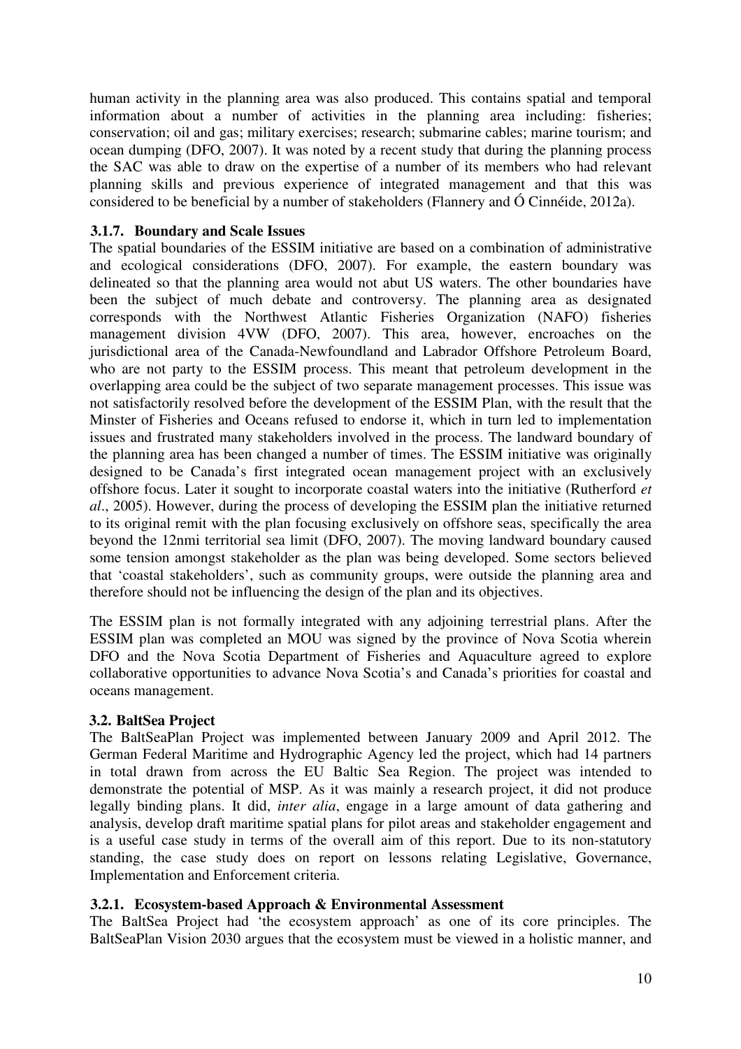human activity in the planning area was also produced. This contains spatial and temporal information about a number of activities in the planning area including: fisheries; conservation; oil and gas; military exercises; research; submarine cables; marine tourism; and ocean dumping (DFO, 2007). It was noted by a recent study that during the planning process the SAC was able to draw on the expertise of a number of its members who had relevant planning skills and previous experience of integrated management and that this was considered to be beneficial by a number of stakeholders (Flannery and Ó Cinnéide, 2012a).

### **3.1.7. Boundary and Scale Issues**

The spatial boundaries of the ESSIM initiative are based on a combination of administrative and ecological considerations (DFO, 2007). For example, the eastern boundary was delineated so that the planning area would not abut US waters. The other boundaries have been the subject of much debate and controversy. The planning area as designated corresponds with the Northwest Atlantic Fisheries Organization (NAFO) fisheries management division 4VW (DFO, 2007). This area, however, encroaches on the jurisdictional area of the Canada-Newfoundland and Labrador Offshore Petroleum Board, who are not party to the ESSIM process. This meant that petroleum development in the overlapping area could be the subject of two separate management processes. This issue was not satisfactorily resolved before the development of the ESSIM Plan, with the result that the Minster of Fisheries and Oceans refused to endorse it, which in turn led to implementation issues and frustrated many stakeholders involved in the process. The landward boundary of the planning area has been changed a number of times. The ESSIM initiative was originally designed to be Canada's first integrated ocean management project with an exclusively offshore focus. Later it sought to incorporate coastal waters into the initiative (Rutherford *et al*., 2005). However, during the process of developing the ESSIM plan the initiative returned to its original remit with the plan focusing exclusively on offshore seas, specifically the area beyond the 12nmi territorial sea limit (DFO, 2007). The moving landward boundary caused some tension amongst stakeholder as the plan was being developed. Some sectors believed that 'coastal stakeholders', such as community groups, were outside the planning area and therefore should not be influencing the design of the plan and its objectives.

The ESSIM plan is not formally integrated with any adjoining terrestrial plans. After the ESSIM plan was completed an MOU was signed by the province of Nova Scotia wherein DFO and the Nova Scotia Department of Fisheries and Aquaculture agreed to explore collaborative opportunities to advance Nova Scotia's and Canada's priorities for coastal and oceans management.

#### **3.2. BaltSea Project**

The BaltSeaPlan Project was implemented between January 2009 and April 2012. The German Federal Maritime and Hydrographic Agency led the project, which had 14 partners in total drawn from across the EU Baltic Sea Region. The project was intended to demonstrate the potential of MSP. As it was mainly a research project, it did not produce legally binding plans. It did, *inter alia*, engage in a large amount of data gathering and analysis, develop draft maritime spatial plans for pilot areas and stakeholder engagement and is a useful case study in terms of the overall aim of this report. Due to its non-statutory standing, the case study does on report on lessons relating Legislative, Governance, Implementation and Enforcement criteria.

#### **3.2.1. Ecosystem-based Approach & Environmental Assessment**

The BaltSea Project had 'the ecosystem approach' as one of its core principles. The BaltSeaPlan Vision 2030 argues that the ecosystem must be viewed in a holistic manner, and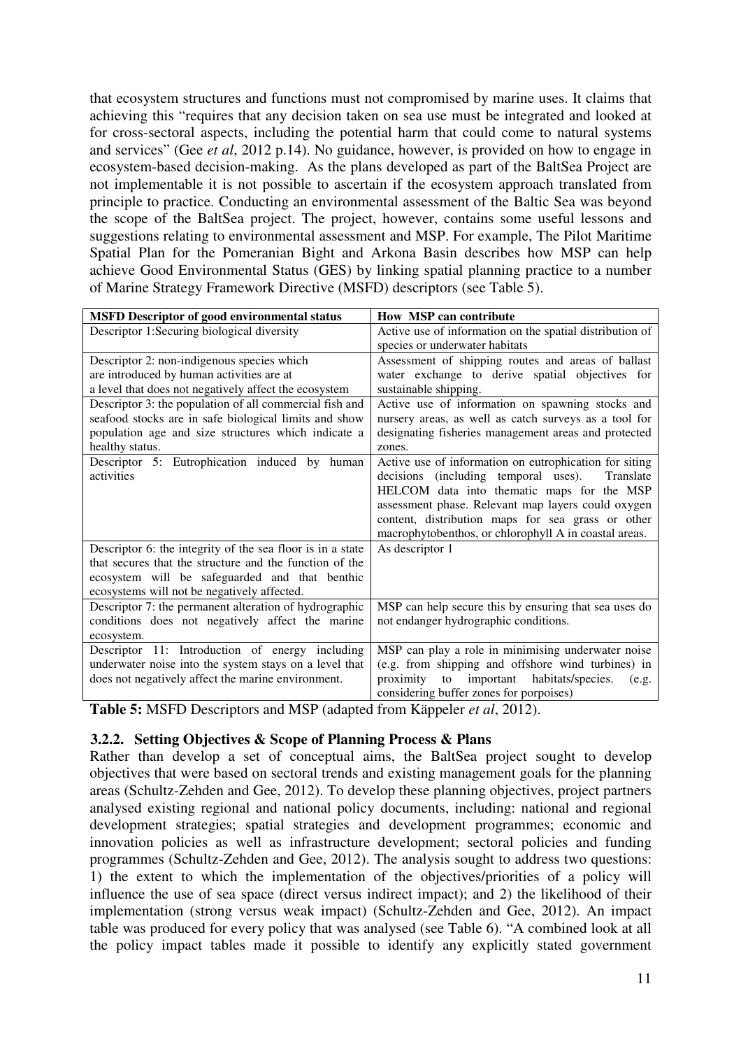that ecosystem structures and functions must not compromised by marine uses. It claims that achieving this "requires that any decision taken on sea use must be integrated and looked at for cross-sectoral aspects, including the potential harm that could come to natural systems and services" (Gee *et al*, 2012 p.14). No guidance, however, is provided on how to engage in ecosystem-based decision-making. As the plans developed as part of the BaltSea Project are not implementable it is not possible to ascertain if the ecosystem approach translated from principle to practice. Conducting an environmental assessment of the Baltic Sea was beyond the scope of the BaltSea project. The project, however, contains some useful lessons and suggestions relating to environmental assessment and MSP. For example, The Pilot Maritime Spatial Plan for the Pomeranian Bight and Arkona Basin describes how MSP can help achieve Good Environmental Status (GES) by linking spatial planning practice to a number of Marine Strategy Framework Directive (MSFD) descriptors (see Table 5).

| <b>MSFD Descriptor of good environmental status</b>        | <b>How MSP can contribute</b>                            |
|------------------------------------------------------------|----------------------------------------------------------|
| Descriptor 1:Securing biological diversity                 | Active use of information on the spatial distribution of |
|                                                            | species or underwater habitats                           |
| Descriptor 2: non-indigenous species which                 | Assessment of shipping routes and areas of ballast       |
| are introduced by human activities are at                  | water exchange to derive spatial objectives for          |
| a level that does not negatively affect the ecosystem      | sustainable shipping.                                    |
| Descriptor 3: the population of all commercial fish and    | Active use of information on spawning stocks and         |
| seafood stocks are in safe biological limits and show      | nursery areas, as well as catch surveys as a tool for    |
| population age and size structures which indicate a        | designating fisheries management areas and protected     |
| healthy status.                                            | zones.                                                   |
| Descriptor 5: Eutrophication induced by human              | Active use of information on eutrophication for siting   |
| activities                                                 | decisions (including temporal uses).<br>Translate        |
|                                                            | HELCOM data into thematic maps for the MSP               |
|                                                            | assessment phase. Relevant map layers could oxygen       |
|                                                            | content, distribution maps for sea grass or other        |
|                                                            | macrophytobenthos, or chlorophyll A in coastal areas.    |
| Descriptor 6: the integrity of the sea floor is in a state | As descriptor 1                                          |
| that secures that the structure and the function of the    |                                                          |
| ecosystem will be safeguarded and that benthic             |                                                          |
| ecosystems will not be negatively affected.                |                                                          |
| Descriptor 7: the permanent alteration of hydrographic     | MSP can help secure this by ensuring that sea uses do    |
| conditions does not negatively affect the marine           | not endanger hydrographic conditions.                    |
| ecosystem.                                                 |                                                          |
| Descriptor 11: Introduction of energy including            | MSP can play a role in minimising underwater noise       |
| underwater noise into the system stays on a level that     | (e.g. from shipping and offshore wind turbines) in       |
| does not negatively affect the marine environment.         | important habitats/species.<br>proximity<br>to<br>(e.g.  |
|                                                            | considering buffer zones for porpoises)                  |

**Table 5:** MSFD Descriptors and MSP (adapted from Käppeler *et al*, 2012).

## **3.2.2. Setting Objectives & Scope of Planning Process & Plans**

Rather than develop a set of conceptual aims, the BaltSea project sought to develop objectives that were based on sectoral trends and existing management goals for the planning areas (Schultz-Zehden and Gee, 2012). To develop these planning objectives, project partners analysed existing regional and national policy documents, including: national and regional development strategies; spatial strategies and development programmes; economic and innovation policies as well as infrastructure development; sectoral policies and funding programmes (Schultz-Zehden and Gee, 2012). The analysis sought to address two questions: 1) the extent to which the implementation of the objectives/priorities of a policy will influence the use of sea space (direct versus indirect impact); and 2) the likelihood of their implementation (strong versus weak impact) (Schultz-Zehden and Gee, 2012). An impact table was produced for every policy that was analysed (see Table 6). "A combined look at all the policy impact tables made it possible to identify any explicitly stated government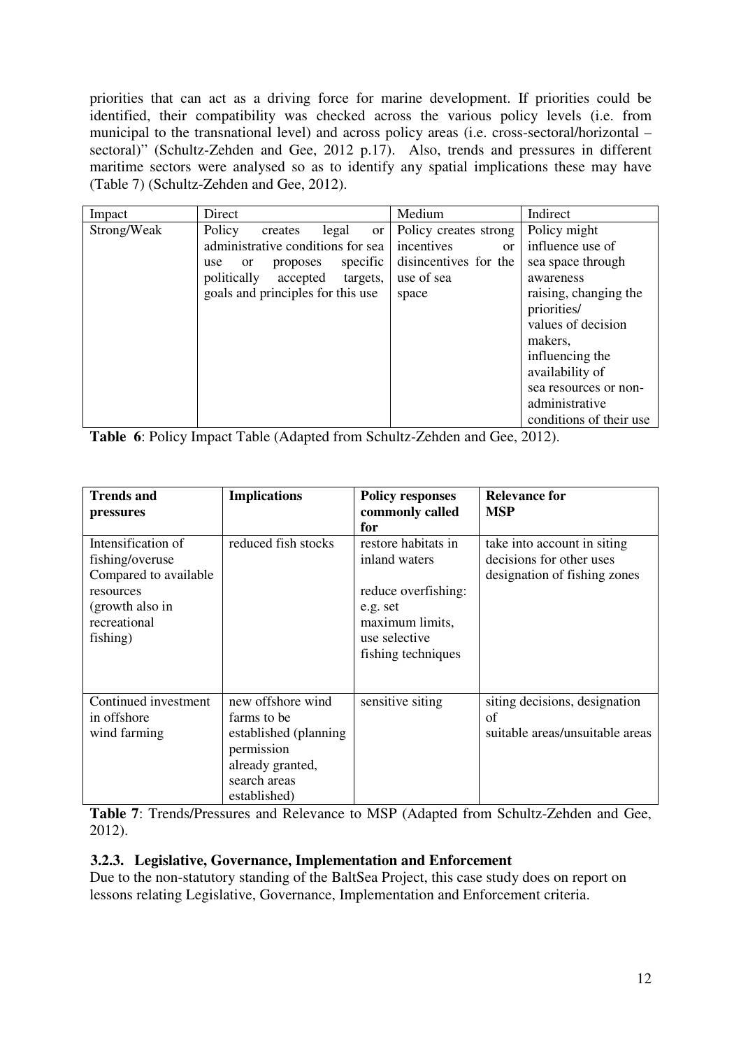priorities that can act as a driving force for marine development. If priorities could be identified, their compatibility was checked across the various policy levels (i.e. from municipal to the transnational level) and across policy areas (i.e. cross-sectoral/horizontal – sectoral)" (Schultz-Zehden and Gee, 2012 p.17). Also, trends and pressures in different maritime sectors were analysed so as to identify any spatial implications these may have (Table 7) (Schultz-Zehden and Gee, 2012).

| Impact      | Direct                                       | Medium                  | Indirect                 |
|-------------|----------------------------------------------|-------------------------|--------------------------|
| Strong/Weak | Policy<br>legal<br>creates<br><b>or</b>      | Policy creates strong   | Policy might             |
|             | administrative conditions for sea            | incentives<br><b>or</b> | influence use of         |
|             | specific<br>proposes<br>use<br><sub>or</sub> | disincentives for the   | sea space through        |
|             | politically<br>accepted<br>targets,          | use of sea              | awareness                |
|             | goals and principles for this use            | space                   | raising, changing the    |
|             |                                              |                         | priorities/              |
|             |                                              |                         | values of decision       |
|             |                                              |                         | makers,                  |
|             |                                              |                         | influencing the          |
|             |                                              |                         | availability of          |
|             |                                              |                         | sea resources or non-    |
|             |                                              |                         | administrative           |
|             |                                              |                         | conditions of their use. |

**Table 6**: Policy Impact Table (Adapted from Schultz-Zehden and Gee, 2012).

| <b>Trends and</b><br>pressures                                                                                             | <b>Implications</b>                                                                                                          | <b>Policy responses</b><br>commonly called<br>for                                                                                 | <b>Relevance for</b><br><b>MSP</b>                                                      |
|----------------------------------------------------------------------------------------------------------------------------|------------------------------------------------------------------------------------------------------------------------------|-----------------------------------------------------------------------------------------------------------------------------------|-----------------------------------------------------------------------------------------|
| Intensification of<br>fishing/overuse<br>Compared to available<br>resources<br>(growth also in<br>recreational<br>fishing) | reduced fish stocks                                                                                                          | restore habitats in<br>inland waters<br>reduce overfishing:<br>e.g. set<br>maximum limits,<br>use selective<br>fishing techniques | take into account in siting<br>decisions for other uses<br>designation of fishing zones |
| Continued investment<br>in offshore<br>wind farming                                                                        | new offshore wind<br>farms to be<br>established (planning)<br>permission<br>already granted,<br>search areas<br>established) | sensitive siting                                                                                                                  | siting decisions, designation<br>of<br>suitable areas/unsuitable areas                  |

**Table 7**: Trends/Pressures and Relevance to MSP (Adapted from Schultz-Zehden and Gee, 2012).

## **3.2.3. Legislative, Governance, Implementation and Enforcement**

Due to the non-statutory standing of the BaltSea Project, this case study does on report on lessons relating Legislative, Governance, Implementation and Enforcement criteria.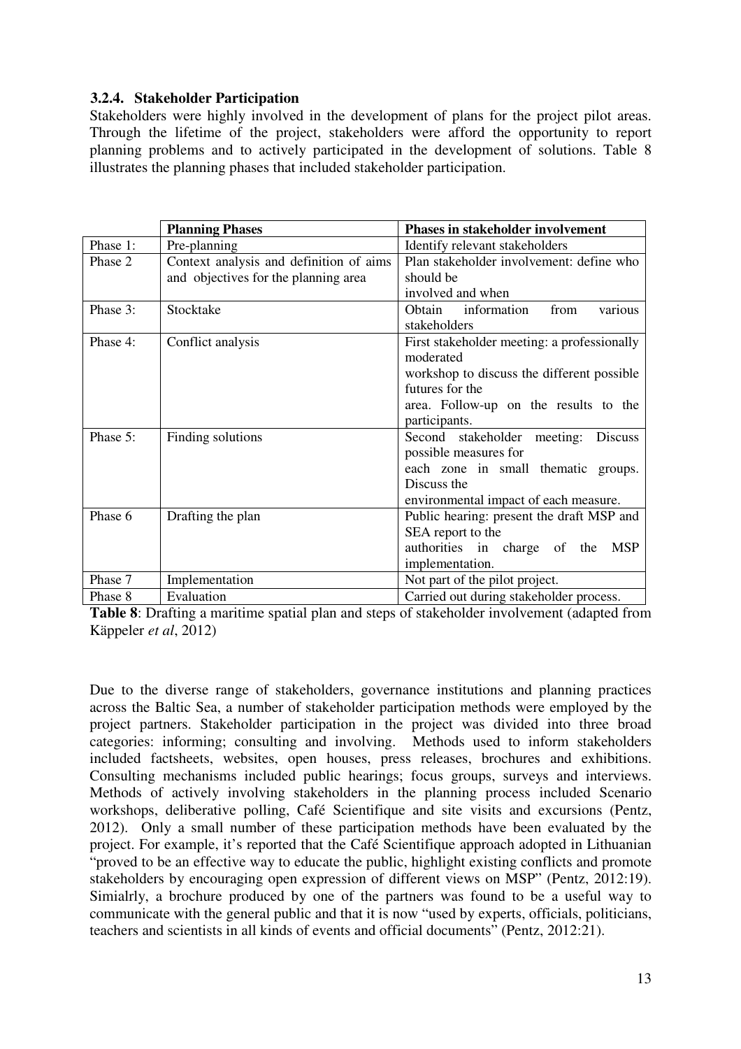## **3.2.4. Stakeholder Participation**

Stakeholders were highly involved in the development of plans for the project pilot areas. Through the lifetime of the project, stakeholders were afford the opportunity to report planning problems and to actively participated in the development of solutions. Table 8 illustrates the planning phases that included stakeholder participation.

|          | <b>Planning Phases</b>                                                              | <b>Phases in stakeholder involvement</b>    |  |  |  |
|----------|-------------------------------------------------------------------------------------|---------------------------------------------|--|--|--|
| Phase 1: | Pre-planning                                                                        | Identify relevant stakeholders              |  |  |  |
| Phase 2  | Context analysis and definition of aims<br>Plan stakeholder involvement: define who |                                             |  |  |  |
|          | and objectives for the planning area                                                | should be                                   |  |  |  |
|          |                                                                                     | involved and when                           |  |  |  |
| Phase 3: | Stocktake                                                                           | Obtain<br>information<br>various<br>from    |  |  |  |
|          |                                                                                     | stakeholders                                |  |  |  |
| Phase 4: | Conflict analysis                                                                   | First stakeholder meeting: a professionally |  |  |  |
|          |                                                                                     | moderated                                   |  |  |  |
|          |                                                                                     | workshop to discuss the different possible  |  |  |  |
|          |                                                                                     | futures for the                             |  |  |  |
|          |                                                                                     | area. Follow-up on the results to the       |  |  |  |
|          |                                                                                     | participants.                               |  |  |  |
| Phase 5: | Finding solutions                                                                   | Second stakeholder<br>meeting:<br>Discuss   |  |  |  |
|          |                                                                                     | possible measures for                       |  |  |  |
|          |                                                                                     | each zone in small thematic groups.         |  |  |  |
|          |                                                                                     | Discuss the                                 |  |  |  |
|          |                                                                                     | environmental impact of each measure.       |  |  |  |
| Phase 6  | Public hearing: present the draft MSP and<br>Drafting the plan                      |                                             |  |  |  |
|          |                                                                                     | SEA report to the                           |  |  |  |
|          |                                                                                     | authorities in charge of the<br><b>MSP</b>  |  |  |  |
|          |                                                                                     | implementation.                             |  |  |  |
| Phase 7  | Implementation                                                                      | Not part of the pilot project.              |  |  |  |
| Phase 8  | Evaluation                                                                          | Carried out during stakeholder process.     |  |  |  |

**Table 8**: Drafting a maritime spatial plan and steps of stakeholder involvement (adapted from Käppeler *et al*, 2012)

Due to the diverse range of stakeholders, governance institutions and planning practices across the Baltic Sea, a number of stakeholder participation methods were employed by the project partners. Stakeholder participation in the project was divided into three broad categories: informing; consulting and involving. Methods used to inform stakeholders included factsheets, websites, open houses, press releases, brochures and exhibitions. Consulting mechanisms included public hearings; focus groups, surveys and interviews. Methods of actively involving stakeholders in the planning process included Scenario workshops, deliberative polling, Café Scientifique and site visits and excursions (Pentz, 2012). Only a small number of these participation methods have been evaluated by the project. For example, it's reported that the Café Scientifique approach adopted in Lithuanian "proved to be an effective way to educate the public, highlight existing conflicts and promote stakeholders by encouraging open expression of different views on MSP" (Pentz, 2012:19). Simialrly, a brochure produced by one of the partners was found to be a useful way to communicate with the general public and that it is now "used by experts, officials, politicians, teachers and scientists in all kinds of events and official documents" (Pentz, 2012:21).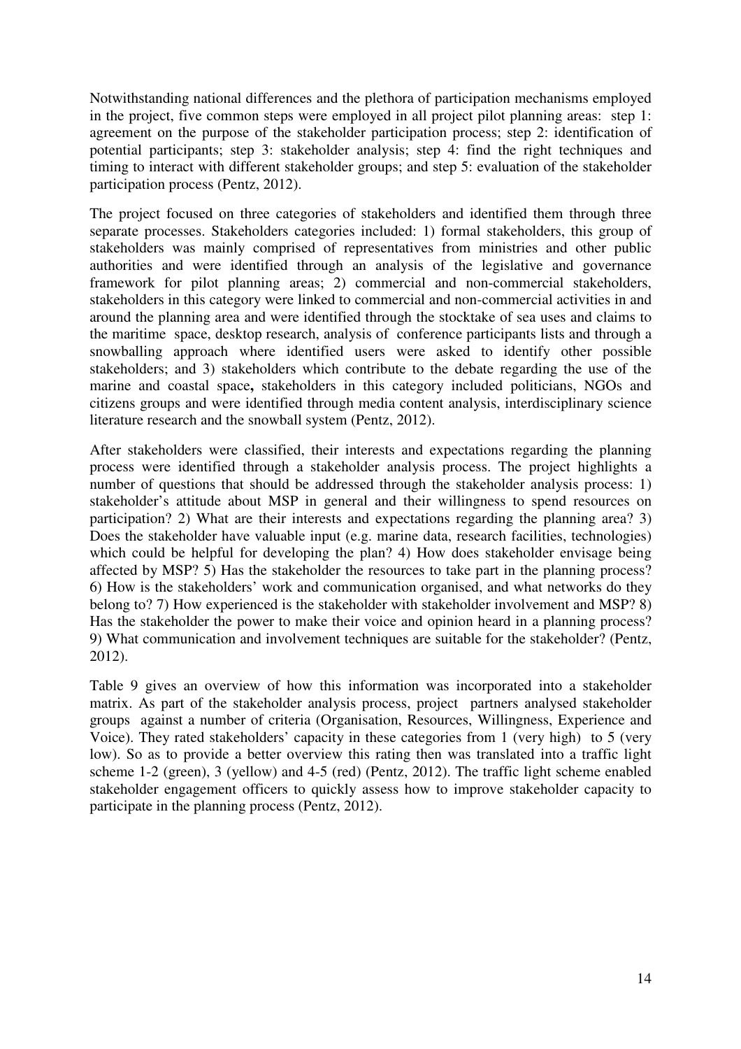Notwithstanding national differences and the plethora of participation mechanisms employed in the project, five common steps were employed in all project pilot planning areas: step 1: agreement on the purpose of the stakeholder participation process; step 2: identification of potential participants; step 3: stakeholder analysis; step 4: find the right techniques and timing to interact with different stakeholder groups; and step 5: evaluation of the stakeholder participation process (Pentz, 2012).

The project focused on three categories of stakeholders and identified them through three separate processes. Stakeholders categories included: 1) formal stakeholders, this group of stakeholders was mainly comprised of representatives from ministries and other public authorities and were identified through an analysis of the legislative and governance framework for pilot planning areas; 2) commercial and non-commercial stakeholders, stakeholders in this category were linked to commercial and non-commercial activities in and around the planning area and were identified through the stocktake of sea uses and claims to the maritime space, desktop research, analysis of conference participants lists and through a snowballing approach where identified users were asked to identify other possible stakeholders; and 3) stakeholders which contribute to the debate regarding the use of the marine and coastal space**,** stakeholders in this category included politicians, NGOs and citizens groups and were identified through media content analysis, interdisciplinary science literature research and the snowball system (Pentz, 2012).

After stakeholders were classified, their interests and expectations regarding the planning process were identified through a stakeholder analysis process. The project highlights a number of questions that should be addressed through the stakeholder analysis process: 1) stakeholder's attitude about MSP in general and their willingness to spend resources on participation? 2) What are their interests and expectations regarding the planning area? 3) Does the stakeholder have valuable input (e.g. marine data, research facilities, technologies) which could be helpful for developing the plan? 4) How does stakeholder envisage being affected by MSP? 5) Has the stakeholder the resources to take part in the planning process? 6) How is the stakeholders' work and communication organised, and what networks do they belong to? 7) How experienced is the stakeholder with stakeholder involvement and MSP? 8) Has the stakeholder the power to make their voice and opinion heard in a planning process? 9) What communication and involvement techniques are suitable for the stakeholder? (Pentz, 2012).

Table 9 gives an overview of how this information was incorporated into a stakeholder matrix. As part of the stakeholder analysis process, project partners analysed stakeholder groups against a number of criteria (Organisation, Resources, Willingness, Experience and Voice). They rated stakeholders' capacity in these categories from 1 (very high) to 5 (very low). So as to provide a better overview this rating then was translated into a traffic light scheme 1-2 (green), 3 (yellow) and 4-5 (red) (Pentz, 2012). The traffic light scheme enabled stakeholder engagement officers to quickly assess how to improve stakeholder capacity to participate in the planning process (Pentz, 2012).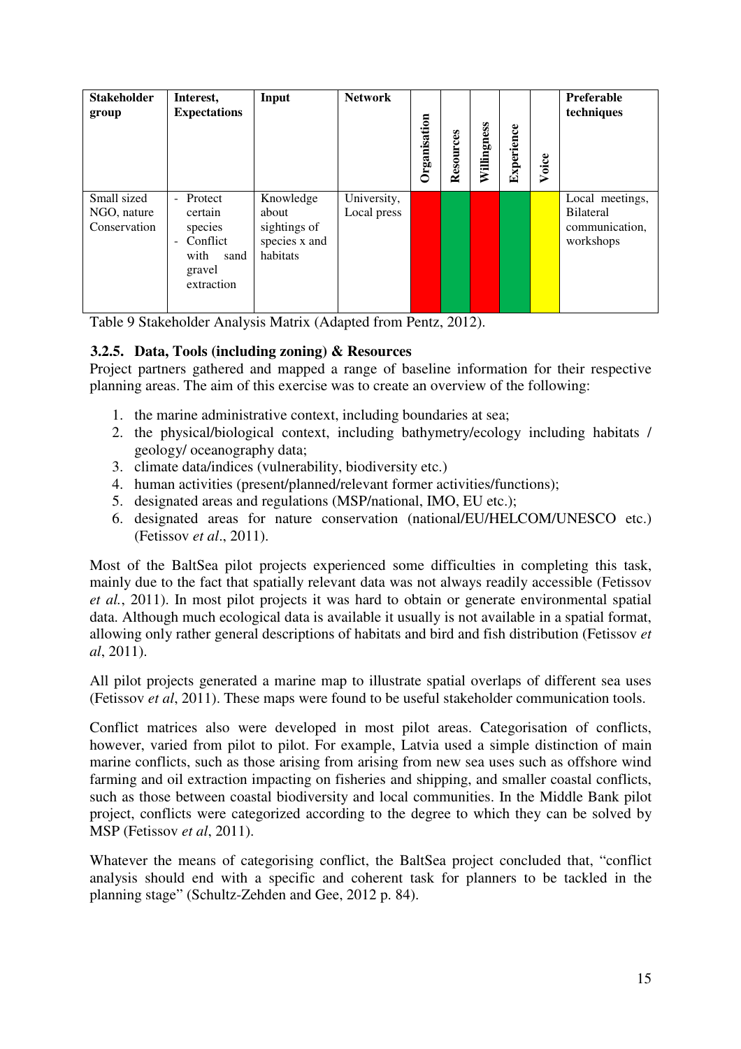| <b>Stakeholder</b><br>group                | Interest,<br><b>Expectations</b>                                                                      | Input                                                           | <b>Network</b>             | Organisation | Resources | Willingness | Experience | Voice | Preferable<br>techniques                                           |
|--------------------------------------------|-------------------------------------------------------------------------------------------------------|-----------------------------------------------------------------|----------------------------|--------------|-----------|-------------|------------|-------|--------------------------------------------------------------------|
| Small sized<br>NGO, nature<br>Conservation | - Protect<br>certain<br>species<br>Conflict<br>$\overline{a}$<br>with<br>sand<br>gravel<br>extraction | Knowledge<br>about<br>sightings of<br>species x and<br>habitats | University,<br>Local press |              |           |             |            |       | Local meetings,<br><b>Bilateral</b><br>communication,<br>workshops |

Table 9 Stakeholder Analysis Matrix (Adapted from Pentz, 2012).

## **3.2.5. Data, Tools (including zoning) & Resources**

Project partners gathered and mapped a range of baseline information for their respective planning areas. The aim of this exercise was to create an overview of the following:

- 1. the marine administrative context, including boundaries at sea;
- 2. the physical/biological context, including bathymetry/ecology including habitats / geology/ oceanography data;
- 3. climate data/indices (vulnerability, biodiversity etc.)
- 4. human activities (present/planned/relevant former activities/functions);
- 5. designated areas and regulations (MSP/national, IMO, EU etc.);
- 6. designated areas for nature conservation (national/EU/HELCOM/UNESCO etc.) (Fetissov *et al*., 2011).

Most of the BaltSea pilot projects experienced some difficulties in completing this task, mainly due to the fact that spatially relevant data was not always readily accessible (Fetissov *et al.*, 2011). In most pilot projects it was hard to obtain or generate environmental spatial data. Although much ecological data is available it usually is not available in a spatial format, allowing only rather general descriptions of habitats and bird and fish distribution (Fetissov *et al*, 2011).

All pilot projects generated a marine map to illustrate spatial overlaps of different sea uses (Fetissov *et al*, 2011). These maps were found to be useful stakeholder communication tools.

Conflict matrices also were developed in most pilot areas. Categorisation of conflicts, however, varied from pilot to pilot. For example, Latvia used a simple distinction of main marine conflicts, such as those arising from arising from new sea uses such as offshore wind farming and oil extraction impacting on fisheries and shipping, and smaller coastal conflicts, such as those between coastal biodiversity and local communities. In the Middle Bank pilot project, conflicts were categorized according to the degree to which they can be solved by MSP (Fetissov *et al*, 2011).

Whatever the means of categorising conflict, the BaltSea project concluded that, "conflict analysis should end with a specific and coherent task for planners to be tackled in the planning stage" (Schultz-Zehden and Gee, 2012 p. 84).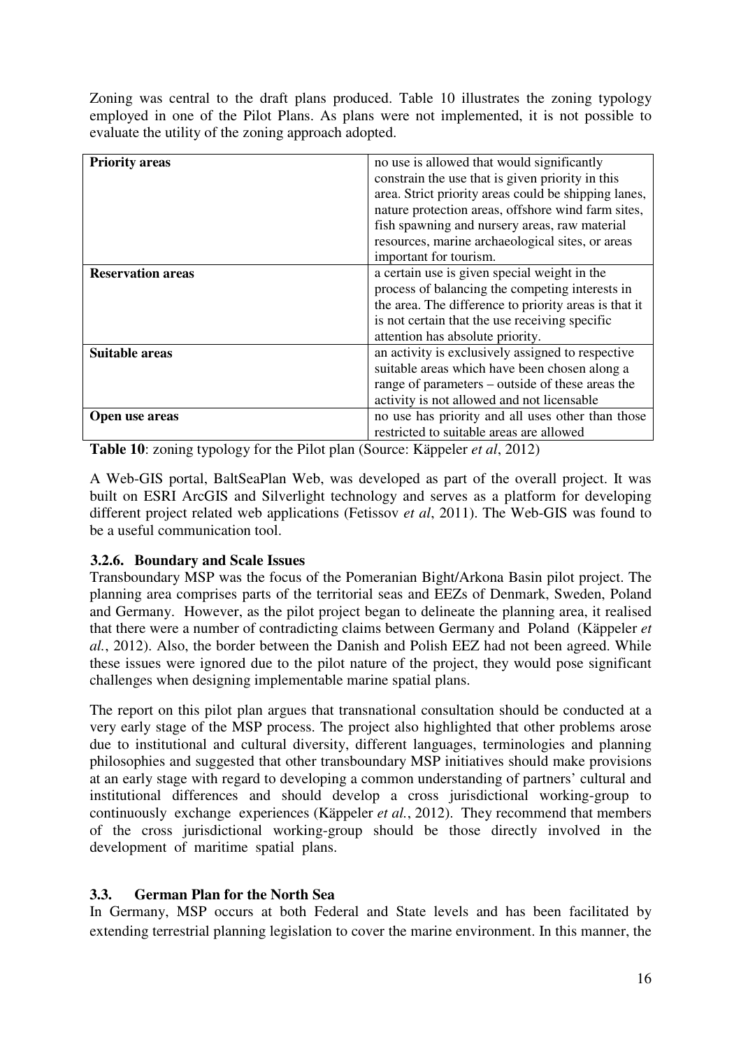Zoning was central to the draft plans produced. Table 10 illustrates the zoning typology employed in one of the Pilot Plans. As plans were not implemented, it is not possible to evaluate the utility of the zoning approach adopted.

| <b>Priority areas</b>    | no use is allowed that would significantly<br>constrain the use that is given priority in this<br>area. Strict priority areas could be shipping lanes,<br>nature protection areas, offshore wind farm sites,<br>fish spawning and nursery areas, raw material<br>resources, marine archaeological sites, or areas<br>important for tourism. |
|--------------------------|---------------------------------------------------------------------------------------------------------------------------------------------------------------------------------------------------------------------------------------------------------------------------------------------------------------------------------------------|
| <b>Reservation areas</b> | a certain use is given special weight in the<br>process of balancing the competing interests in<br>the area. The difference to priority areas is that it<br>is not certain that the use receiving specific<br>attention has absolute priority.                                                                                              |
| <b>Suitable areas</b>    | an activity is exclusively assigned to respective<br>suitable areas which have been chosen along a<br>range of parameters – outside of these areas the<br>activity is not allowed and not licensable                                                                                                                                        |
| Open use areas           | no use has priority and all uses other than those<br>restricted to suitable areas are allowed                                                                                                                                                                                                                                               |

**Table 10**: zoning typology for the Pilot plan (Source: Käppeler *et al*, 2012)

A Web-GIS portal, BaltSeaPlan Web, was developed as part of the overall project. It was built on ESRI ArcGIS and Silverlight technology and serves as a platform for developing different project related web applications (Fetissov *et al*, 2011). The Web-GIS was found to be a useful communication tool.

## **3.2.6. Boundary and Scale Issues**

Transboundary MSP was the focus of the Pomeranian Bight/Arkona Basin pilot project. The planning area comprises parts of the territorial seas and EEZs of Denmark, Sweden, Poland and Germany. However, as the pilot project began to delineate the planning area, it realised that there were a number of contradicting claims between Germany and Poland (Käppeler *et al.*, 2012). Also, the border between the Danish and Polish EEZ had not been agreed. While these issues were ignored due to the pilot nature of the project, they would pose significant challenges when designing implementable marine spatial plans.

The report on this pilot plan argues that transnational consultation should be conducted at a very early stage of the MSP process. The project also highlighted that other problems arose due to institutional and cultural diversity, different languages, terminologies and planning philosophies and suggested that other transboundary MSP initiatives should make provisions at an early stage with regard to developing a common understanding of partners' cultural and institutional differences and should develop a cross jurisdictional working-group to continuously exchange experiences (Käppeler *et al.*, 2012). They recommend that members of the cross jurisdictional working-group should be those directly involved in the development of maritime spatial plans.

## **3.3. German Plan for the North Sea**

In Germany, MSP occurs at both Federal and State levels and has been facilitated by extending terrestrial planning legislation to cover the marine environment. In this manner, the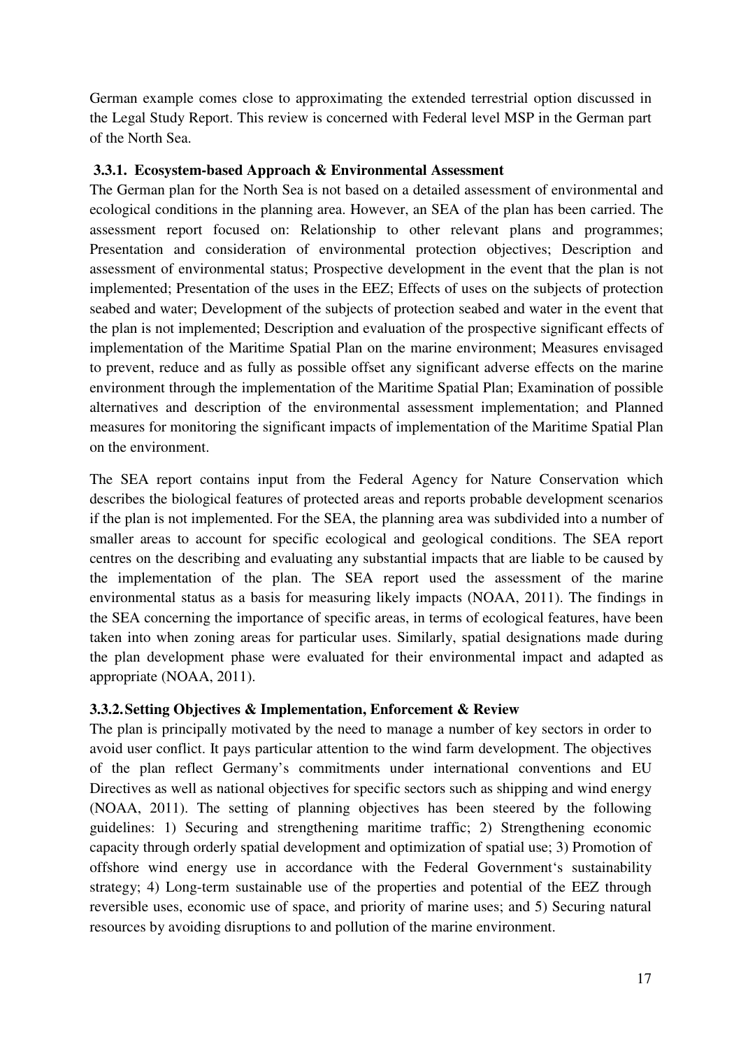German example comes close to approximating the extended terrestrial option discussed in the Legal Study Report. This review is concerned with Federal level MSP in the German part of the North Sea.

#### **3.3.1. Ecosystem-based Approach & Environmental Assessment**

The German plan for the North Sea is not based on a detailed assessment of environmental and ecological conditions in the planning area. However, an SEA of the plan has been carried. The assessment report focused on: Relationship to other relevant plans and programmes; Presentation and consideration of environmental protection objectives; Description and assessment of environmental status; Prospective development in the event that the plan is not implemented; Presentation of the uses in the EEZ; Effects of uses on the subjects of protection seabed and water; Development of the subjects of protection seabed and water in the event that the plan is not implemented; Description and evaluation of the prospective significant effects of implementation of the Maritime Spatial Plan on the marine environment; Measures envisaged to prevent, reduce and as fully as possible offset any significant adverse effects on the marine environment through the implementation of the Maritime Spatial Plan; Examination of possible alternatives and description of the environmental assessment implementation; and Planned measures for monitoring the significant impacts of implementation of the Maritime Spatial Plan on the environment.

The SEA report contains input from the Federal Agency for Nature Conservation which describes the biological features of protected areas and reports probable development scenarios if the plan is not implemented. For the SEA, the planning area was subdivided into a number of smaller areas to account for specific ecological and geological conditions. The SEA report centres on the describing and evaluating any substantial impacts that are liable to be caused by the implementation of the plan. The SEA report used the assessment of the marine environmental status as a basis for measuring likely impacts (NOAA, 2011). The findings in the SEA concerning the importance of specific areas, in terms of ecological features, have been taken into when zoning areas for particular uses. Similarly, spatial designations made during the plan development phase were evaluated for their environmental impact and adapted as appropriate (NOAA, 2011).

## **3.3.2.Setting Objectives & Implementation, Enforcement & Review**

The plan is principally motivated by the need to manage a number of key sectors in order to avoid user conflict. It pays particular attention to the wind farm development. The objectives of the plan reflect Germany's commitments under international conventions and EU Directives as well as national objectives for specific sectors such as shipping and wind energy (NOAA, 2011). The setting of planning objectives has been steered by the following guidelines: 1) Securing and strengthening maritime traffic; 2) Strengthening economic capacity through orderly spatial development and optimization of spatial use; 3) Promotion of offshore wind energy use in accordance with the Federal Government's sustainability strategy; 4) Long-term sustainable use of the properties and potential of the EEZ through reversible uses, economic use of space, and priority of marine uses; and 5) Securing natural resources by avoiding disruptions to and pollution of the marine environment.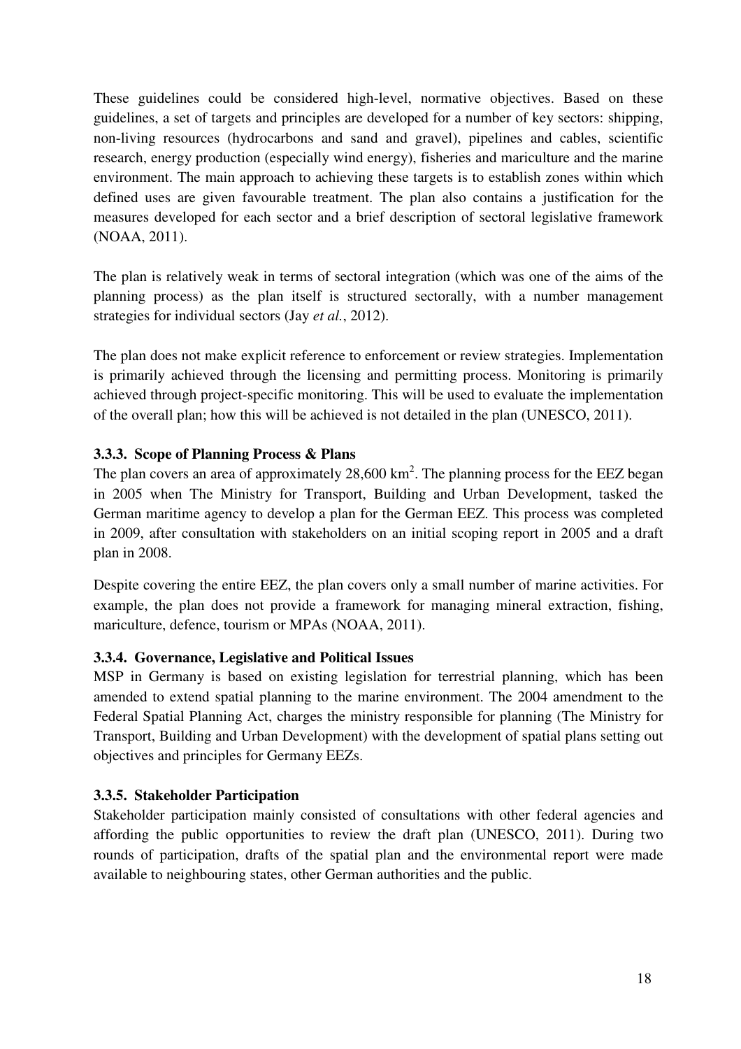These guidelines could be considered high-level, normative objectives. Based on these guidelines, a set of targets and principles are developed for a number of key sectors: shipping, non-living resources (hydrocarbons and sand and gravel), pipelines and cables, scientific research, energy production (especially wind energy), fisheries and mariculture and the marine environment. The main approach to achieving these targets is to establish zones within which defined uses are given favourable treatment. The plan also contains a justification for the measures developed for each sector and a brief description of sectoral legislative framework (NOAA, 2011).

The plan is relatively weak in terms of sectoral integration (which was one of the aims of the planning process) as the plan itself is structured sectorally, with a number management strategies for individual sectors (Jay *et al.*, 2012).

The plan does not make explicit reference to enforcement or review strategies. Implementation is primarily achieved through the licensing and permitting process. Monitoring is primarily achieved through project-specific monitoring. This will be used to evaluate the implementation of the overall plan; how this will be achieved is not detailed in the plan (UNESCO, 2011).

## **3.3.3. Scope of Planning Process & Plans**

The plan covers an area of approximately 28,600 km<sup>2</sup>. The planning process for the EEZ began in 2005 when The Ministry for Transport, Building and Urban Development, tasked the German maritime agency to develop a plan for the German EEZ. This process was completed in 2009, after consultation with stakeholders on an initial scoping report in 2005 and a draft plan in 2008.

Despite covering the entire EEZ, the plan covers only a small number of marine activities. For example, the plan does not provide a framework for managing mineral extraction, fishing, mariculture, defence, tourism or MPAs (NOAA, 2011).

## **3.3.4. Governance, Legislative and Political Issues**

MSP in Germany is based on existing legislation for terrestrial planning, which has been amended to extend spatial planning to the marine environment. The 2004 amendment to the Federal Spatial Planning Act, charges the ministry responsible for planning (The Ministry for Transport, Building and Urban Development) with the development of spatial plans setting out objectives and principles for Germany EEZs.

## **3.3.5. Stakeholder Participation**

Stakeholder participation mainly consisted of consultations with other federal agencies and affording the public opportunities to review the draft plan (UNESCO, 2011). During two rounds of participation, drafts of the spatial plan and the environmental report were made available to neighbouring states, other German authorities and the public.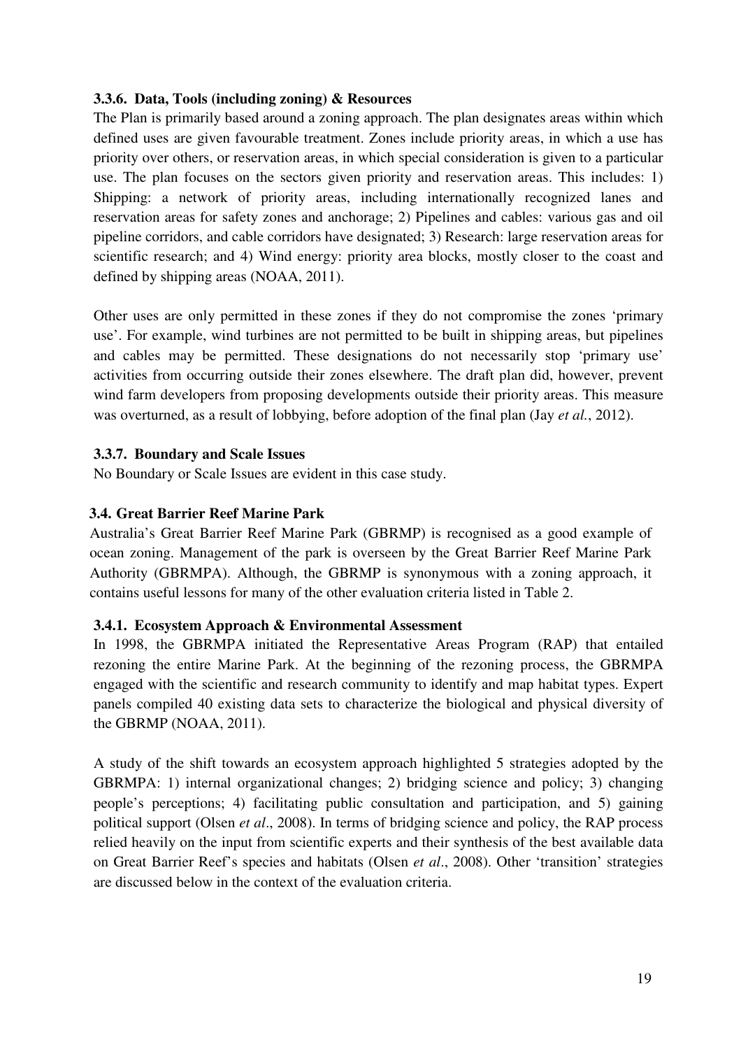## **3.3.6. Data, Tools (including zoning) & Resources**

The Plan is primarily based around a zoning approach. The plan designates areas within which defined uses are given favourable treatment. Zones include priority areas, in which a use has priority over others, or reservation areas, in which special consideration is given to a particular use. The plan focuses on the sectors given priority and reservation areas. This includes: 1) Shipping: a network of priority areas, including internationally recognized lanes and reservation areas for safety zones and anchorage; 2) Pipelines and cables: various gas and oil pipeline corridors, and cable corridors have designated; 3) Research: large reservation areas for scientific research; and 4) Wind energy: priority area blocks, mostly closer to the coast and defined by shipping areas (NOAA, 2011).

Other uses are only permitted in these zones if they do not compromise the zones 'primary use'. For example, wind turbines are not permitted to be built in shipping areas, but pipelines and cables may be permitted. These designations do not necessarily stop 'primary use' activities from occurring outside their zones elsewhere. The draft plan did, however, prevent wind farm developers from proposing developments outside their priority areas. This measure was overturned, as a result of lobbying, before adoption of the final plan (Jay *et al.*, 2012).

## **3.3.7. Boundary and Scale Issues**

No Boundary or Scale Issues are evident in this case study.

## **3.4. Great Barrier Reef Marine Park**

Australia's Great Barrier Reef Marine Park (GBRMP) is recognised as a good example of ocean zoning. Management of the park is overseen by the Great Barrier Reef Marine Park Authority (GBRMPA). Although, the GBRMP is synonymous with a zoning approach, it contains useful lessons for many of the other evaluation criteria listed in Table 2.

#### **3.4.1. Ecosystem Approach & Environmental Assessment**

In 1998, the GBRMPA initiated the Representative Areas Program (RAP) that entailed rezoning the entire Marine Park. At the beginning of the rezoning process, the GBRMPA engaged with the scientific and research community to identify and map habitat types. Expert panels compiled 40 existing data sets to characterize the biological and physical diversity of the GBRMP (NOAA, 2011).

A study of the shift towards an ecosystem approach highlighted 5 strategies adopted by the GBRMPA: 1) internal organizational changes; 2) bridging science and policy; 3) changing people's perceptions; 4) facilitating public consultation and participation, and 5) gaining political support (Olsen *et al*., 2008). In terms of bridging science and policy, the RAP process relied heavily on the input from scientific experts and their synthesis of the best available data on Great Barrier Reef's species and habitats (Olsen *et al*., 2008). Other 'transition' strategies are discussed below in the context of the evaluation criteria.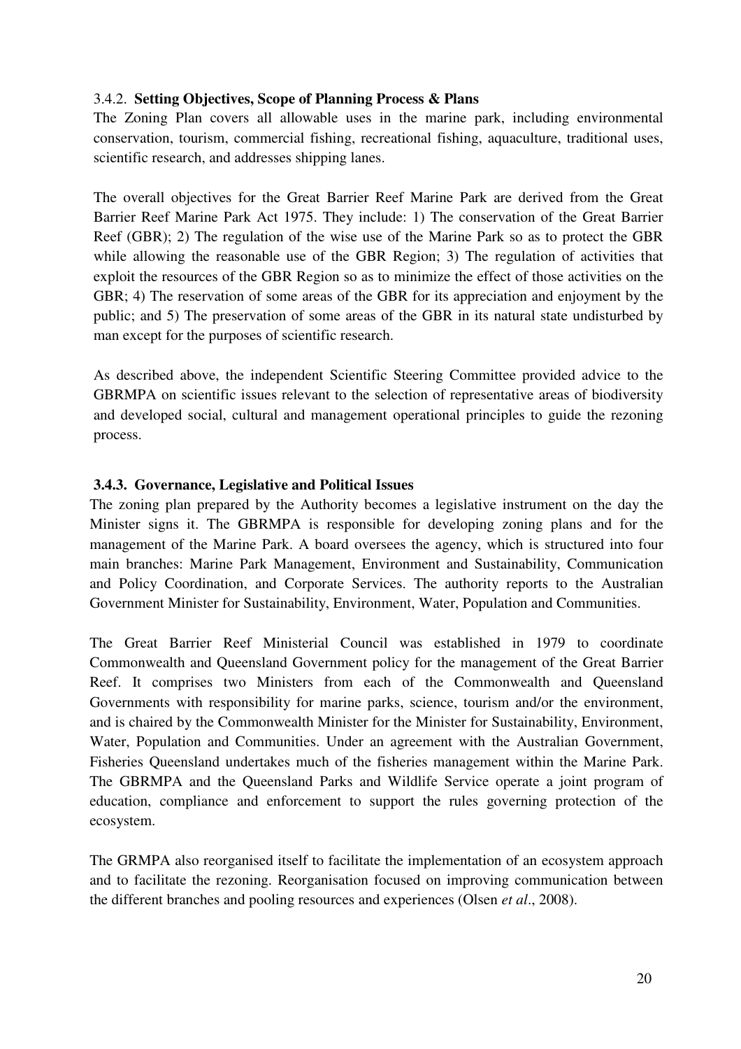### 3.4.2. **Setting Objectives, Scope of Planning Process & Plans**

The Zoning Plan covers all allowable uses in the marine park, including environmental conservation, tourism, commercial fishing, recreational fishing, aquaculture, traditional uses, scientific research, and addresses shipping lanes.

The overall objectives for the Great Barrier Reef Marine Park are derived from the Great Barrier Reef Marine Park Act 1975. They include: 1) The conservation of the Great Barrier Reef (GBR); 2) The regulation of the wise use of the Marine Park so as to protect the GBR while allowing the reasonable use of the GBR Region; 3) The regulation of activities that exploit the resources of the GBR Region so as to minimize the effect of those activities on the GBR; 4) The reservation of some areas of the GBR for its appreciation and enjoyment by the public; and 5) The preservation of some areas of the GBR in its natural state undisturbed by man except for the purposes of scientific research.

As described above, the independent Scientific Steering Committee provided advice to the GBRMPA on scientific issues relevant to the selection of representative areas of biodiversity and developed social, cultural and management operational principles to guide the rezoning process.

## **3.4.3. Governance, Legislative and Political Issues**

The zoning plan prepared by the Authority becomes a legislative instrument on the day the Minister signs it. The GBRMPA is responsible for developing zoning plans and for the management of the Marine Park. A board oversees the agency, which is structured into four main branches: Marine Park Management, Environment and Sustainability, Communication and Policy Coordination, and Corporate Services. The authority reports to the Australian Government Minister for Sustainability, Environment, Water, Population and Communities.

The Great Barrier Reef Ministerial Council was established in 1979 to coordinate Commonwealth and Queensland Government policy for the management of the Great Barrier Reef. It comprises two Ministers from each of the Commonwealth and Queensland Governments with responsibility for marine parks, science, tourism and/or the environment, and is chaired by the Commonwealth Minister for the Minister for Sustainability, Environment, Water, Population and Communities. Under an agreement with the Australian Government, Fisheries Queensland undertakes much of the fisheries management within the Marine Park. The GBRMPA and the Queensland Parks and Wildlife Service operate a joint program of education, compliance and enforcement to support the rules governing protection of the ecosystem.

The GRMPA also reorganised itself to facilitate the implementation of an ecosystem approach and to facilitate the rezoning. Reorganisation focused on improving communication between the different branches and pooling resources and experiences (Olsen *et al*., 2008).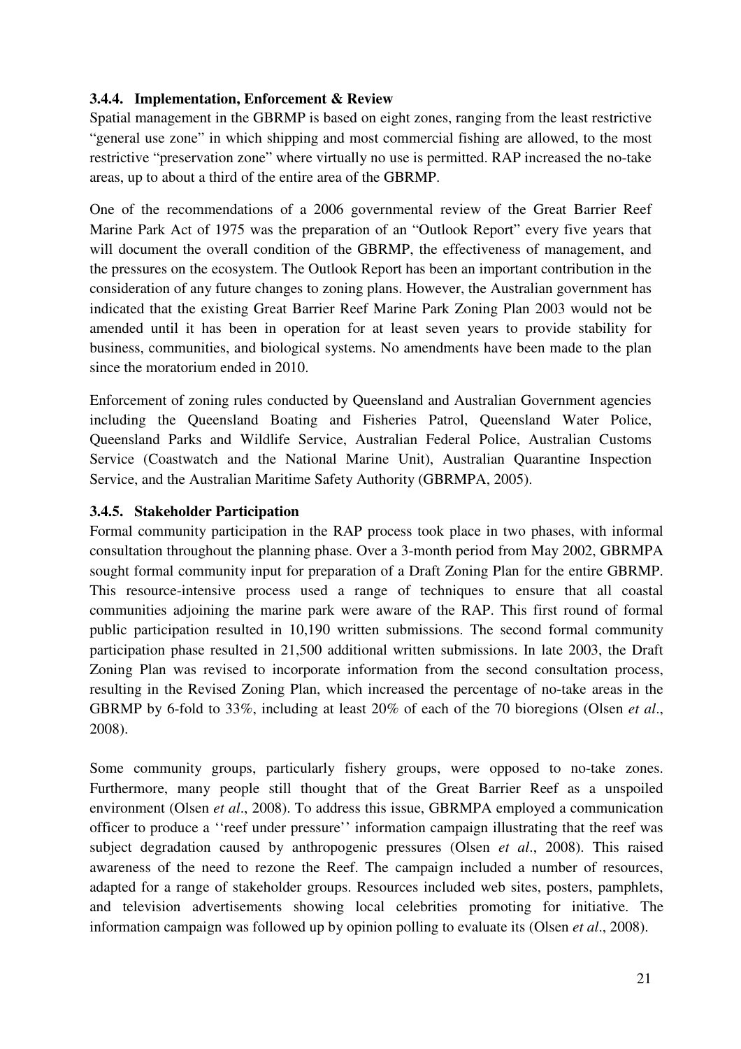## **3.4.4. Implementation, Enforcement & Review**

Spatial management in the GBRMP is based on eight zones, ranging from the least restrictive "general use zone" in which shipping and most commercial fishing are allowed, to the most restrictive "preservation zone" where virtually no use is permitted. RAP increased the no-take areas, up to about a third of the entire area of the GBRMP.

One of the recommendations of a 2006 governmental review of the Great Barrier Reef Marine Park Act of 1975 was the preparation of an "Outlook Report" every five years that will document the overall condition of the GBRMP, the effectiveness of management, and the pressures on the ecosystem. The Outlook Report has been an important contribution in the consideration of any future changes to zoning plans. However, the Australian government has indicated that the existing Great Barrier Reef Marine Park Zoning Plan 2003 would not be amended until it has been in operation for at least seven years to provide stability for business, communities, and biological systems. No amendments have been made to the plan since the moratorium ended in 2010.

Enforcement of zoning rules conducted by Queensland and Australian Government agencies including the Queensland Boating and Fisheries Patrol, Queensland Water Police, Queensland Parks and Wildlife Service, Australian Federal Police, Australian Customs Service (Coastwatch and the National Marine Unit), Australian Quarantine Inspection Service, and the Australian Maritime Safety Authority (GBRMPA, 2005).

## **3.4.5. Stakeholder Participation**

Formal community participation in the RAP process took place in two phases, with informal consultation throughout the planning phase. Over a 3-month period from May 2002, GBRMPA sought formal community input for preparation of a Draft Zoning Plan for the entire GBRMP. This resource-intensive process used a range of techniques to ensure that all coastal communities adjoining the marine park were aware of the RAP. This first round of formal public participation resulted in 10,190 written submissions. The second formal community participation phase resulted in 21,500 additional written submissions. In late 2003, the Draft Zoning Plan was revised to incorporate information from the second consultation process, resulting in the Revised Zoning Plan, which increased the percentage of no-take areas in the GBRMP by 6-fold to 33%, including at least 20% of each of the 70 bioregions (Olsen *et al*., 2008).

Some community groups, particularly fishery groups, were opposed to no-take zones. Furthermore, many people still thought that of the Great Barrier Reef as a unspoiled environment (Olsen *et al*., 2008). To address this issue, GBRMPA employed a communication officer to produce a ''reef under pressure'' information campaign illustrating that the reef was subject degradation caused by anthropogenic pressures (Olsen *et al*., 2008). This raised awareness of the need to rezone the Reef. The campaign included a number of resources, adapted for a range of stakeholder groups. Resources included web sites, posters, pamphlets, and television advertisements showing local celebrities promoting for initiative. The information campaign was followed up by opinion polling to evaluate its (Olsen *et al*., 2008).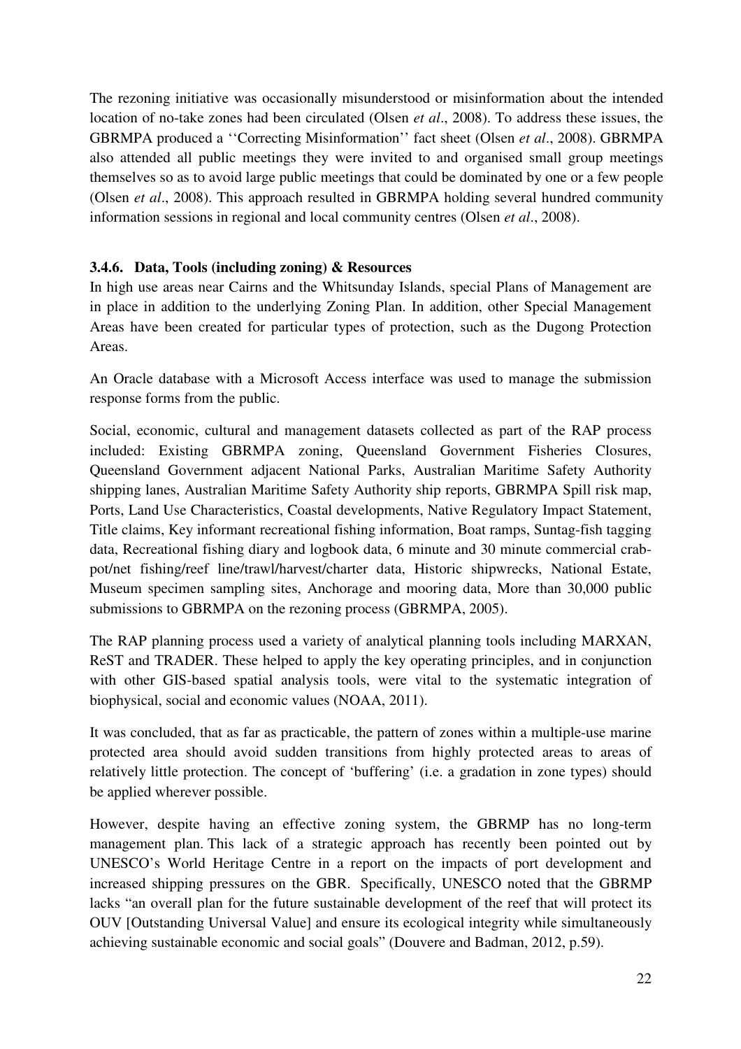The rezoning initiative was occasionally misunderstood or misinformation about the intended location of no-take zones had been circulated (Olsen *et al*., 2008). To address these issues, the GBRMPA produced a ''Correcting Misinformation'' fact sheet (Olsen *et al*., 2008). GBRMPA also attended all public meetings they were invited to and organised small group meetings themselves so as to avoid large public meetings that could be dominated by one or a few people (Olsen *et al*., 2008). This approach resulted in GBRMPA holding several hundred community information sessions in regional and local community centres (Olsen *et al*., 2008).

## **3.4.6. Data, Tools (including zoning) & Resources**

In high use areas near Cairns and the Whitsunday Islands, special Plans of Management are in place in addition to the underlying Zoning Plan. In addition, other Special Management Areas have been created for particular types of protection, such as the Dugong Protection Areas.

An Oracle database with a Microsoft Access interface was used to manage the submission response forms from the public.

Social, economic, cultural and management datasets collected as part of the RAP process included: Existing GBRMPA zoning, Queensland Government Fisheries Closures, Queensland Government adjacent National Parks, Australian Maritime Safety Authority shipping lanes, Australian Maritime Safety Authority ship reports, GBRMPA Spill risk map, Ports, Land Use Characteristics, Coastal developments, Native Regulatory Impact Statement, Title claims, Key informant recreational fishing information, Boat ramps, Suntag-fish tagging data, Recreational fishing diary and logbook data, 6 minute and 30 minute commercial crabpot/net fishing/reef line/trawl/harvest/charter data, Historic shipwrecks, National Estate, Museum specimen sampling sites, Anchorage and mooring data, More than 30,000 public submissions to GBRMPA on the rezoning process (GBRMPA, 2005).

The RAP planning process used a variety of analytical planning tools including MARXAN, ReST and TRADER. These helped to apply the key operating principles, and in conjunction with other GIS-based spatial analysis tools, were vital to the systematic integration of biophysical, social and economic values (NOAA, 2011).

It was concluded, that as far as practicable, the pattern of zones within a multiple-use marine protected area should avoid sudden transitions from highly protected areas to areas of relatively little protection. The concept of 'buffering' (i.e. a gradation in zone types) should be applied wherever possible.

However, despite having an effective zoning system, the GBRMP has no long-term management plan. This lack of a strategic approach has recently been pointed out by UNESCO's World Heritage Centre in a report on the impacts of port development and increased shipping pressures on the GBR. Specifically, UNESCO noted that the GBRMP lacks "an overall plan for the future sustainable development of the reef that will protect its OUV [Outstanding Universal Value] and ensure its ecological integrity while simultaneously achieving sustainable economic and social goals" (Douvere and Badman, 2012, p.59).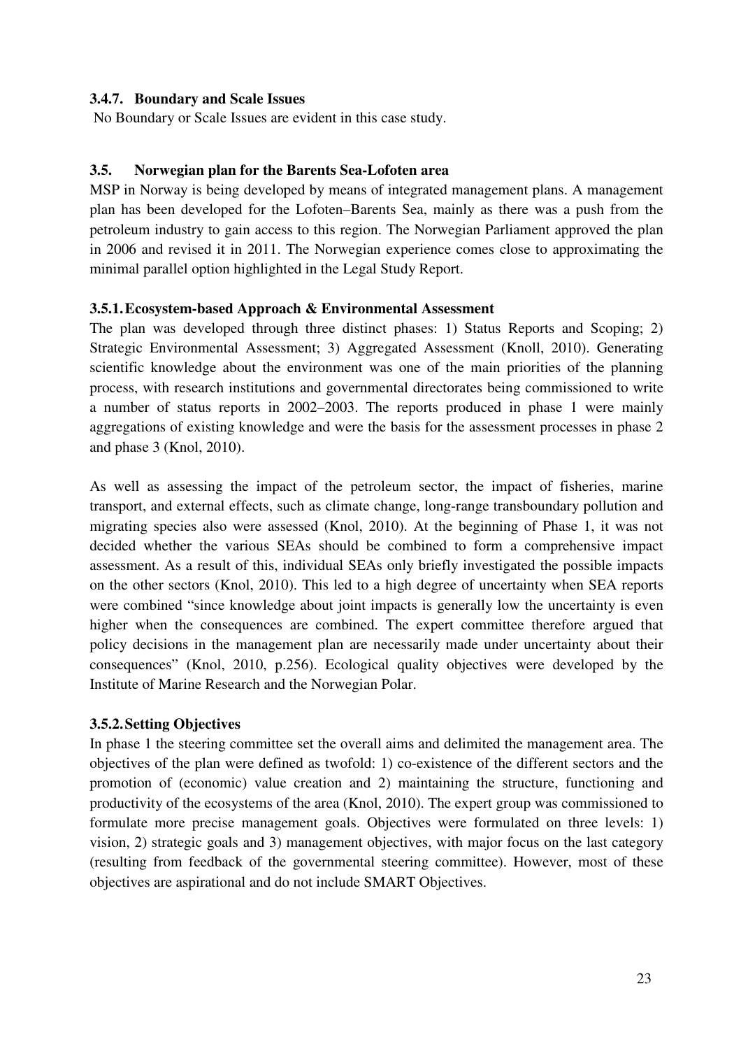## **3.4.7. Boundary and Scale Issues**

No Boundary or Scale Issues are evident in this case study.

### **3.5. Norwegian plan for the Barents Sea-Lofoten area**

MSP in Norway is being developed by means of integrated management plans. A management plan has been developed for the Lofoten–Barents Sea, mainly as there was a push from the petroleum industry to gain access to this region. The Norwegian Parliament approved the plan in 2006 and revised it in 2011. The Norwegian experience comes close to approximating the minimal parallel option highlighted in the Legal Study Report.

#### **3.5.1.Ecosystem-based Approach & Environmental Assessment**

The plan was developed through three distinct phases: 1) Status Reports and Scoping; 2) Strategic Environmental Assessment; 3) Aggregated Assessment (Knoll, 2010). Generating scientific knowledge about the environment was one of the main priorities of the planning process, with research institutions and governmental directorates being commissioned to write a number of status reports in 2002–2003. The reports produced in phase 1 were mainly aggregations of existing knowledge and were the basis for the assessment processes in phase 2 and phase 3 (Knol, 2010).

As well as assessing the impact of the petroleum sector, the impact of fisheries, marine transport, and external effects, such as climate change, long-range transboundary pollution and migrating species also were assessed (Knol, 2010). At the beginning of Phase 1, it was not decided whether the various SEAs should be combined to form a comprehensive impact assessment. As a result of this, individual SEAs only briefly investigated the possible impacts on the other sectors (Knol, 2010). This led to a high degree of uncertainty when SEA reports were combined "since knowledge about joint impacts is generally low the uncertainty is even higher when the consequences are combined. The expert committee therefore argued that policy decisions in the management plan are necessarily made under uncertainty about their consequences" (Knol, 2010, p.256). Ecological quality objectives were developed by the Institute of Marine Research and the Norwegian Polar.

## **3.5.2.Setting Objectives**

In phase 1 the steering committee set the overall aims and delimited the management area. The objectives of the plan were defined as twofold: 1) co-existence of the different sectors and the promotion of (economic) value creation and 2) maintaining the structure, functioning and productivity of the ecosystems of the area (Knol, 2010). The expert group was commissioned to formulate more precise management goals. Objectives were formulated on three levels: 1) vision, 2) strategic goals and 3) management objectives, with major focus on the last category (resulting from feedback of the governmental steering committee). However, most of these objectives are aspirational and do not include SMART Objectives.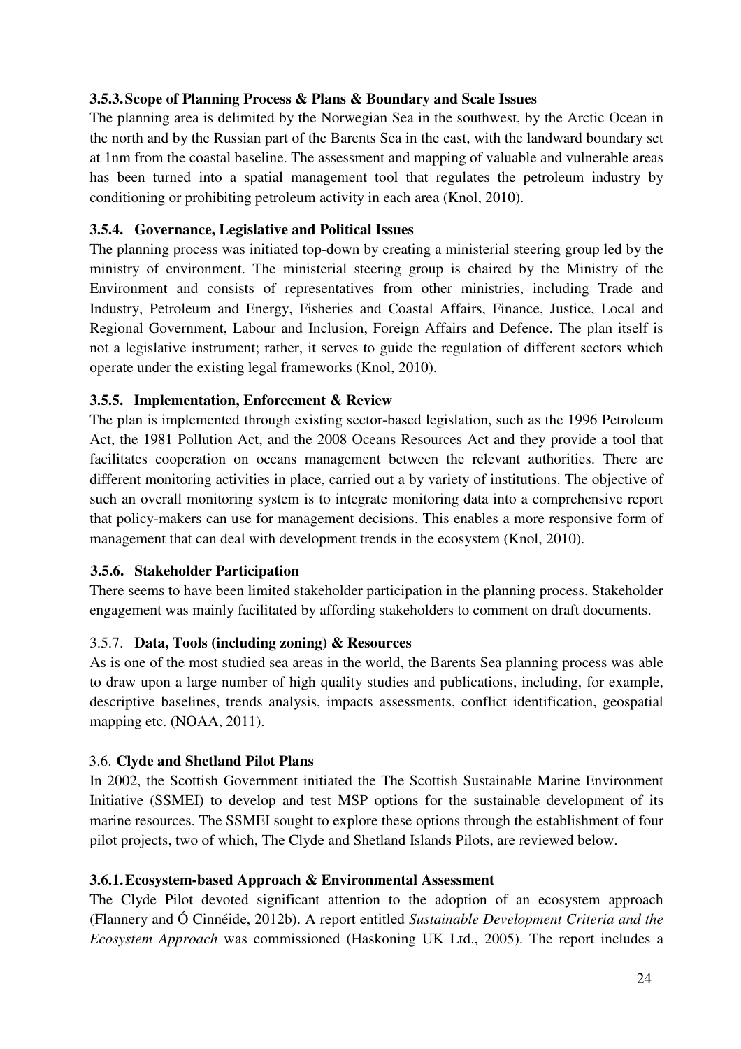## **3.5.3.Scope of Planning Process & Plans & Boundary and Scale Issues**

The planning area is delimited by the Norwegian Sea in the southwest, by the Arctic Ocean in the north and by the Russian part of the Barents Sea in the east, with the landward boundary set at 1nm from the coastal baseline. The assessment and mapping of valuable and vulnerable areas has been turned into a spatial management tool that regulates the petroleum industry by conditioning or prohibiting petroleum activity in each area (Knol, 2010).

## **3.5.4. Governance, Legislative and Political Issues**

The planning process was initiated top-down by creating a ministerial steering group led by the ministry of environment. The ministerial steering group is chaired by the Ministry of the Environment and consists of representatives from other ministries, including Trade and Industry, Petroleum and Energy, Fisheries and Coastal Affairs, Finance, Justice, Local and Regional Government, Labour and Inclusion, Foreign Affairs and Defence. The plan itself is not a legislative instrument; rather, it serves to guide the regulation of different sectors which operate under the existing legal frameworks (Knol, 2010).

## **3.5.5. Implementation, Enforcement & Review**

The plan is implemented through existing sector-based legislation, such as the 1996 Petroleum Act, the 1981 Pollution Act, and the 2008 Oceans Resources Act and they provide a tool that facilitates cooperation on oceans management between the relevant authorities. There are different monitoring activities in place, carried out a by variety of institutions. The objective of such an overall monitoring system is to integrate monitoring data into a comprehensive report that policy-makers can use for management decisions. This enables a more responsive form of management that can deal with development trends in the ecosystem (Knol, 2010).

## **3.5.6. Stakeholder Participation**

There seems to have been limited stakeholder participation in the planning process. Stakeholder engagement was mainly facilitated by affording stakeholders to comment on draft documents.

## 3.5.7. **Data, Tools (including zoning) & Resources**

As is one of the most studied sea areas in the world, the Barents Sea planning process was able to draw upon a large number of high quality studies and publications, including, for example, descriptive baselines, trends analysis, impacts assessments, conflict identification, geospatial mapping etc. (NOAA, 2011).

## 3.6. **Clyde and Shetland Pilot Plans**

In 2002, the Scottish Government initiated the The Scottish Sustainable Marine Environment Initiative (SSMEI) to develop and test MSP options for the sustainable development of its marine resources. The SSMEI sought to explore these options through the establishment of four pilot projects, two of which, The Clyde and Shetland Islands Pilots, are reviewed below.

## **3.6.1.Ecosystem-based Approach & Environmental Assessment**

The Clyde Pilot devoted significant attention to the adoption of an ecosystem approach (Flannery and Ó Cinnéide, 2012b). A report entitled *Sustainable Development Criteria and the Ecosystem Approach* was commissioned (Haskoning UK Ltd., 2005). The report includes a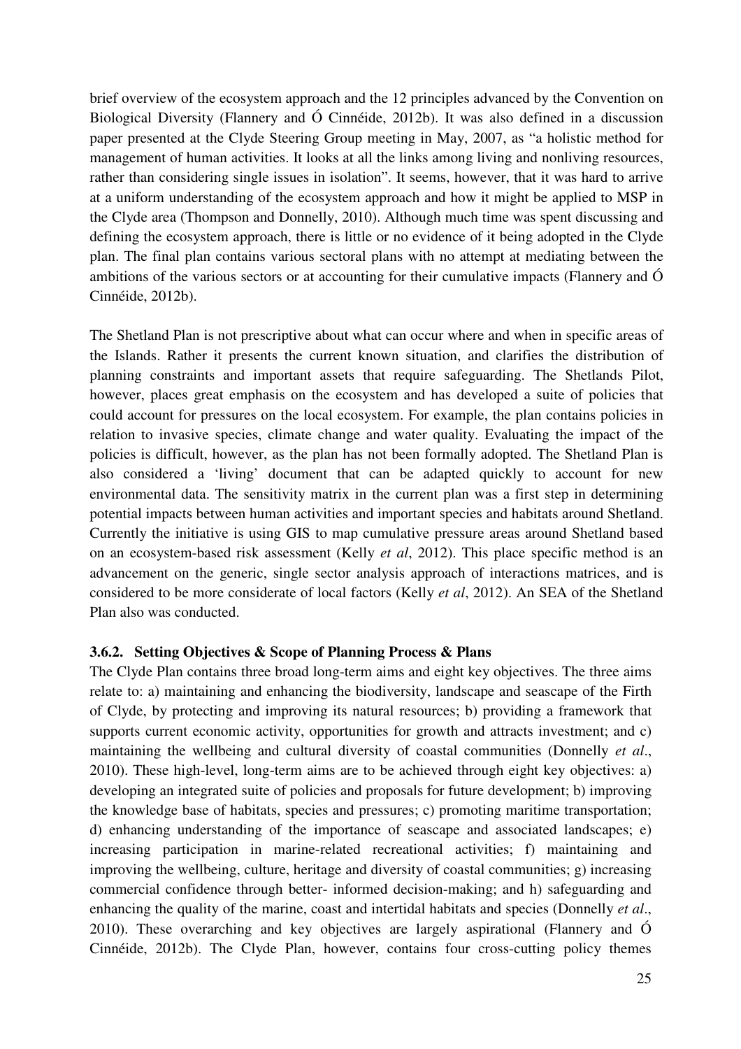brief overview of the ecosystem approach and the 12 principles advanced by the Convention on Biological Diversity (Flannery and Ó Cinnéide, 2012b). It was also defined in a discussion paper presented at the Clyde Steering Group meeting in May, 2007, as "a holistic method for management of human activities. It looks at all the links among living and nonliving resources, rather than considering single issues in isolation". It seems, however, that it was hard to arrive at a uniform understanding of the ecosystem approach and how it might be applied to MSP in the Clyde area (Thompson and Donnelly, 2010). Although much time was spent discussing and defining the ecosystem approach, there is little or no evidence of it being adopted in the Clyde plan. The final plan contains various sectoral plans with no attempt at mediating between the ambitions of the various sectors or at accounting for their cumulative impacts (Flannery and Ó Cinnéide, 2012b).

The Shetland Plan is not prescriptive about what can occur where and when in specific areas of the Islands. Rather it presents the current known situation, and clarifies the distribution of planning constraints and important assets that require safeguarding. The Shetlands Pilot, however, places great emphasis on the ecosystem and has developed a suite of policies that could account for pressures on the local ecosystem. For example, the plan contains policies in relation to invasive species, climate change and water quality. Evaluating the impact of the policies is difficult, however, as the plan has not been formally adopted. The Shetland Plan is also considered a 'living' document that can be adapted quickly to account for new environmental data. The sensitivity matrix in the current plan was a first step in determining potential impacts between human activities and important species and habitats around Shetland. Currently the initiative is using GIS to map cumulative pressure areas around Shetland based on an ecosystem-based risk assessment (Kelly *et al*, 2012). This place specific method is an advancement on the generic, single sector analysis approach of interactions matrices, and is considered to be more considerate of local factors (Kelly *et al*, 2012). An SEA of the Shetland Plan also was conducted.

#### **3.6.2. Setting Objectives & Scope of Planning Process & Plans**

The Clyde Plan contains three broad long-term aims and eight key objectives. The three aims relate to: a) maintaining and enhancing the biodiversity, landscape and seascape of the Firth of Clyde, by protecting and improving its natural resources; b) providing a framework that supports current economic activity, opportunities for growth and attracts investment; and c) maintaining the wellbeing and cultural diversity of coastal communities (Donnelly *et al*., 2010). These high-level, long-term aims are to be achieved through eight key objectives: a) developing an integrated suite of policies and proposals for future development; b) improving the knowledge base of habitats, species and pressures; c) promoting maritime transportation; d) enhancing understanding of the importance of seascape and associated landscapes; e) increasing participation in marine-related recreational activities; f) maintaining and improving the wellbeing, culture, heritage and diversity of coastal communities; g) increasing commercial confidence through better- informed decision-making; and h) safeguarding and enhancing the quality of the marine, coast and intertidal habitats and species (Donnelly *et al*., 2010). These overarching and key objectives are largely aspirational (Flannery and Ó Cinnéide, 2012b). The Clyde Plan, however, contains four cross-cutting policy themes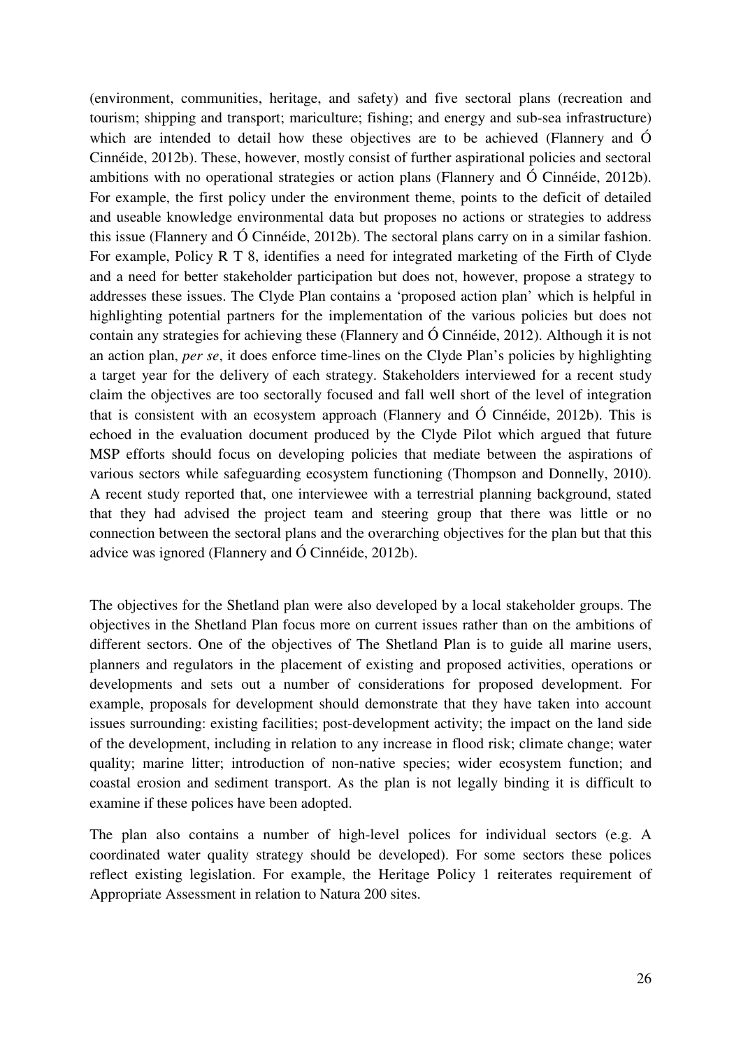(environment, communities, heritage, and safety) and five sectoral plans (recreation and tourism; shipping and transport; mariculture; fishing; and energy and sub-sea infrastructure) which are intended to detail how these objectives are to be achieved (Flannery and Ó Cinnéide, 2012b). These, however, mostly consist of further aspirational policies and sectoral ambitions with no operational strategies or action plans (Flannery and Ó Cinnéide, 2012b). For example, the first policy under the environment theme, points to the deficit of detailed and useable knowledge environmental data but proposes no actions or strategies to address this issue (Flannery and Ó Cinnéide, 2012b). The sectoral plans carry on in a similar fashion. For example, Policy R T 8, identifies a need for integrated marketing of the Firth of Clyde and a need for better stakeholder participation but does not, however, propose a strategy to addresses these issues. The Clyde Plan contains a 'proposed action plan' which is helpful in highlighting potential partners for the implementation of the various policies but does not contain any strategies for achieving these (Flannery and Ó Cinnéide, 2012). Although it is not an action plan, *per se*, it does enforce time-lines on the Clyde Plan's policies by highlighting a target year for the delivery of each strategy. Stakeholders interviewed for a recent study claim the objectives are too sectorally focused and fall well short of the level of integration that is consistent with an ecosystem approach (Flannery and Ó Cinnéide, 2012b). This is echoed in the evaluation document produced by the Clyde Pilot which argued that future MSP efforts should focus on developing policies that mediate between the aspirations of various sectors while safeguarding ecosystem functioning (Thompson and Donnelly, 2010). A recent study reported that, one interviewee with a terrestrial planning background, stated that they had advised the project team and steering group that there was little or no connection between the sectoral plans and the overarching objectives for the plan but that this advice was ignored (Flannery and Ó Cinnéide, 2012b).

The objectives for the Shetland plan were also developed by a local stakeholder groups. The objectives in the Shetland Plan focus more on current issues rather than on the ambitions of different sectors. One of the objectives of The Shetland Plan is to guide all marine users, planners and regulators in the placement of existing and proposed activities, operations or developments and sets out a number of considerations for proposed development. For example, proposals for development should demonstrate that they have taken into account issues surrounding: existing facilities; post-development activity; the impact on the land side of the development, including in relation to any increase in flood risk; climate change; water quality; marine litter; introduction of non-native species; wider ecosystem function; and coastal erosion and sediment transport. As the plan is not legally binding it is difficult to examine if these polices have been adopted.

The plan also contains a number of high-level polices for individual sectors (e.g. A coordinated water quality strategy should be developed). For some sectors these polices reflect existing legislation. For example, the Heritage Policy 1 reiterates requirement of Appropriate Assessment in relation to Natura 200 sites.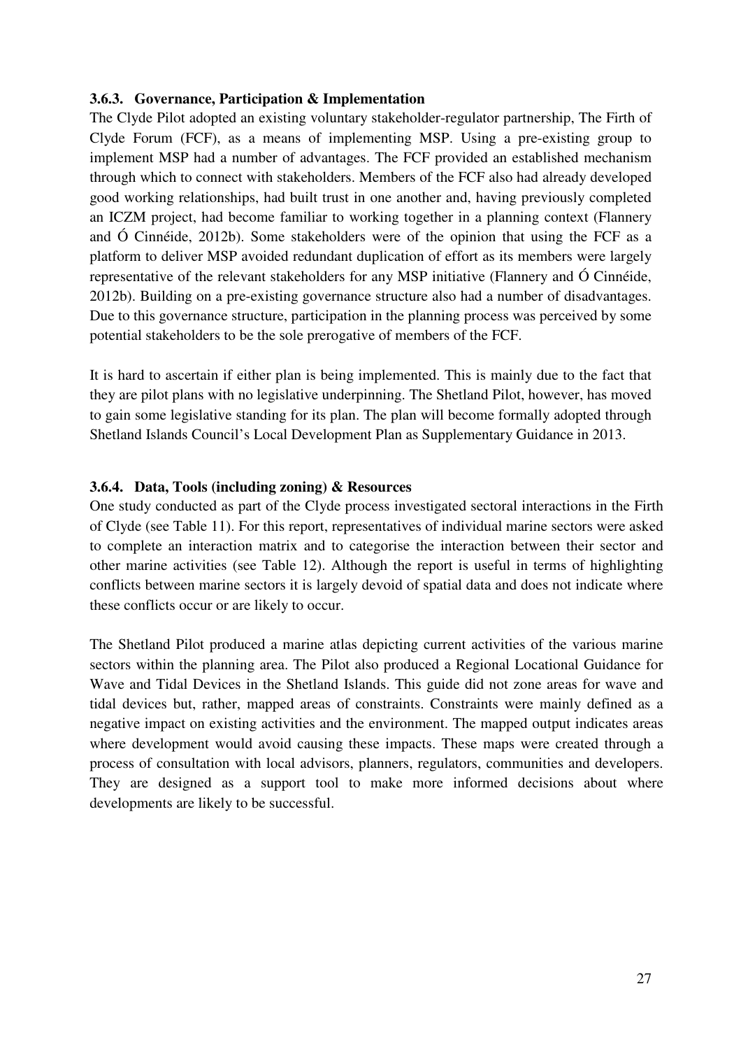#### **3.6.3. Governance, Participation & Implementation**

The Clyde Pilot adopted an existing voluntary stakeholder-regulator partnership, The Firth of Clyde Forum (FCF), as a means of implementing MSP. Using a pre-existing group to implement MSP had a number of advantages. The FCF provided an established mechanism through which to connect with stakeholders. Members of the FCF also had already developed good working relationships, had built trust in one another and, having previously completed an ICZM project, had become familiar to working together in a planning context (Flannery and Ó Cinnéide, 2012b). Some stakeholders were of the opinion that using the FCF as a platform to deliver MSP avoided redundant duplication of effort as its members were largely representative of the relevant stakeholders for any MSP initiative (Flannery and Ó Cinnéide, 2012b). Building on a pre-existing governance structure also had a number of disadvantages. Due to this governance structure, participation in the planning process was perceived by some potential stakeholders to be the sole prerogative of members of the FCF.

It is hard to ascertain if either plan is being implemented. This is mainly due to the fact that they are pilot plans with no legislative underpinning. The Shetland Pilot, however, has moved to gain some legislative standing for its plan. The plan will become formally adopted through Shetland Islands Council's Local Development Plan as Supplementary Guidance in 2013.

## **3.6.4. Data, Tools (including zoning) & Resources**

One study conducted as part of the Clyde process investigated sectoral interactions in the Firth of Clyde (see Table 11). For this report, representatives of individual marine sectors were asked to complete an interaction matrix and to categorise the interaction between their sector and other marine activities (see Table 12). Although the report is useful in terms of highlighting conflicts between marine sectors it is largely devoid of spatial data and does not indicate where these conflicts occur or are likely to occur.

The Shetland Pilot produced a marine atlas depicting current activities of the various marine sectors within the planning area. The Pilot also produced a Regional Locational Guidance for Wave and Tidal Devices in the Shetland Islands. This guide did not zone areas for wave and tidal devices but, rather, mapped areas of constraints. Constraints were mainly defined as a negative impact on existing activities and the environment. The mapped output indicates areas where development would avoid causing these impacts. These maps were created through a process of consultation with local advisors, planners, regulators, communities and developers. They are designed as a support tool to make more informed decisions about where developments are likely to be successful.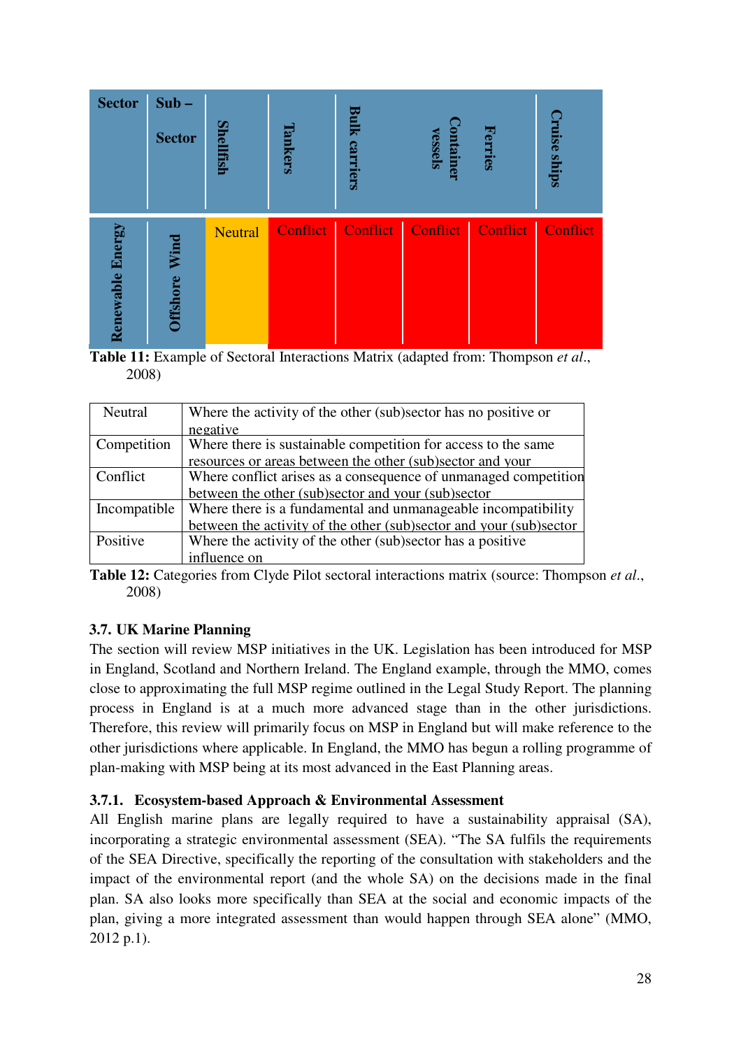| <b>Sector</b>           | $Sub -$<br><b>Sector</b> | Shellfish      | ankers   | Bulk<br>carriers |          | Ferries  | ruise ships |
|-------------------------|--------------------------|----------------|----------|------------------|----------|----------|-------------|
| <b>Renewable Energy</b> | Wind<br><b>Offshore</b>  | <b>Neutral</b> | Conflict | Conflict         | Conflict | Conflict | Conflict    |

**Table 11:** Example of Sectoral Interactions Matrix (adapted from: Thompson *et al*., 2008)

| Neutral      | Where the activity of the other (sub)sector has no positive or     |
|--------------|--------------------------------------------------------------------|
|              | negative                                                           |
| Competition  | Where there is sustainable competition for access to the same      |
|              | resources or areas between the other (sub)sector and your          |
| Conflict     | Where conflict arises as a consequence of unmanaged competition    |
|              | between the other (sub)sector and your (sub)sector                 |
| Incompatible | Where there is a fundamental and unmanageable incompatibility      |
|              | between the activity of the other (sub)sector and your (sub)sector |
| Positive     | Where the activity of the other (sub)sector has a positive         |
|              | influence on                                                       |

**Table 12:** Categories from Clyde Pilot sectoral interactions matrix (source: Thompson *et al*., 2008)

## **3.7. UK Marine Planning**

The section will review MSP initiatives in the UK. Legislation has been introduced for MSP in England, Scotland and Northern Ireland. The England example, through the MMO, comes close to approximating the full MSP regime outlined in the Legal Study Report. The planning process in England is at a much more advanced stage than in the other jurisdictions. Therefore, this review will primarily focus on MSP in England but will make reference to the other jurisdictions where applicable. In England, the MMO has begun a rolling programme of plan-making with MSP being at its most advanced in the East Planning areas.

## **3.7.1. Ecosystem-based Approach & Environmental Assessment**

All English marine plans are legally required to have a sustainability appraisal (SA), incorporating a strategic environmental assessment (SEA). "The SA fulfils the requirements of the SEA Directive, specifically the reporting of the consultation with stakeholders and the impact of the environmental report (and the whole SA) on the decisions made in the final plan. SA also looks more specifically than SEA at the social and economic impacts of the plan, giving a more integrated assessment than would happen through SEA alone" (MMO, 2012 p.1).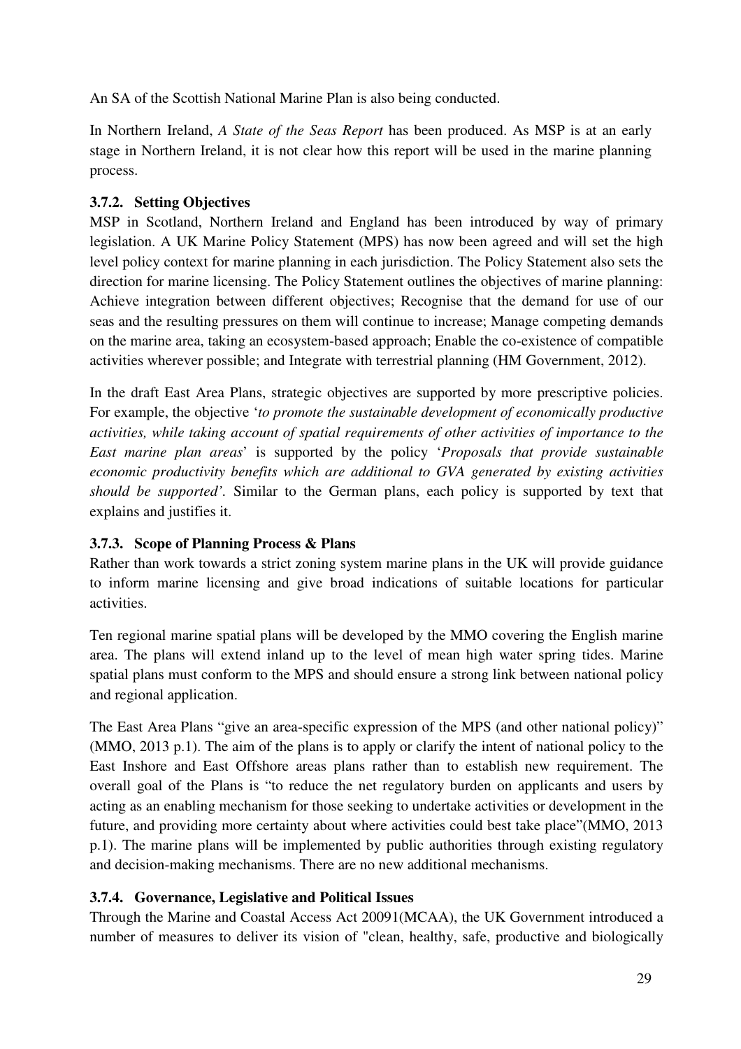An SA of the Scottish National Marine Plan is also being conducted.

In Northern Ireland, *A State of the Seas Report* has been produced. As MSP is at an early stage in Northern Ireland, it is not clear how this report will be used in the marine planning process.

## **3.7.2. Setting Objectives**

MSP in Scotland, Northern Ireland and England has been introduced by way of primary legislation. A UK Marine Policy Statement (MPS) has now been agreed and will set the high level policy context for marine planning in each jurisdiction. The Policy Statement also sets the direction for marine licensing. The Policy Statement outlines the objectives of marine planning: Achieve integration between different objectives; Recognise that the demand for use of our seas and the resulting pressures on them will continue to increase; Manage competing demands on the marine area, taking an ecosystem-based approach; Enable the co-existence of compatible activities wherever possible; and Integrate with terrestrial planning (HM Government, 2012).

In the draft East Area Plans, strategic objectives are supported by more prescriptive policies. For example, the objective '*to promote the sustainable development of economically productive activities, while taking account of spatial requirements of other activities of importance to the East marine plan areas*' is supported by the policy '*Proposals that provide sustainable economic productivity benefits which are additional to GVA generated by existing activities should be supported'.* Similar to the German plans, each policy is supported by text that explains and justifies it.

## **3.7.3. Scope of Planning Process & Plans**

Rather than work towards a strict zoning system marine plans in the UK will provide guidance to inform marine licensing and give broad indications of suitable locations for particular activities.

Ten regional marine spatial plans will be developed by the MMO covering the English marine area. The plans will extend inland up to the level of mean high water spring tides. Marine spatial plans must conform to the MPS and should ensure a strong link between national policy and regional application.

The East Area Plans "give an area-specific expression of the MPS (and other national policy)" (MMO, 2013 p.1). The aim of the plans is to apply or clarify the intent of national policy to the East Inshore and East Offshore areas plans rather than to establish new requirement. The overall goal of the Plans is "to reduce the net regulatory burden on applicants and users by acting as an enabling mechanism for those seeking to undertake activities or development in the future, and providing more certainty about where activities could best take place"(MMO, 2013 p.1). The marine plans will be implemented by public authorities through existing regulatory and decision-making mechanisms. There are no new additional mechanisms.

# **3.7.4. Governance, Legislative and Political Issues**

Through the Marine and Coastal Access Act 20091(MCAA), the UK Government introduced a number of measures to deliver its vision of "clean, healthy, safe, productive and biologically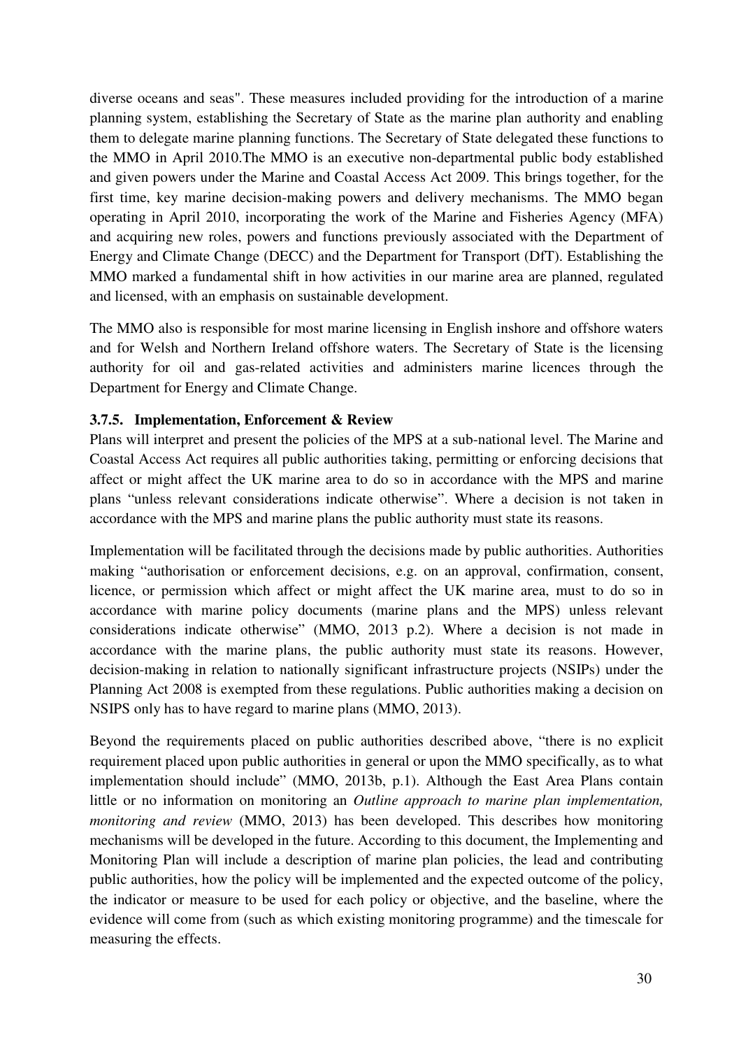diverse oceans and seas". These measures included providing for the introduction of a marine planning system, establishing the Secretary of State as the marine plan authority and enabling them to delegate marine planning functions. The Secretary of State delegated these functions to the MMO in April 2010.The MMO is an executive non-departmental public body established and given powers under the Marine and Coastal Access Act 2009. This brings together, for the first time, key marine decision-making powers and delivery mechanisms. The MMO began operating in April 2010, incorporating the work of the Marine and Fisheries Agency (MFA) and acquiring new roles, powers and functions previously associated with the Department of Energy and Climate Change (DECC) and the Department for Transport (DfT). Establishing the MMO marked a fundamental shift in how activities in our marine area are planned, regulated and licensed, with an emphasis on sustainable development.

The MMO also is responsible for most marine licensing in English inshore and offshore waters and for Welsh and Northern Ireland offshore waters. The Secretary of State is the licensing authority for oil and gas-related activities and administers marine licences through the Department for Energy and Climate Change.

## **3.7.5. Implementation, Enforcement & Review**

Plans will interpret and present the policies of the MPS at a sub-national level. The Marine and Coastal Access Act requires all public authorities taking, permitting or enforcing decisions that affect or might affect the UK marine area to do so in accordance with the MPS and marine plans "unless relevant considerations indicate otherwise". Where a decision is not taken in accordance with the MPS and marine plans the public authority must state its reasons.

Implementation will be facilitated through the decisions made by public authorities. Authorities making "authorisation or enforcement decisions, e.g. on an approval, confirmation, consent, licence, or permission which affect or might affect the UK marine area, must to do so in accordance with marine policy documents (marine plans and the MPS) unless relevant considerations indicate otherwise" (MMO, 2013 p.2). Where a decision is not made in accordance with the marine plans, the public authority must state its reasons. However, decision-making in relation to nationally significant infrastructure projects (NSIPs) under the Planning Act 2008 is exempted from these regulations. Public authorities making a decision on NSIPS only has to have regard to marine plans (MMO, 2013).

Beyond the requirements placed on public authorities described above, "there is no explicit requirement placed upon public authorities in general or upon the MMO specifically, as to what implementation should include" (MMO, 2013b, p.1). Although the East Area Plans contain little or no information on monitoring an *Outline approach to marine plan implementation, monitoring and review* (MMO, 2013) has been developed. This describes how monitoring mechanisms will be developed in the future. According to this document, the Implementing and Monitoring Plan will include a description of marine plan policies, the lead and contributing public authorities, how the policy will be implemented and the expected outcome of the policy, the indicator or measure to be used for each policy or objective, and the baseline, where the evidence will come from (such as which existing monitoring programme) and the timescale for measuring the effects.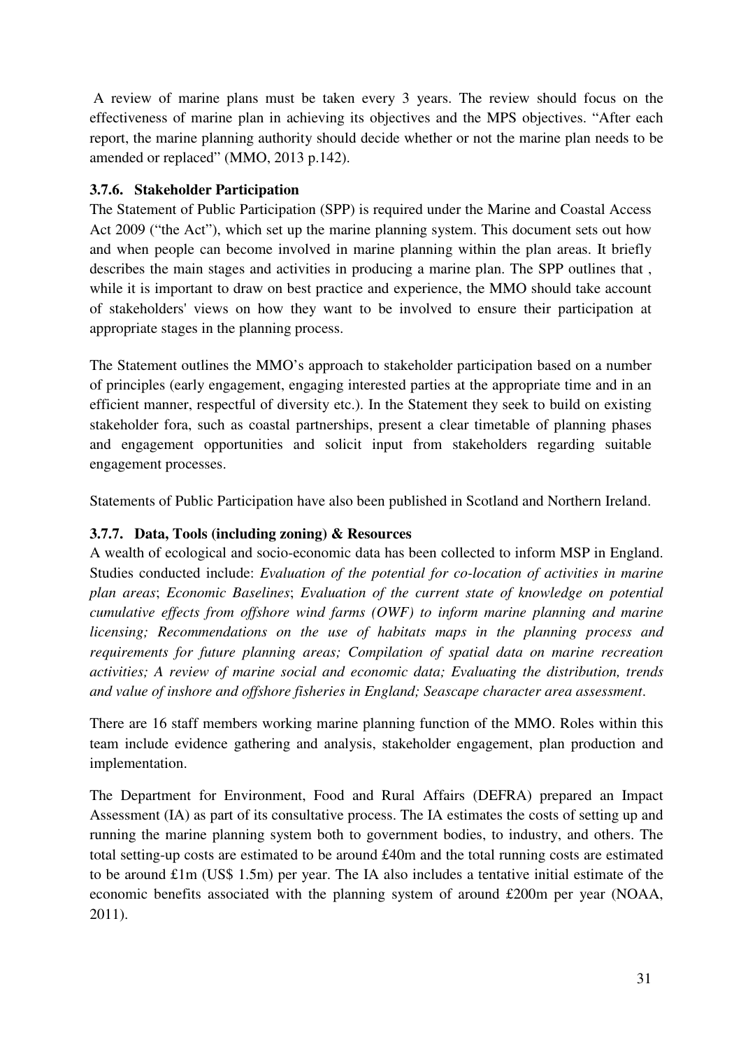A review of marine plans must be taken every 3 years. The review should focus on the effectiveness of marine plan in achieving its objectives and the MPS objectives. "After each report, the marine planning authority should decide whether or not the marine plan needs to be amended or replaced" (MMO, 2013 p.142).

## **3.7.6. Stakeholder Participation**

The Statement of Public Participation (SPP) is required under the Marine and Coastal Access Act 2009 ("the Act"), which set up the marine planning system. This document sets out how and when people can become involved in marine planning within the plan areas. It briefly describes the main stages and activities in producing a marine plan. The SPP outlines that , while it is important to draw on best practice and experience, the MMO should take account of stakeholders' views on how they want to be involved to ensure their participation at appropriate stages in the planning process.

The Statement outlines the MMO's approach to stakeholder participation based on a number of principles (early engagement, engaging interested parties at the appropriate time and in an efficient manner, respectful of diversity etc.). In the Statement they seek to build on existing stakeholder fora, such as coastal partnerships, present a clear timetable of planning phases and engagement opportunities and solicit input from stakeholders regarding suitable engagement processes.

Statements of Public Participation have also been published in Scotland and Northern Ireland.

# **3.7.7. Data, Tools (including zoning) & Resources**

A wealth of ecological and socio-economic data has been collected to inform MSP in England. Studies conducted include: *Evaluation of the potential for co-location of activities in marine plan areas*; *Economic Baselines*; *Evaluation of the current state of knowledge on potential cumulative effects from offshore wind farms (OWF) to inform marine planning and marine licensing; Recommendations on the use of habitats maps in the planning process and requirements for future planning areas; Compilation of spatial data on marine recreation activities; A review of marine social and economic data; Evaluating the distribution, trends and value of inshore and offshore fisheries in England; Seascape character area assessment*.

There are 16 staff members working marine planning function of the MMO. Roles within this team include evidence gathering and analysis, stakeholder engagement, plan production and implementation.

The Department for Environment, Food and Rural Affairs (DEFRA) prepared an Impact Assessment (IA) as part of its consultative process. The IA estimates the costs of setting up and running the marine planning system both to government bodies, to industry, and others. The total setting-up costs are estimated to be around £40m and the total running costs are estimated to be around £1m (US\$ 1.5m) per year. The IA also includes a tentative initial estimate of the economic benefits associated with the planning system of around £200m per year (NOAA, 2011).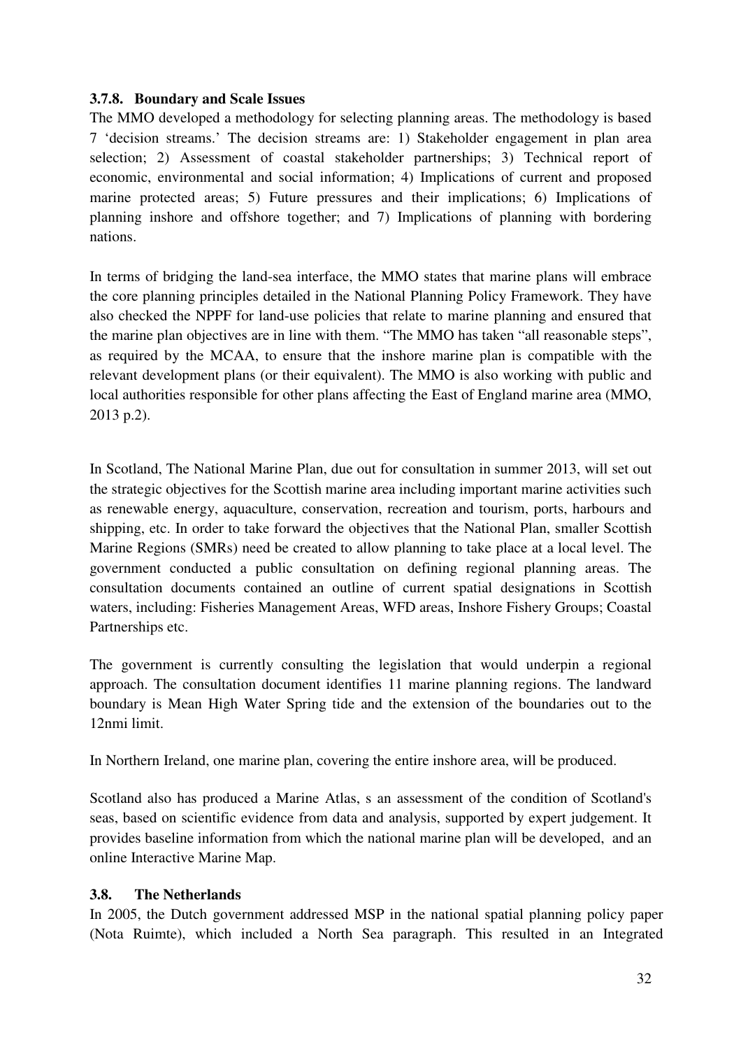#### **3.7.8. Boundary and Scale Issues**

The MMO developed a methodology for selecting planning areas. The methodology is based 7 'decision streams.' The decision streams are: 1) Stakeholder engagement in plan area selection; 2) Assessment of coastal stakeholder partnerships; 3) Technical report of economic, environmental and social information; 4) Implications of current and proposed marine protected areas; 5) Future pressures and their implications; 6) Implications of planning inshore and offshore together; and 7) Implications of planning with bordering nations.

In terms of bridging the land-sea interface, the MMO states that marine plans will embrace the core planning principles detailed in the National Planning Policy Framework. They have also checked the NPPF for land-use policies that relate to marine planning and ensured that the marine plan objectives are in line with them. "The MMO has taken "all reasonable steps", as required by the MCAA, to ensure that the inshore marine plan is compatible with the relevant development plans (or their equivalent). The MMO is also working with public and local authorities responsible for other plans affecting the East of England marine area (MMO, 2013 p.2).

In Scotland, The National Marine Plan, due out for consultation in summer 2013, will set out the strategic objectives for the Scottish marine area including important marine activities such as renewable energy, aquaculture, conservation, recreation and tourism, ports, harbours and shipping, etc. In order to take forward the objectives that the National Plan, smaller Scottish Marine Regions (SMRs) need be created to allow planning to take place at a local level. The government conducted a public consultation on defining regional planning areas. The consultation documents contained an outline of current spatial designations in Scottish waters, including: Fisheries Management Areas, WFD areas, Inshore Fishery Groups; Coastal Partnerships etc.

The government is currently consulting the legislation that would underpin a regional approach. The consultation document identifies 11 marine planning regions. The landward boundary is Mean High Water Spring tide and the extension of the boundaries out to the 12nmi limit.

In Northern Ireland, one marine plan, covering the entire inshore area, will be produced.

Scotland also has produced a Marine Atlas, s an assessment of the condition of Scotland's seas, based on scientific evidence from data and analysis, supported by expert judgement. It provides baseline information from which the national marine plan will be developed, and an online Interactive Marine Map.

## **3.8. The Netherlands**

In 2005, the Dutch government addressed MSP in the national spatial planning policy paper (Nota Ruimte), which included a North Sea paragraph. This resulted in an Integrated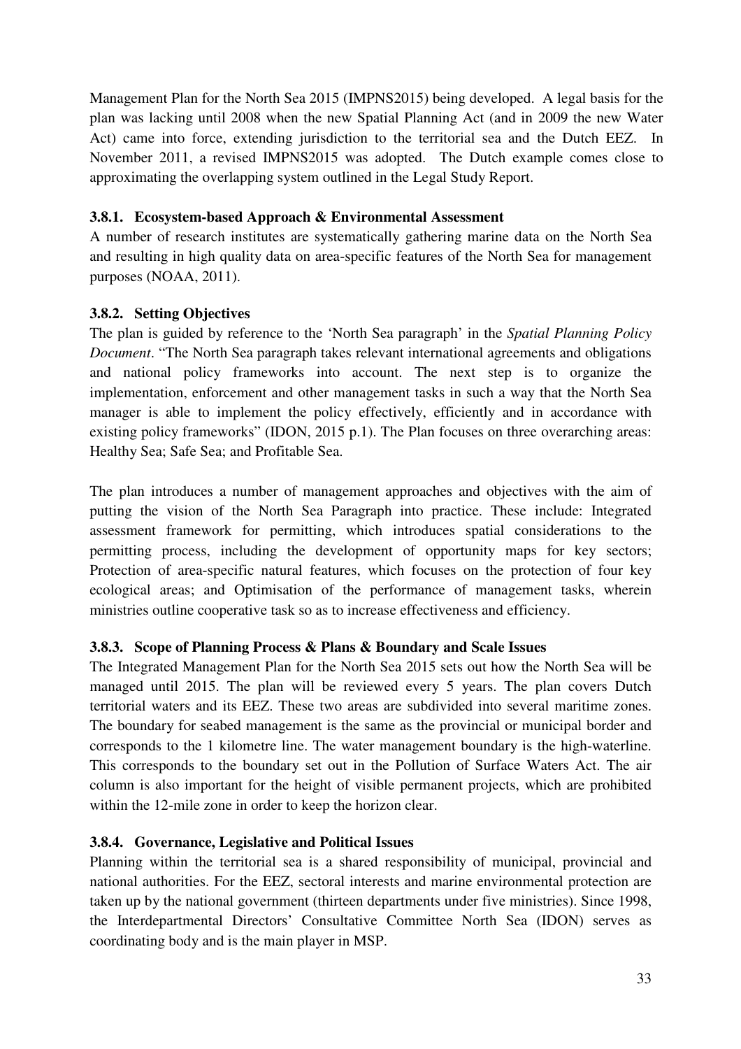Management Plan for the North Sea 2015 (IMPNS2015) being developed. A legal basis for the plan was lacking until 2008 when the new Spatial Planning Act (and in 2009 the new Water Act) came into force, extending jurisdiction to the territorial sea and the Dutch EEZ. In November 2011, a revised IMPNS2015 was adopted. The Dutch example comes close to approximating the overlapping system outlined in the Legal Study Report.

## **3.8.1. Ecosystem-based Approach & Environmental Assessment**

A number of research institutes are systematically gathering marine data on the North Sea and resulting in high quality data on area-specific features of the North Sea for management purposes (NOAA, 2011).

## **3.8.2. Setting Objectives**

The plan is guided by reference to the 'North Sea paragraph' in the *Spatial Planning Policy Document*. "The North Sea paragraph takes relevant international agreements and obligations and national policy frameworks into account. The next step is to organize the implementation, enforcement and other management tasks in such a way that the North Sea manager is able to implement the policy effectively, efficiently and in accordance with existing policy frameworks" (IDON, 2015 p.1). The Plan focuses on three overarching areas: Healthy Sea; Safe Sea; and Profitable Sea.

The plan introduces a number of management approaches and objectives with the aim of putting the vision of the North Sea Paragraph into practice. These include: Integrated assessment framework for permitting, which introduces spatial considerations to the permitting process, including the development of opportunity maps for key sectors; Protection of area-specific natural features, which focuses on the protection of four key ecological areas; and Optimisation of the performance of management tasks, wherein ministries outline cooperative task so as to increase effectiveness and efficiency.

## **3.8.3. Scope of Planning Process & Plans & Boundary and Scale Issues**

The Integrated Management Plan for the North Sea 2015 sets out how the North Sea will be managed until 2015. The plan will be reviewed every 5 years. The plan covers Dutch territorial waters and its EEZ. These two areas are subdivided into several maritime zones. The boundary for seabed management is the same as the provincial or municipal border and corresponds to the 1 kilometre line. The water management boundary is the high-waterline. This corresponds to the boundary set out in the Pollution of Surface Waters Act. The air column is also important for the height of visible permanent projects, which are prohibited within the 12-mile zone in order to keep the horizon clear.

## **3.8.4. Governance, Legislative and Political Issues**

Planning within the territorial sea is a shared responsibility of municipal, provincial and national authorities. For the EEZ, sectoral interests and marine environmental protection are taken up by the national government (thirteen departments under five ministries). Since 1998, the Interdepartmental Directors' Consultative Committee North Sea (IDON) serves as coordinating body and is the main player in MSP.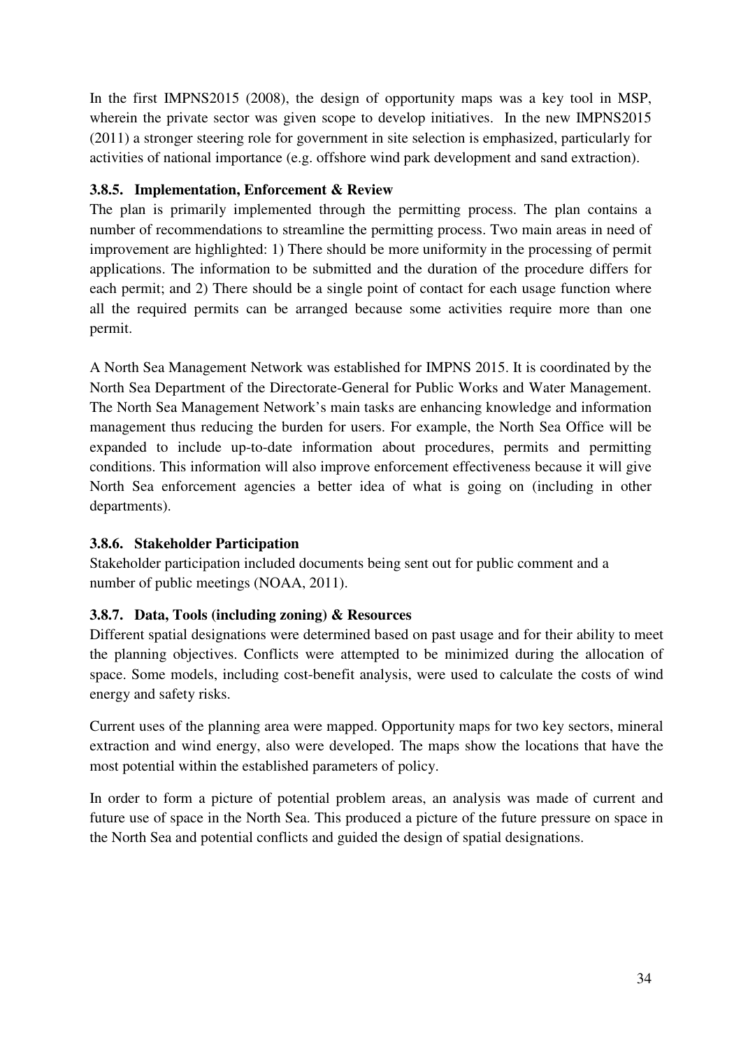In the first IMPNS2015 (2008), the design of opportunity maps was a key tool in MSP, wherein the private sector was given scope to develop initiatives. In the new IMPNS2015 (2011) a stronger steering role for government in site selection is emphasized, particularly for activities of national importance (e.g. offshore wind park development and sand extraction).

## **3.8.5. Implementation, Enforcement & Review**

The plan is primarily implemented through the permitting process. The plan contains a number of recommendations to streamline the permitting process. Two main areas in need of improvement are highlighted: 1) There should be more uniformity in the processing of permit applications. The information to be submitted and the duration of the procedure differs for each permit; and 2) There should be a single point of contact for each usage function where all the required permits can be arranged because some activities require more than one permit.

A North Sea Management Network was established for IMPNS 2015. It is coordinated by the North Sea Department of the Directorate-General for Public Works and Water Management. The North Sea Management Network's main tasks are enhancing knowledge and information management thus reducing the burden for users. For example, the North Sea Office will be expanded to include up-to-date information about procedures, permits and permitting conditions. This information will also improve enforcement effectiveness because it will give North Sea enforcement agencies a better idea of what is going on (including in other departments).

## **3.8.6. Stakeholder Participation**

Stakeholder participation included documents being sent out for public comment and a number of public meetings (NOAA, 2011).

## **3.8.7. Data, Tools (including zoning) & Resources**

Different spatial designations were determined based on past usage and for their ability to meet the planning objectives. Conflicts were attempted to be minimized during the allocation of space. Some models, including cost-benefit analysis, were used to calculate the costs of wind energy and safety risks.

Current uses of the planning area were mapped. Opportunity maps for two key sectors, mineral extraction and wind energy, also were developed. The maps show the locations that have the most potential within the established parameters of policy.

In order to form a picture of potential problem areas, an analysis was made of current and future use of space in the North Sea. This produced a picture of the future pressure on space in the North Sea and potential conflicts and guided the design of spatial designations.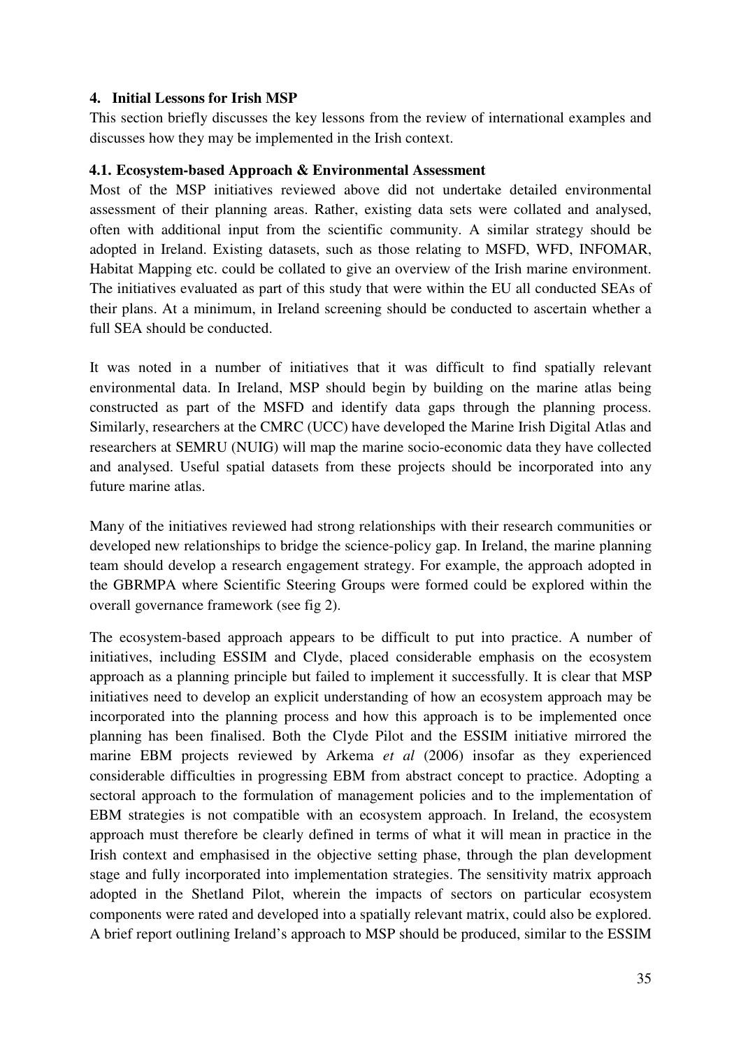### **4. Initial Lessons for Irish MSP**

This section briefly discusses the key lessons from the review of international examples and discusses how they may be implemented in the Irish context.

#### **4.1. Ecosystem-based Approach & Environmental Assessment**

Most of the MSP initiatives reviewed above did not undertake detailed environmental assessment of their planning areas. Rather, existing data sets were collated and analysed, often with additional input from the scientific community. A similar strategy should be adopted in Ireland. Existing datasets, such as those relating to MSFD, WFD, INFOMAR, Habitat Mapping etc. could be collated to give an overview of the Irish marine environment. The initiatives evaluated as part of this study that were within the EU all conducted SEAs of their plans. At a minimum, in Ireland screening should be conducted to ascertain whether a full SEA should be conducted.

It was noted in a number of initiatives that it was difficult to find spatially relevant environmental data. In Ireland, MSP should begin by building on the marine atlas being constructed as part of the MSFD and identify data gaps through the planning process. Similarly, researchers at the CMRC (UCC) have developed the Marine Irish Digital Atlas and researchers at SEMRU (NUIG) will map the marine socio-economic data they have collected and analysed. Useful spatial datasets from these projects should be incorporated into any future marine atlas.

Many of the initiatives reviewed had strong relationships with their research communities or developed new relationships to bridge the science-policy gap. In Ireland, the marine planning team should develop a research engagement strategy. For example, the approach adopted in the GBRMPA where Scientific Steering Groups were formed could be explored within the overall governance framework (see fig 2).

The ecosystem-based approach appears to be difficult to put into practice. A number of initiatives, including ESSIM and Clyde, placed considerable emphasis on the ecosystem approach as a planning principle but failed to implement it successfully. It is clear that MSP initiatives need to develop an explicit understanding of how an ecosystem approach may be incorporated into the planning process and how this approach is to be implemented once planning has been finalised. Both the Clyde Pilot and the ESSIM initiative mirrored the marine EBM projects reviewed by Arkema *et al* (2006) insofar as they experienced considerable difficulties in progressing EBM from abstract concept to practice. Adopting a sectoral approach to the formulation of management policies and to the implementation of EBM strategies is not compatible with an ecosystem approach. In Ireland, the ecosystem approach must therefore be clearly defined in terms of what it will mean in practice in the Irish context and emphasised in the objective setting phase, through the plan development stage and fully incorporated into implementation strategies. The sensitivity matrix approach adopted in the Shetland Pilot, wherein the impacts of sectors on particular ecosystem components were rated and developed into a spatially relevant matrix, could also be explored. A brief report outlining Ireland's approach to MSP should be produced, similar to the ESSIM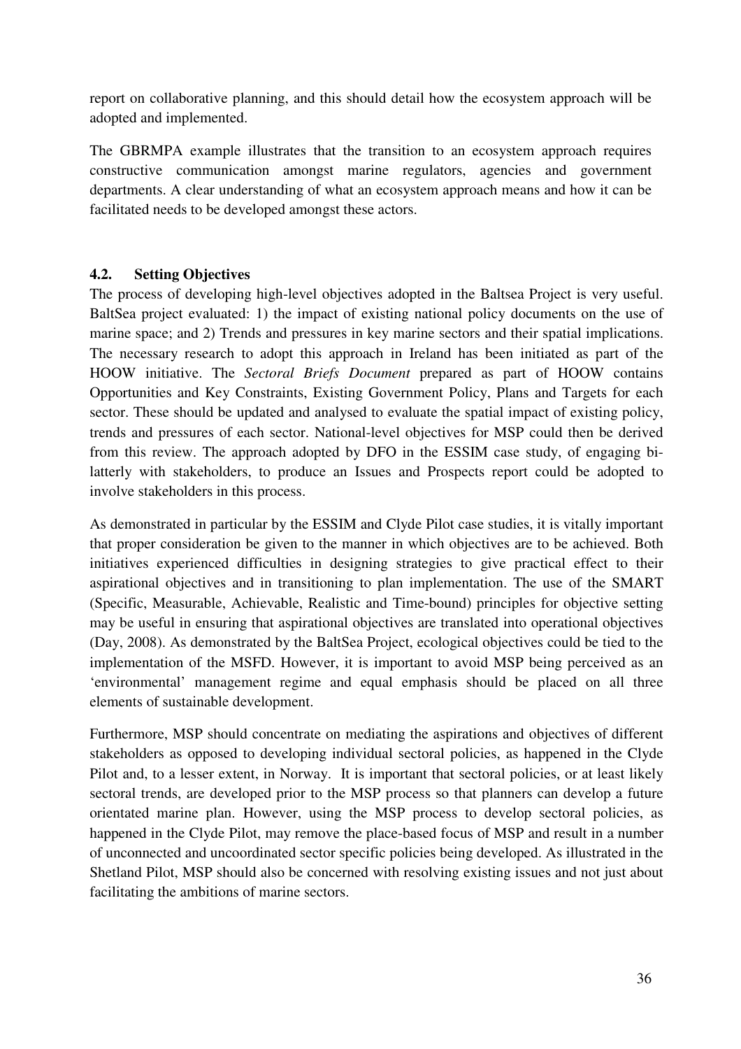report on collaborative planning, and this should detail how the ecosystem approach will be adopted and implemented.

The GBRMPA example illustrates that the transition to an ecosystem approach requires constructive communication amongst marine regulators, agencies and government departments. A clear understanding of what an ecosystem approach means and how it can be facilitated needs to be developed amongst these actors.

## **4.2. Setting Objectives**

The process of developing high-level objectives adopted in the Baltsea Project is very useful. BaltSea project evaluated: 1) the impact of existing national policy documents on the use of marine space; and 2) Trends and pressures in key marine sectors and their spatial implications. The necessary research to adopt this approach in Ireland has been initiated as part of the HOOW initiative. The *Sectoral Briefs Document* prepared as part of HOOW contains Opportunities and Key Constraints, Existing Government Policy, Plans and Targets for each sector. These should be updated and analysed to evaluate the spatial impact of existing policy, trends and pressures of each sector. National-level objectives for MSP could then be derived from this review. The approach adopted by DFO in the ESSIM case study, of engaging bilatterly with stakeholders, to produce an Issues and Prospects report could be adopted to involve stakeholders in this process.

As demonstrated in particular by the ESSIM and Clyde Pilot case studies, it is vitally important that proper consideration be given to the manner in which objectives are to be achieved. Both initiatives experienced difficulties in designing strategies to give practical effect to their aspirational objectives and in transitioning to plan implementation. The use of the SMART (Specific, Measurable, Achievable, Realistic and Time-bound) principles for objective setting may be useful in ensuring that aspirational objectives are translated into operational objectives (Day, 2008). As demonstrated by the BaltSea Project, ecological objectives could be tied to the implementation of the MSFD. However, it is important to avoid MSP being perceived as an 'environmental' management regime and equal emphasis should be placed on all three elements of sustainable development.

Furthermore, MSP should concentrate on mediating the aspirations and objectives of different stakeholders as opposed to developing individual sectoral policies, as happened in the Clyde Pilot and, to a lesser extent, in Norway. It is important that sectoral policies, or at least likely sectoral trends, are developed prior to the MSP process so that planners can develop a future orientated marine plan. However, using the MSP process to develop sectoral policies, as happened in the Clyde Pilot, may remove the place-based focus of MSP and result in a number of unconnected and uncoordinated sector specific policies being developed. As illustrated in the Shetland Pilot, MSP should also be concerned with resolving existing issues and not just about facilitating the ambitions of marine sectors.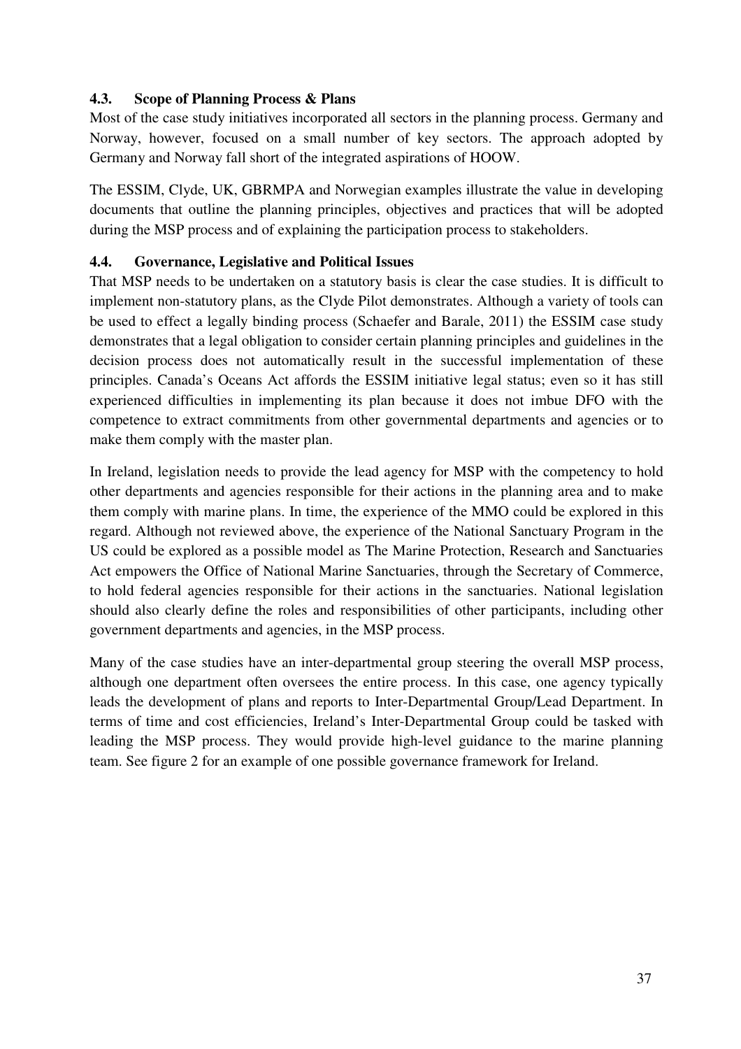## **4.3. Scope of Planning Process & Plans**

Most of the case study initiatives incorporated all sectors in the planning process. Germany and Norway, however, focused on a small number of key sectors. The approach adopted by Germany and Norway fall short of the integrated aspirations of HOOW.

The ESSIM, Clyde, UK, GBRMPA and Norwegian examples illustrate the value in developing documents that outline the planning principles, objectives and practices that will be adopted during the MSP process and of explaining the participation process to stakeholders.

## **4.4. Governance, Legislative and Political Issues**

That MSP needs to be undertaken on a statutory basis is clear the case studies. It is difficult to implement non-statutory plans, as the Clyde Pilot demonstrates. Although a variety of tools can be used to effect a legally binding process (Schaefer and Barale, 2011) the ESSIM case study demonstrates that a legal obligation to consider certain planning principles and guidelines in the decision process does not automatically result in the successful implementation of these principles. Canada's Oceans Act affords the ESSIM initiative legal status; even so it has still experienced difficulties in implementing its plan because it does not imbue DFO with the competence to extract commitments from other governmental departments and agencies or to make them comply with the master plan.

In Ireland, legislation needs to provide the lead agency for MSP with the competency to hold other departments and agencies responsible for their actions in the planning area and to make them comply with marine plans. In time, the experience of the MMO could be explored in this regard. Although not reviewed above, the experience of the National Sanctuary Program in the US could be explored as a possible model as The Marine Protection, Research and Sanctuaries Act empowers the Office of National Marine Sanctuaries, through the Secretary of Commerce, to hold federal agencies responsible for their actions in the sanctuaries. National legislation should also clearly define the roles and responsibilities of other participants, including other government departments and agencies, in the MSP process.

Many of the case studies have an inter-departmental group steering the overall MSP process, although one department often oversees the entire process. In this case, one agency typically leads the development of plans and reports to Inter-Departmental Group/Lead Department. In terms of time and cost efficiencies, Ireland's Inter-Departmental Group could be tasked with leading the MSP process. They would provide high-level guidance to the marine planning team. See figure 2 for an example of one possible governance framework for Ireland.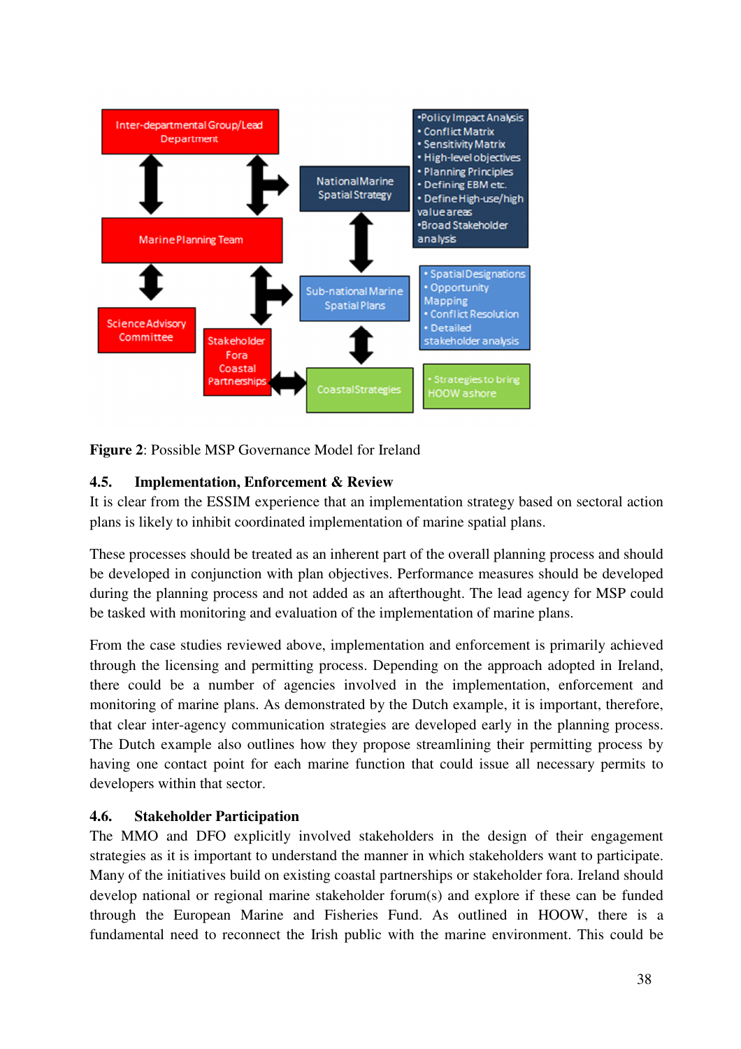

**Figure 2**: Possible MSP Governance Model for Ireland

## **4.5. Implementation, Enforcement & Review**

It is clear from the ESSIM experience that an implementation strategy based on sectoral action plans is likely to inhibit coordinated implementation of marine spatial plans.

These processes should be treated as an inherent part of the overall planning process and should be developed in conjunction with plan objectives. Performance measures should be developed during the planning process and not added as an afterthought. The lead agency for MSP could be tasked with monitoring and evaluation of the implementation of marine plans.

From the case studies reviewed above, implementation and enforcement is primarily achieved through the licensing and permitting process. Depending on the approach adopted in Ireland, there could be a number of agencies involved in the implementation, enforcement and monitoring of marine plans. As demonstrated by the Dutch example, it is important, therefore, that clear inter-agency communication strategies are developed early in the planning process. The Dutch example also outlines how they propose streamlining their permitting process by having one contact point for each marine function that could issue all necessary permits to developers within that sector.

## **4.6. Stakeholder Participation**

The MMO and DFO explicitly involved stakeholders in the design of their engagement strategies as it is important to understand the manner in which stakeholders want to participate. Many of the initiatives build on existing coastal partnerships or stakeholder fora. Ireland should develop national or regional marine stakeholder forum(s) and explore if these can be funded through the European Marine and Fisheries Fund. As outlined in HOOW, there is a fundamental need to reconnect the Irish public with the marine environment. This could be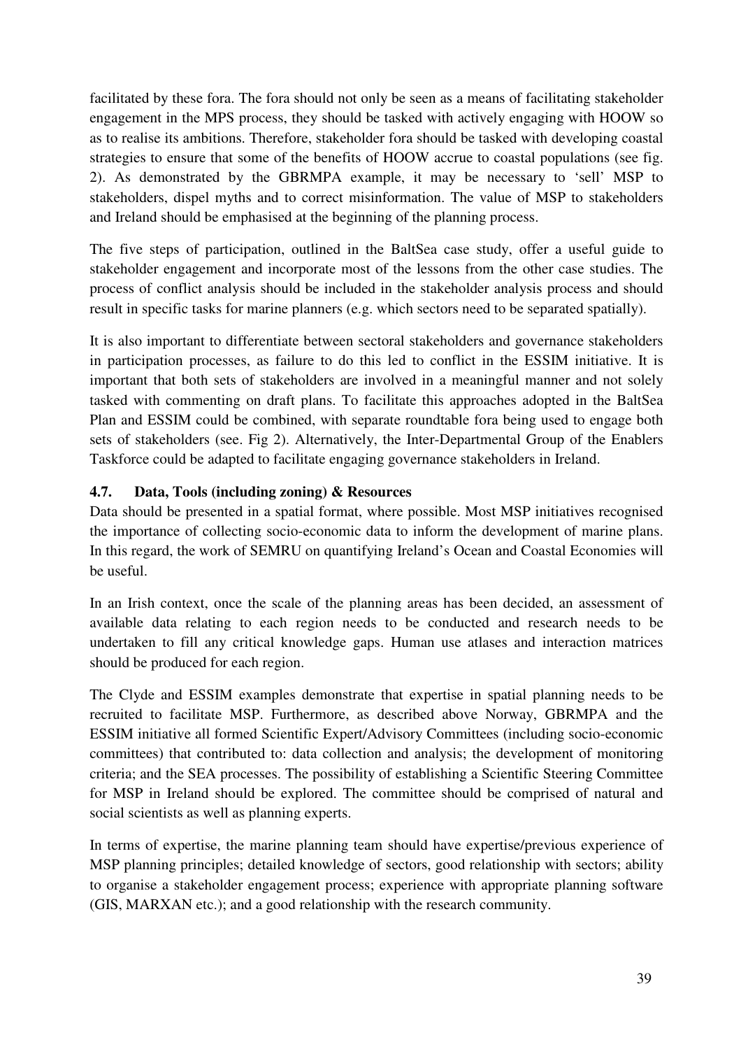facilitated by these fora. The fora should not only be seen as a means of facilitating stakeholder engagement in the MPS process, they should be tasked with actively engaging with HOOW so as to realise its ambitions. Therefore, stakeholder fora should be tasked with developing coastal strategies to ensure that some of the benefits of HOOW accrue to coastal populations (see fig. 2). As demonstrated by the GBRMPA example, it may be necessary to 'sell' MSP to stakeholders, dispel myths and to correct misinformation. The value of MSP to stakeholders and Ireland should be emphasised at the beginning of the planning process.

The five steps of participation, outlined in the BaltSea case study, offer a useful guide to stakeholder engagement and incorporate most of the lessons from the other case studies. The process of conflict analysis should be included in the stakeholder analysis process and should result in specific tasks for marine planners (e.g. which sectors need to be separated spatially).

It is also important to differentiate between sectoral stakeholders and governance stakeholders in participation processes, as failure to do this led to conflict in the ESSIM initiative. It is important that both sets of stakeholders are involved in a meaningful manner and not solely tasked with commenting on draft plans. To facilitate this approaches adopted in the BaltSea Plan and ESSIM could be combined, with separate roundtable fora being used to engage both sets of stakeholders (see. Fig 2). Alternatively, the Inter-Departmental Group of the Enablers Taskforce could be adapted to facilitate engaging governance stakeholders in Ireland.

## **4.7. Data, Tools (including zoning) & Resources**

Data should be presented in a spatial format, where possible. Most MSP initiatives recognised the importance of collecting socio-economic data to inform the development of marine plans. In this regard, the work of SEMRU on quantifying Ireland's Ocean and Coastal Economies will be useful.

In an Irish context, once the scale of the planning areas has been decided, an assessment of available data relating to each region needs to be conducted and research needs to be undertaken to fill any critical knowledge gaps. Human use atlases and interaction matrices should be produced for each region.

The Clyde and ESSIM examples demonstrate that expertise in spatial planning needs to be recruited to facilitate MSP. Furthermore, as described above Norway, GBRMPA and the ESSIM initiative all formed Scientific Expert/Advisory Committees (including socio-economic committees) that contributed to: data collection and analysis; the development of monitoring criteria; and the SEA processes. The possibility of establishing a Scientific Steering Committee for MSP in Ireland should be explored. The committee should be comprised of natural and social scientists as well as planning experts.

In terms of expertise, the marine planning team should have expertise/previous experience of MSP planning principles; detailed knowledge of sectors, good relationship with sectors; ability to organise a stakeholder engagement process; experience with appropriate planning software (GIS, MARXAN etc.); and a good relationship with the research community.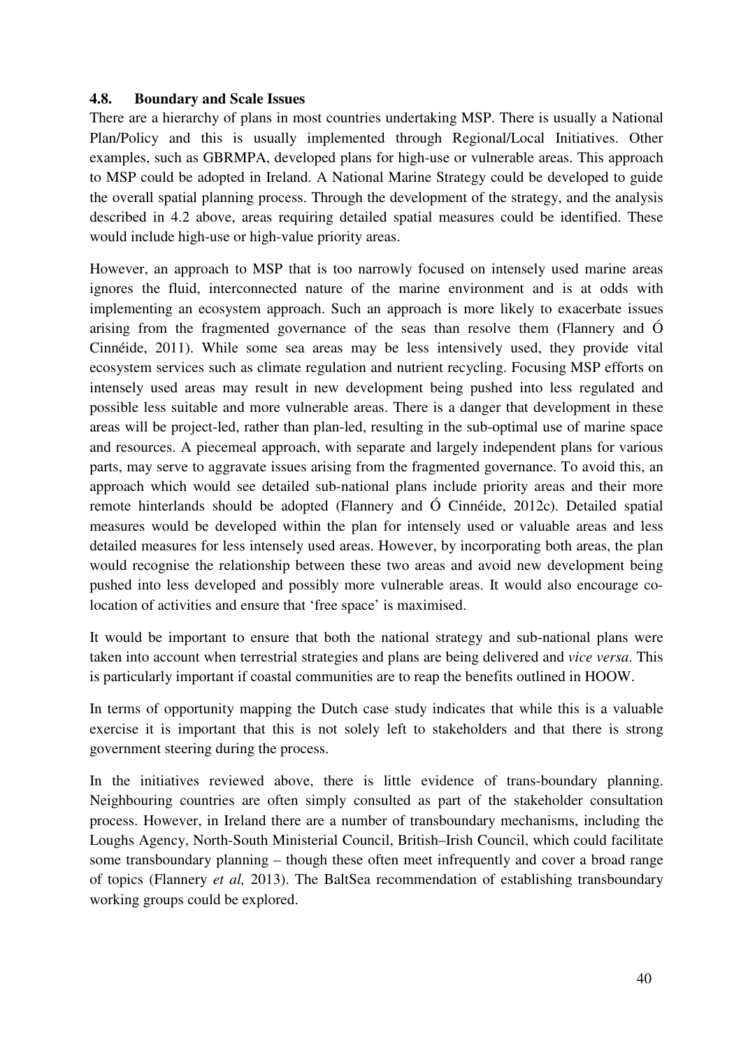#### **4.8. Boundary and Scale Issues**

There are a hierarchy of plans in most countries undertaking MSP. There is usually a National Plan/Policy and this is usually implemented through Regional/Local Initiatives. Other examples, such as GBRMPA, developed plans for high-use or vulnerable areas. This approach to MSP could be adopted in Ireland. A National Marine Strategy could be developed to guide the overall spatial planning process. Through the development of the strategy, and the analysis described in 4.2 above, areas requiring detailed spatial measures could be identified. These would include high-use or high-value priority areas.

However, an approach to MSP that is too narrowly focused on intensely used marine areas ignores the fluid, interconnected nature of the marine environment and is at odds with implementing an ecosystem approach. Such an approach is more likely to exacerbate issues arising from the fragmented governance of the seas than resolve them (Flannery and Ó Cinnéide, 2011). While some sea areas may be less intensively used, they provide vital ecosystem services such as climate regulation and nutrient recycling. Focusing MSP efforts on intensely used areas may result in new development being pushed into less regulated and possible less suitable and more vulnerable areas. There is a danger that development in these areas will be project-led, rather than plan-led, resulting in the sub-optimal use of marine space and resources. A piecemeal approach, with separate and largely independent plans for various parts, may serve to aggravate issues arising from the fragmented governance. To avoid this, an approach which would see detailed sub-national plans include priority areas and their more remote hinterlands should be adopted (Flannery and Ó Cinnéide, 2012c). Detailed spatial measures would be developed within the plan for intensely used or valuable areas and less detailed measures for less intensely used areas. However, by incorporating both areas, the plan would recognise the relationship between these two areas and avoid new development being pushed into less developed and possibly more vulnerable areas. It would also encourage colocation of activities and ensure that 'free space' is maximised.

It would be important to ensure that both the national strategy and sub-national plans were taken into account when terrestrial strategies and plans are being delivered and *vice versa*. This is particularly important if coastal communities are to reap the benefits outlined in HOOW.

In terms of opportunity mapping the Dutch case study indicates that while this is a valuable exercise it is important that this is not solely left to stakeholders and that there is strong government steering during the process.

In the initiatives reviewed above, there is little evidence of trans-boundary planning. Neighbouring countries are often simply consulted as part of the stakeholder consultation process. However, in Ireland there are a number of transboundary mechanisms, including the Loughs Agency, North-South Ministerial Council, British–Irish Council, which could facilitate some transboundary planning – though these often meet infrequently and cover a broad range of topics (Flannery *et al,* 2013). The BaltSea recommendation of establishing transboundary working groups could be explored.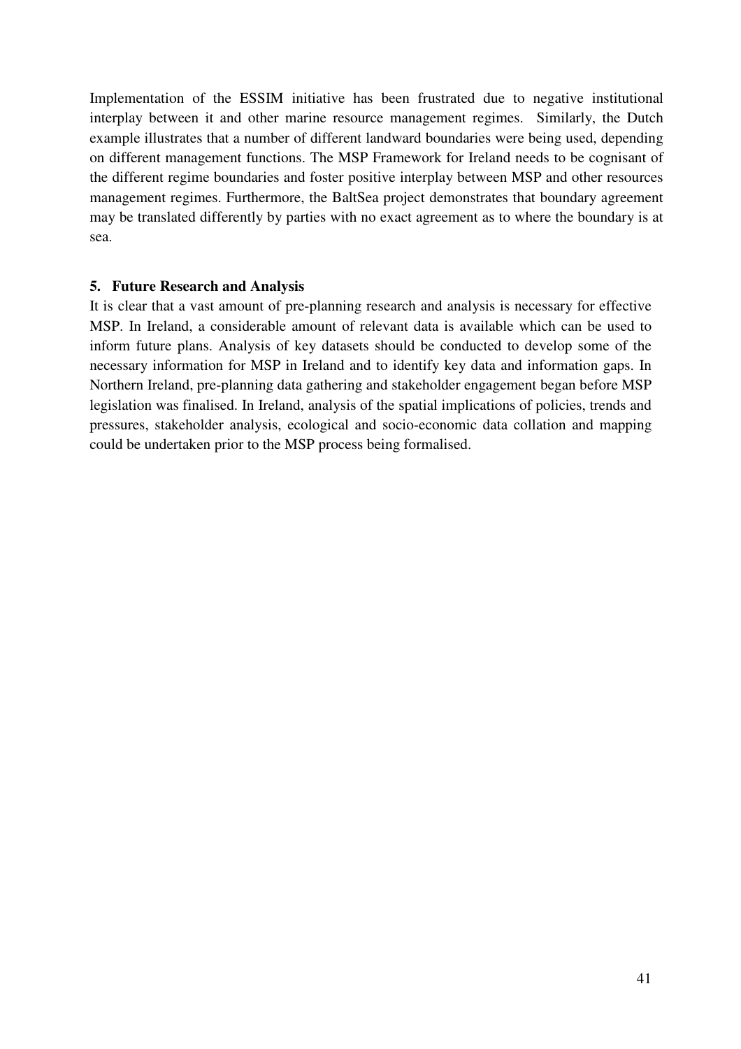Implementation of the ESSIM initiative has been frustrated due to negative institutional interplay between it and other marine resource management regimes. Similarly, the Dutch example illustrates that a number of different landward boundaries were being used, depending on different management functions. The MSP Framework for Ireland needs to be cognisant of the different regime boundaries and foster positive interplay between MSP and other resources management regimes. Furthermore, the BaltSea project demonstrates that boundary agreement may be translated differently by parties with no exact agreement as to where the boundary is at sea.

#### **5. Future Research and Analysis**

It is clear that a vast amount of pre-planning research and analysis is necessary for effective MSP. In Ireland, a considerable amount of relevant data is available which can be used to inform future plans. Analysis of key datasets should be conducted to develop some of the necessary information for MSP in Ireland and to identify key data and information gaps. In Northern Ireland, pre-planning data gathering and stakeholder engagement began before MSP legislation was finalised. In Ireland, analysis of the spatial implications of policies, trends and pressures, stakeholder analysis, ecological and socio-economic data collation and mapping could be undertaken prior to the MSP process being formalised.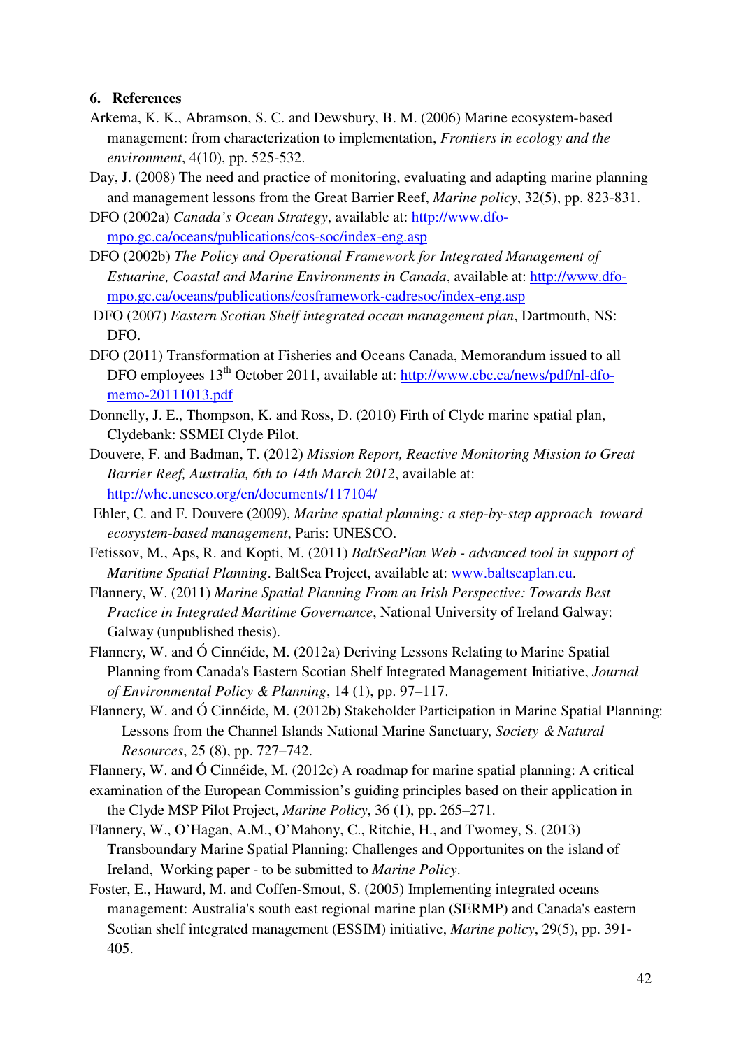#### **6. References**

- Arkema, K. K., Abramson, S. C. and Dewsbury, B. M. (2006) Marine ecosystem-based management: from characterization to implementation, *Frontiers in ecology and the environment*, 4(10), pp. 525-532.
- Day, J. (2008) The need and practice of monitoring, evaluating and adapting marine planning and management lessons from the Great Barrier Reef, *Marine policy*, 32(5), pp. 823-831.
- DFO (2002a) *Canada's Ocean Strategy*, available at: http://www.dfompo.gc.ca/oceans/publications/cos-soc/index-eng.asp
- DFO (2002b) *The Policy and Operational Framework for Integrated Management of Estuarine, Coastal and Marine Environments in Canada*, available at: http://www.dfompo.gc.ca/oceans/publications/cosframework-cadresoc/index-eng.asp
- DFO (2007) *Eastern Scotian Shelf integrated ocean management plan*, Dartmouth, NS: DFO.
- DFO (2011) Transformation at Fisheries and Oceans Canada, Memorandum issued to all DFO employees  $13<sup>th</sup>$  October 2011, available at: http://www.cbc.ca/news/pdf/nl-dfomemo-20111013.pdf
- Donnelly, J. E., Thompson, K. and Ross, D. (2010) Firth of Clyde marine spatial plan, Clydebank: SSMEI Clyde Pilot.
- Douvere, F. and Badman, T. (2012) *Mission Report, Reactive Monitoring Mission to Great Barrier Reef, Australia, 6th to 14th March 2012*, available at: http://whc.unesco.org/en/documents/117104/
- Ehler, C. and F. Douvere (2009), *Marine spatial planning: a step-by-step approach toward ecosystem-based management*, Paris: UNESCO.
- Fetissov, M., Aps, R. and Kopti, M. (2011) *BaltSeaPlan Web advanced tool in support of Maritime Spatial Planning*. BaltSea Project, available at: www.baltseaplan.eu.
- Flannery, W. (2011) *Marine Spatial Planning From an Irish Perspective: Towards Best Practice in Integrated Maritime Governance*, National University of Ireland Galway: Galway (unpublished thesis).
- Flannery, W. and Ó Cinnéide, M. (2012a) Deriving Lessons Relating to Marine Spatial Planning from Canada's Eastern Scotian Shelf Integrated Management Initiative, *Journal of Environmental Policy & Planning*, 14 (1), pp. 97–117.
- Flannery, W. and Ó Cinnéide, M. (2012b) Stakeholder Participation in Marine Spatial Planning: Lessons from the Channel Islands National Marine Sanctuary, *Society & Natural Resources*, 25 (8), pp. 727–742.

Flannery, W. and Ó Cinnéide, M. (2012c) A roadmap for marine spatial planning: A critical

- examination of the European Commission's guiding principles based on their application in the Clyde MSP Pilot Project, *Marine Policy*, 36 (1), pp. 265–271.
- Flannery, W., O'Hagan, A.M., O'Mahony, C., Ritchie, H., and Twomey, S. (2013) Transboundary Marine Spatial Planning: Challenges and Opportunites on the island of Ireland, Working paper - to be submitted to *Marine Policy*.
- Foster, E., Haward, M. and Coffen-Smout, S. (2005) Implementing integrated oceans management: Australia's south east regional marine plan (SERMP) and Canada's eastern Scotian shelf integrated management (ESSIM) initiative, *Marine policy*, 29(5), pp. 391- 405.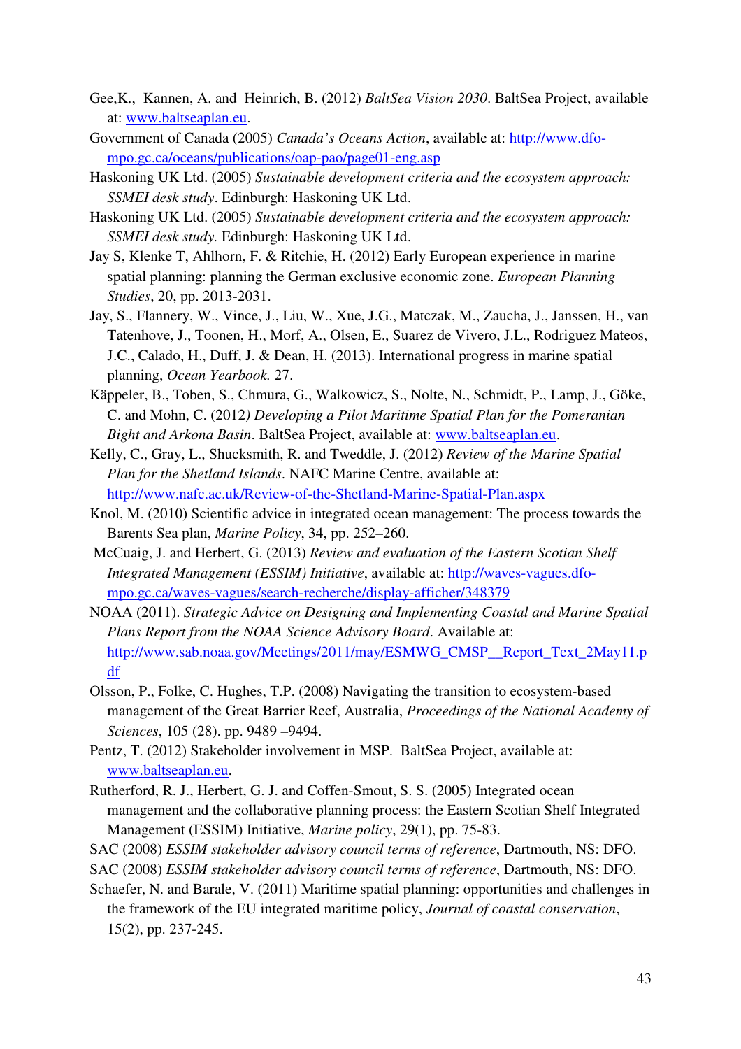- Gee,K., Kannen, A. and Heinrich, B. (2012) *BaltSea Vision 2030*. BaltSea Project, available at: www.baltseaplan.eu.
- Government of Canada (2005) *Canada's Oceans Action*, available at: http://www.dfompo.gc.ca/oceans/publications/oap-pao/page01-eng.asp
- Haskoning UK Ltd. (2005) *Sustainable development criteria and the ecosystem approach: SSMEI desk study*. Edinburgh: Haskoning UK Ltd.
- Haskoning UK Ltd. (2005) *Sustainable development criteria and the ecosystem approach: SSMEI desk study.* Edinburgh: Haskoning UK Ltd.
- Jay S, Klenke T, Ahlhorn, F. & Ritchie, H. (2012) Early European experience in marine spatial planning: planning the German exclusive economic zone. *European Planning Studies*, 20, pp. 2013-2031.
- Jay, S., Flannery, W., Vince, J., Liu, W., Xue, J.G., Matczak, M., Zaucha, J., Janssen, H., van Tatenhove, J., Toonen, H., Morf, A., Olsen, E., Suarez de Vivero, J.L., Rodriguez Mateos, J.C., Calado, H., Duff, J. & Dean, H. (2013). International progress in marine spatial planning, *Ocean Yearbook.* 27.
- Käppeler, B., Toben, S., Chmura, G., Walkowicz, S., Nolte, N., Schmidt, P., Lamp, J., Göke, C. and Mohn, C. (2012*) Developing a Pilot Maritime Spatial Plan for the Pomeranian Bight and Arkona Basin*. BaltSea Project, available at: www.baltseaplan.eu.
- Kelly, C., Gray, L., Shucksmith, R. and Tweddle, J. (2012) *Review of the Marine Spatial Plan for the Shetland Islands*. NAFC Marine Centre, available at: http://www.nafc.ac.uk/Review-of-the-Shetland-Marine-Spatial-Plan.aspx
- Knol, M. (2010) Scientific advice in integrated ocean management: The process towards the Barents Sea plan, *Marine Policy*, 34, pp. 252–260.
- McCuaig, J. and Herbert, G. (2013) *Review and evaluation of the Eastern Scotian Shelf Integrated Management (ESSIM) Initiative*, available at: http://waves-vagues.dfompo.gc.ca/waves-vagues/search-recherche/display-afficher/348379
- NOAA (2011). *Strategic Advice on Designing and Implementing Coastal and Marine Spatial Plans Report from the NOAA Science Advisory Board*. Available at: http://www.sab.noaa.gov/Meetings/2011/may/ESMWG\_CMSP\_\_Report\_Text\_2May11.p df
- Olsson, P., Folke, C. Hughes, T.P. (2008) Navigating the transition to ecosystem-based management of the Great Barrier Reef, Australia, *Proceedings of the National Academy of Sciences*, 105 (28). pp. 9489 –9494.
- Pentz, T. (2012) Stakeholder involvement in MSP. BaltSea Project, available at: www.baltseaplan.eu.
- Rutherford, R. J., Herbert, G. J. and Coffen-Smout, S. S. (2005) Integrated ocean management and the collaborative planning process: the Eastern Scotian Shelf Integrated Management (ESSIM) Initiative, *Marine policy*, 29(1), pp. 75-83.
- SAC (2008) *ESSIM stakeholder advisory council terms of reference*, Dartmouth, NS: DFO.
- SAC (2008) *ESSIM stakeholder advisory council terms of reference*, Dartmouth, NS: DFO.
- Schaefer, N. and Barale, V. (2011) Maritime spatial planning: opportunities and challenges in the framework of the EU integrated maritime policy, *Journal of coastal conservation*, 15(2), pp. 237-245.